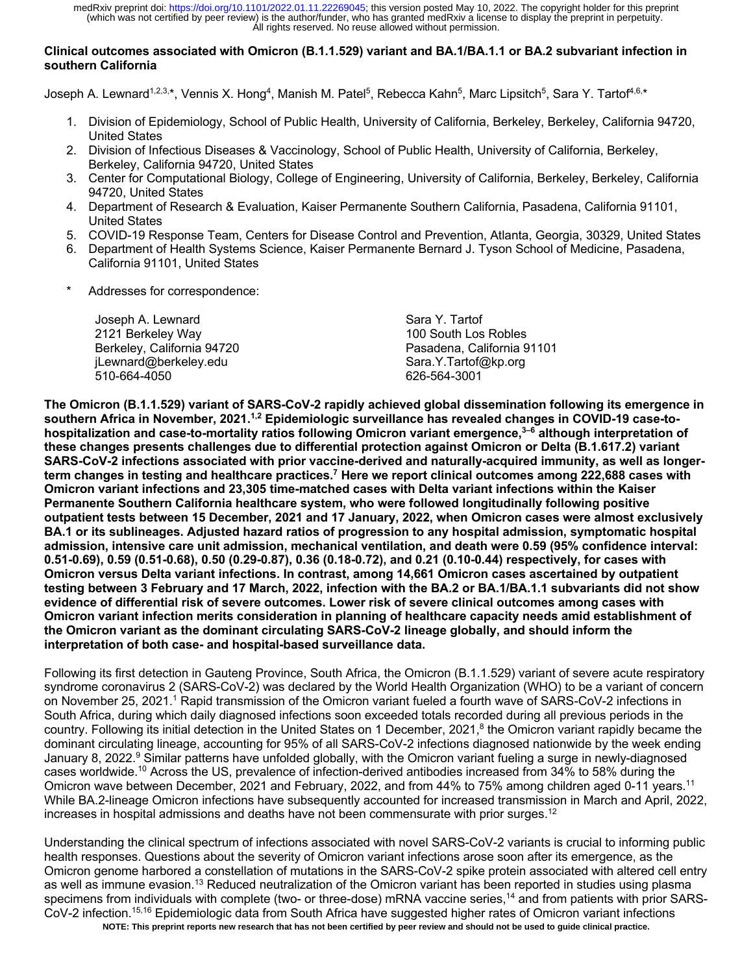## **Clinical outcomes associated with Omicron (B.1.1.529) variant and BA.1/BA.1.1 or BA.2 subvariant infection in southern California**

Joseph A. Lewnard<sup>1,2,3,\*</sup>, Vennis X. Hong<sup>4</sup>, Manish M. Patel<sup>5</sup>, Rebecca Kahn<sup>5</sup>, Marc Lipsitch<sup>5</sup>, Sara Y. Tartof<sup>4,6,\*</sup>

- 1. Division of Epidemiology, School of Public Health, University of California, Berkeley, Berkeley, California 94720, United States
- 2. Division of Infectious Diseases & Vaccinology, School of Public Health, University of California, Berkeley, Berkeley, California 94720, United States
- 3. Center for Computational Biology, College of Engineering, University of California, Berkeley, Berkeley, California 94720, United States
- 4. Department of Research & Evaluation, Kaiser Permanente Southern California, Pasadena, California 91101, United States
- 5. COVID-19 Response Team, Centers for Disease Control and Prevention, Atlanta, Georgia, 30329, United States
- 6. Department of Health Systems Science, Kaiser Permanente Bernard J. Tyson School of Medicine, Pasadena, California 91101, United States
- Addresses for correspondence:

| Joseph A. Lewnard          | Sara Y. Tartof             |
|----------------------------|----------------------------|
| 2121 Berkeley Way          | 100 South Los Robles       |
| Berkeley, California 94720 | Pasadena. California 91101 |
| jLewnard@berkeley.edu      | Sara.Y.Tartof@kp.org       |
| 510-664-4050               | 626-564-3001               |

**The Omicron (B.1.1.529) variant of SARS-CoV-2 rapidly achieved global dissemination following its emergence in southern Africa in November, 2021.1,2 Epidemiologic surveillance has revealed changes in COVID-19 case-tohospitalization and case-to-mortality ratios following Omicron variant emergence, 3–6 although interpretation of these changes presents challenges due to differential protection against Omicron or Delta (B.1.617.2) variant SARS-CoV-2 infections associated with prior vaccine-derived and naturally-acquired immunity, as well as longerterm changes in testing and healthcare practices.7 Here we report clinical outcomes among 222,688 cases with Omicron variant infections and 23,305 time-matched cases with Delta variant infections within the Kaiser Permanente Southern California healthcare system, who were followed longitudinally following positive outpatient tests between 15 December, 2021 and 17 January, 2022, when Omicron cases were almost exclusively BA.1 or its sublineages. Adjusted hazard ratios of progression to any hospital admission, symptomatic hospital admission, intensive care unit admission, mechanical ventilation, and death were 0.59 (95% confidence interval: 0.51-0.69), 0.59 (0.51-0.68), 0.50 (0.29-0.87), 0.36 (0.18-0.72), and 0.21 (0.10-0.44) respectively, for cases with Omicron versus Delta variant infections. In contrast, among 14,661 Omicron cases ascertained by outpatient testing between 3 February and 17 March, 2022, infection with the BA.2 or BA.1/BA.1.1 subvariants did not show evidence of differential risk of severe outcomes. Lower risk of severe clinical outcomes among cases with Omicron variant infection merits consideration in planning of healthcare capacity needs amid establishment of the Omicron variant as the dominant circulating SARS-CoV-2 lineage globally, and should inform the interpretation of both case- and hospital-based surveillance data.**

Following its first detection in Gauteng Province, South Africa, the Omicron (B.1.1.529) variant of severe acute respiratory syndrome coronavirus 2 (SARS-CoV-2) was declared by the World Health Organization (WHO) to be a variant of concern on November 25, 2021.<sup>1</sup> Rapid transmission of the Omicron variant fueled a fourth wave of SARS-CoV-2 infections in South Africa, during which daily diagnosed infections soon exceeded totals recorded during all previous periods in the country. Following its initial detection in the United States on 1 December, 2021,<sup>8</sup> the Omicron variant rapidly became the dominant circulating lineage, accounting for 95% of all SARS-CoV-2 infections diagnosed nationwide by the week ending January 8, 2022.<sup>9</sup> Similar patterns have unfolded globally, with the Omicron variant fueling a surge in newly-diagnosed cases worldwide.10 Across the US, prevalence of infection-derived antibodies increased from 34% to 58% during the Omicron wave between December, 2021 and February, 2022, and from 44% to 75% among children aged 0-11 years.<sup>11</sup> While BA.2-lineage Omicron infections have subsequently accounted for increased transmission in March and April, 2022, increases in hospital admissions and deaths have not been commensurate with prior surges.<sup>12</sup>

Understanding the clinical spectrum of infections associated with novel SARS-CoV-2 variants is crucial to informing public health responses. Questions about the severity of Omicron variant infections arose soon after its emergence, as the Omicron genome harbored a constellation of mutations in the SARS-CoV-2 spike protein associated with altered cell entry as well as immune evasion.13 Reduced neutralization of the Omicron variant has been reported in studies using plasma specimens from individuals with complete (two- or three-dose) mRNA vaccine series,<sup>14</sup> and from patients with prior SARS-CoV-2 infection.<sup>15,16</sup> Epidemiologic data from South Africa have suggested higher rates of Omicron variant infections

**NOTE: This preprint reports new research that has not been certified by peer review and should not be used to guide clinical practice.**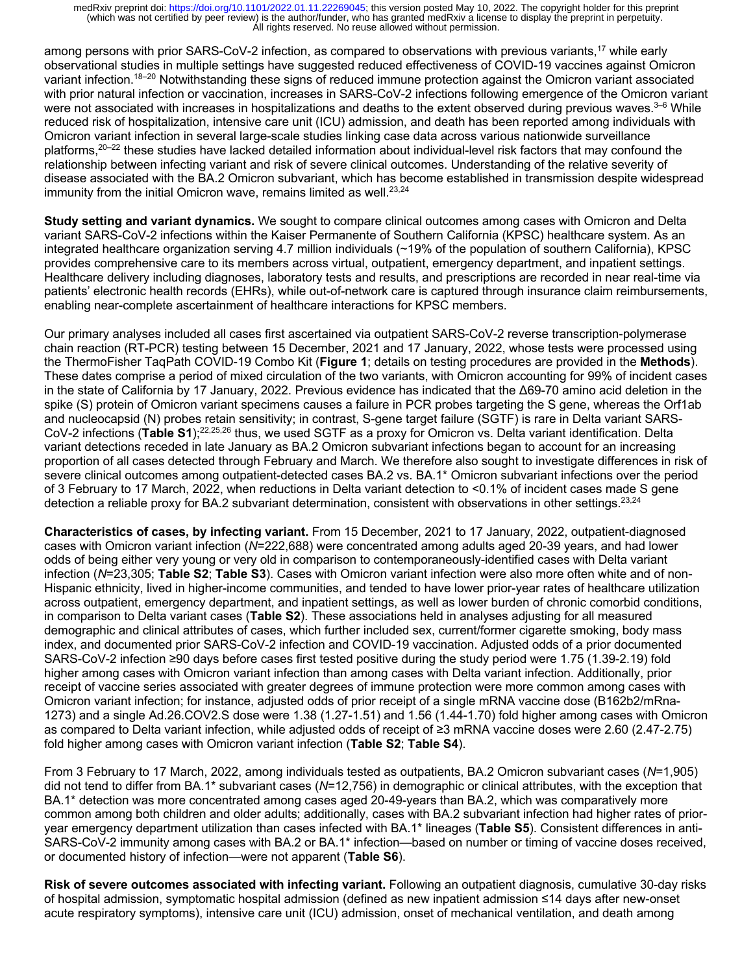among persons with prior SARS-CoV-2 infection, as compared to observations with previous variants,<sup>17</sup> while early observational studies in multiple settings have suggested reduced effectiveness of COVID-19 vaccines against Omicron variant infection.<sup>18–20</sup> Notwithstanding these signs of reduced immune protection against the Omicron variant associated with prior natural infection or vaccination, increases in SARS-CoV-2 infections following emergence of the Omicron variant were not associated with increases in hospitalizations and deaths to the extent observed during previous waves. $3-6$  While reduced risk of hospitalization, intensive care unit (ICU) admission, and death has been reported among individuals with Omicron variant infection in several large-scale studies linking case data across various nationwide surveillance platforms,<sup>20–22</sup> these studies have lacked detailed information about individual-level risk factors that may confound the relationship between infecting variant and risk of severe clinical outcomes. Understanding of the relative severity of disease associated with the BA.2 Omicron subvariant, which has become established in transmission despite widespread immunity from the initial Omicron wave, remains limited as well. $23,24$ 

**Study setting and variant dynamics.** We sought to compare clinical outcomes among cases with Omicron and Delta variant SARS-CoV-2 infections within the Kaiser Permanente of Southern California (KPSC) healthcare system. As an integrated healthcare organization serving 4.7 million individuals (~19% of the population of southern California), KPSC provides comprehensive care to its members across virtual, outpatient, emergency department, and inpatient settings. Healthcare delivery including diagnoses, laboratory tests and results, and prescriptions are recorded in near real-time via patients' electronic health records (EHRs), while out-of-network care is captured through insurance claim reimbursements, enabling near-complete ascertainment of healthcare interactions for KPSC members.

Our primary analyses included all cases first ascertained via outpatient SARS-CoV-2 reverse transcription-polymerase chain reaction (RT-PCR) testing between 15 December, 2021 and 17 January, 2022, whose tests were processed using the ThermoFisher TaqPath COVID-19 Combo Kit (**Figure 1**; details on testing procedures are provided in the **Methods**). These dates comprise a period of mixed circulation of the two variants, with Omicron accounting for 99% of incident cases in the state of California by 17 January, 2022. Previous evidence has indicated that the Δ69-70 amino acid deletion in the spike (S) protein of Omicron variant specimens causes a failure in PCR probes targeting the S gene, whereas the Orf1ab and nucleocapsid (N) probes retain sensitivity; in contrast, S-gene target failure (SGTF) is rare in Delta variant SARS-CoV-2 infections (**Table S1**);22,25,26 thus, we used SGTF as a proxy for Omicron vs. Delta variant identification. Delta variant detections receded in late January as BA.2 Omicron subvariant infections began to account for an increasing proportion of all cases detected through February and March. We therefore also sought to investigate differences in risk of severe clinical outcomes among outpatient-detected cases BA.2 vs. BA.1\* Omicron subvariant infections over the period of 3 February to 17 March, 2022, when reductions in Delta variant detection to <0.1% of incident cases made S gene detection a reliable proxy for BA.2 subvariant determination, consistent with observations in other settings.<sup>23,24</sup>

**Characteristics of cases, by infecting variant.** From 15 December, 2021 to 17 January, 2022, outpatient-diagnosed cases with Omicron variant infection (*N*=222,688) were concentrated among adults aged 20-39 years, and had lower odds of being either very young or very old in comparison to contemporaneously-identified cases with Delta variant infection (*N*=23,305; **Table S2**; **Table S3**). Cases with Omicron variant infection were also more often white and of non-Hispanic ethnicity, lived in higher-income communities, and tended to have lower prior-year rates of healthcare utilization across outpatient, emergency department, and inpatient settings, as well as lower burden of chronic comorbid conditions, in comparison to Delta variant cases (**Table S2**). These associations held in analyses adjusting for all measured demographic and clinical attributes of cases, which further included sex, current/former cigarette smoking, body mass index, and documented prior SARS-CoV-2 infection and COVID-19 vaccination. Adjusted odds of a prior documented SARS-CoV-2 infection ≥90 days before cases first tested positive during the study period were 1.75 (1.39-2.19) fold higher among cases with Omicron variant infection than among cases with Delta variant infection. Additionally, prior receipt of vaccine series associated with greater degrees of immune protection were more common among cases with Omicron variant infection; for instance, adjusted odds of prior receipt of a single mRNA vaccine dose (B162b2/mRna-1273) and a single Ad.26.COV2.S dose were 1.38 (1.27-1.51) and 1.56 (1.44-1.70) fold higher among cases with Omicron as compared to Delta variant infection, while adjusted odds of receipt of ≥3 mRNA vaccine doses were 2.60 (2.47-2.75) fold higher among cases with Omicron variant infection (**Table S2**; **Table S4**).

From 3 February to 17 March, 2022, among individuals tested as outpatients, BA.2 Omicron subvariant cases (*N*=1,905) did not tend to differ from BA.1\* subvariant cases (*N*=12,756) in demographic or clinical attributes, with the exception that BA.1\* detection was more concentrated among cases aged 20-49-years than BA.2, which was comparatively more common among both children and older adults; additionally, cases with BA.2 subvariant infection had higher rates of prioryear emergency department utilization than cases infected with BA.1\* lineages (**Table S5**). Consistent differences in anti-SARS-CoV-2 immunity among cases with BA.2 or BA.1\* infection—based on number or timing of vaccine doses received, or documented history of infection—were not apparent (**Table S6**).

**Risk of severe outcomes associated with infecting variant.** Following an outpatient diagnosis, cumulative 30-day risks of hospital admission, symptomatic hospital admission (defined as new inpatient admission ≤14 days after new-onset acute respiratory symptoms), intensive care unit (ICU) admission, onset of mechanical ventilation, and death among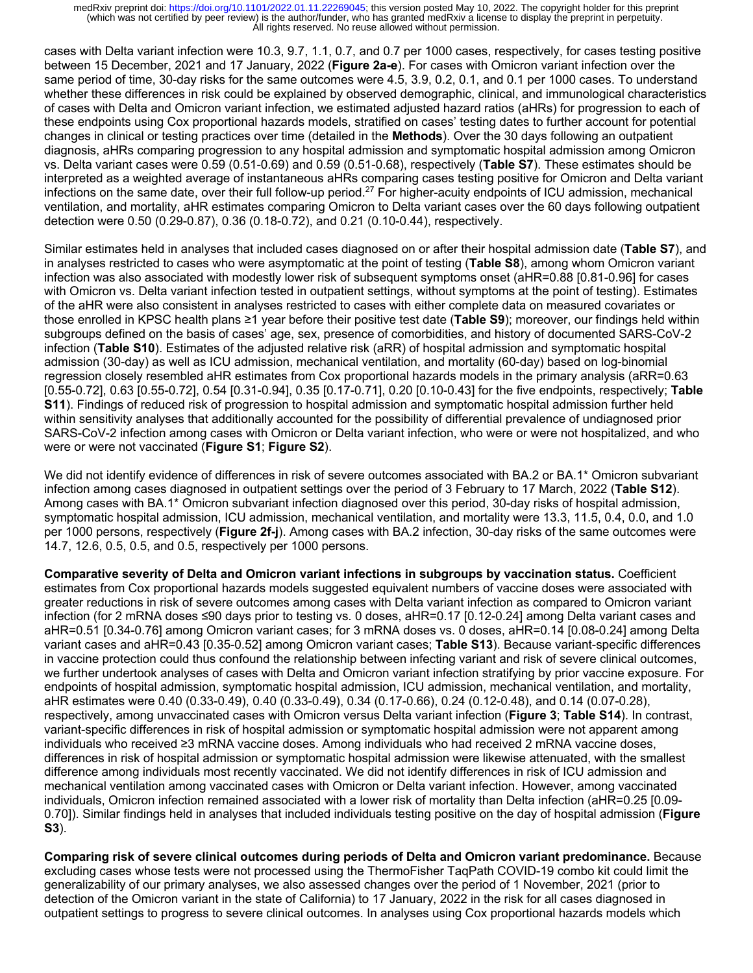cases with Delta variant infection were 10.3, 9.7, 1.1, 0.7, and 0.7 per 1000 cases, respectively, for cases testing positive between 15 December, 2021 and 17 January, 2022 (**Figure 2a-e**). For cases with Omicron variant infection over the same period of time, 30-day risks for the same outcomes were 4.5, 3.9, 0.2, 0.1, and 0.1 per 1000 cases. To understand whether these differences in risk could be explained by observed demographic, clinical, and immunological characteristics of cases with Delta and Omicron variant infection, we estimated adjusted hazard ratios (aHRs) for progression to each of these endpoints using Cox proportional hazards models, stratified on cases' testing dates to further account for potential changes in clinical or testing practices over time (detailed in the **Methods**). Over the 30 days following an outpatient diagnosis, aHRs comparing progression to any hospital admission and symptomatic hospital admission among Omicron vs. Delta variant cases were 0.59 (0.51-0.69) and 0.59 (0.51-0.68), respectively (**Table S7**). These estimates should be interpreted as a weighted average of instantaneous aHRs comparing cases testing positive for Omicron and Delta variant infections on the same date, over their full follow-up period.<sup>27</sup> For higher-acuity endpoints of ICU admission, mechanical ventilation, and mortality, aHR estimates comparing Omicron to Delta variant cases over the 60 days following outpatient detection were 0.50 (0.29-0.87), 0.36 (0.18-0.72), and 0.21 (0.10-0.44), respectively.

Similar estimates held in analyses that included cases diagnosed on or after their hospital admission date (**Table S7**), and in analyses restricted to cases who were asymptomatic at the point of testing (**Table S8**), among whom Omicron variant infection was also associated with modestly lower risk of subsequent symptoms onset (aHR=0.88 [0.81-0.96] for cases with Omicron vs. Delta variant infection tested in outpatient settings, without symptoms at the point of testing). Estimates of the aHR were also consistent in analyses restricted to cases with either complete data on measured covariates or those enrolled in KPSC health plans ≥1 year before their positive test date (**Table S9**); moreover, our findings held within subgroups defined on the basis of cases' age, sex, presence of comorbidities, and history of documented SARS-CoV-2 infection (**Table S10**). Estimates of the adjusted relative risk (aRR) of hospital admission and symptomatic hospital admission (30-day) as well as ICU admission, mechanical ventilation, and mortality (60-day) based on log-binomial regression closely resembled aHR estimates from Cox proportional hazards models in the primary analysis (aRR=0.63 [0.55-0.72], 0.63 [0.55-0.72], 0.54 [0.31-0.94], 0.35 [0.17-0.71], 0.20 [0.10-0.43] for the five endpoints, respectively; **Table S11**). Findings of reduced risk of progression to hospital admission and symptomatic hospital admission further held within sensitivity analyses that additionally accounted for the possibility of differential prevalence of undiagnosed prior SARS-CoV-2 infection among cases with Omicron or Delta variant infection, who were or were not hospitalized, and who were or were not vaccinated (**Figure S1**; **Figure S2**).

We did not identify evidence of differences in risk of severe outcomes associated with BA.2 or BA.1<sup>\*</sup> Omicron subvariant infection among cases diagnosed in outpatient settings over the period of 3 February to 17 March, 2022 (**Table S12**). Among cases with BA.1\* Omicron subvariant infection diagnosed over this period, 30-day risks of hospital admission, symptomatic hospital admission, ICU admission, mechanical ventilation, and mortality were 13.3, 11.5, 0.4, 0.0, and 1.0 per 1000 persons, respectively (**Figure 2f-j**). Among cases with BA.2 infection, 30-day risks of the same outcomes were 14.7, 12.6, 0.5, 0.5, and 0.5, respectively per 1000 persons.

**Comparative severity of Delta and Omicron variant infections in subgroups by vaccination status.** Coefficient estimates from Cox proportional hazards models suggested equivalent numbers of vaccine doses were associated with greater reductions in risk of severe outcomes among cases with Delta variant infection as compared to Omicron variant infection (for 2 mRNA doses ≤90 days prior to testing vs. 0 doses, aHR=0.17 [0.12-0.24] among Delta variant cases and aHR=0.51 [0.34-0.76] among Omicron variant cases; for 3 mRNA doses vs. 0 doses, aHR=0.14 [0.08-0.24] among Delta variant cases and aHR=0.43 [0.35-0.52] among Omicron variant cases; **Table S13**). Because variant-specific differences in vaccine protection could thus confound the relationship between infecting variant and risk of severe clinical outcomes, we further undertook analyses of cases with Delta and Omicron variant infection stratifying by prior vaccine exposure. For endpoints of hospital admission, symptomatic hospital admission, ICU admission, mechanical ventilation, and mortality, aHR estimates were 0.40 (0.33-0.49), 0.40 (0.33-0.49), 0.34 (0.17-0.66), 0.24 (0.12-0.48), and 0.14 (0.07-0.28), respectively, among unvaccinated cases with Omicron versus Delta variant infection (**Figure 3**; **Table S14**). In contrast, variant-specific differences in risk of hospital admission or symptomatic hospital admission were not apparent among individuals who received ≥3 mRNA vaccine doses. Among individuals who had received 2 mRNA vaccine doses, differences in risk of hospital admission or symptomatic hospital admission were likewise attenuated, with the smallest difference among individuals most recently vaccinated. We did not identify differences in risk of ICU admission and mechanical ventilation among vaccinated cases with Omicron or Delta variant infection. However, among vaccinated individuals, Omicron infection remained associated with a lower risk of mortality than Delta infection (aHR=0.25 [0.09- 0.70]). Similar findings held in analyses that included individuals testing positive on the day of hospital admission (**Figure S3**).

**Comparing risk of severe clinical outcomes during periods of Delta and Omicron variant predominance.** Because excluding cases whose tests were not processed using the ThermoFisher TaqPath COVID-19 combo kit could limit the generalizability of our primary analyses, we also assessed changes over the period of 1 November, 2021 (prior to detection of the Omicron variant in the state of California) to 17 January, 2022 in the risk for all cases diagnosed in outpatient settings to progress to severe clinical outcomes. In analyses using Cox proportional hazards models which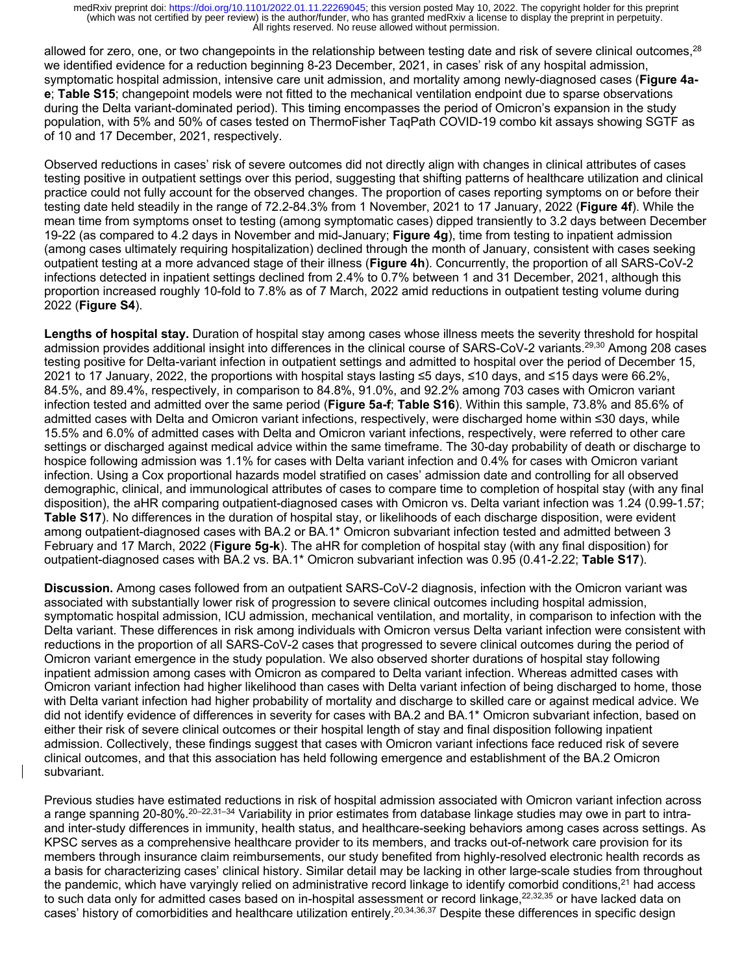allowed for zero, one, or two changepoints in the relationship between testing date and risk of severe clinical outcomes,<sup>28</sup> we identified evidence for a reduction beginning 8-23 December, 2021, in cases' risk of any hospital admission, symptomatic hospital admission, intensive care unit admission, and mortality among newly-diagnosed cases (**Figure 4ae**; **Table S15**; changepoint models were not fitted to the mechanical ventilation endpoint due to sparse observations during the Delta variant-dominated period). This timing encompasses the period of Omicron's expansion in the study population, with 5% and 50% of cases tested on ThermoFisher TaqPath COVID-19 combo kit assays showing SGTF as of 10 and 17 December, 2021, respectively.

Observed reductions in cases' risk of severe outcomes did not directly align with changes in clinical attributes of cases testing positive in outpatient settings over this period, suggesting that shifting patterns of healthcare utilization and clinical practice could not fully account for the observed changes. The proportion of cases reporting symptoms on or before their testing date held steadily in the range of 72.2-84.3% from 1 November, 2021 to 17 January, 2022 (**Figure 4f**). While the mean time from symptoms onset to testing (among symptomatic cases) dipped transiently to 3.2 days between December 19-22 (as compared to 4.2 days in November and mid-January; **Figure 4g**), time from testing to inpatient admission (among cases ultimately requiring hospitalization) declined through the month of January, consistent with cases seeking outpatient testing at a more advanced stage of their illness (**Figure 4h**). Concurrently, the proportion of all SARS-CoV-2 infections detected in inpatient settings declined from 2.4% to 0.7% between 1 and 31 December, 2021, although this proportion increased roughly 10-fold to 7.8% as of 7 March, 2022 amid reductions in outpatient testing volume during 2022 (**Figure S4**).

**Lengths of hospital stay.** Duration of hospital stay among cases whose illness meets the severity threshold for hospital admission provides additional insight into differences in the clinical course of SARS-CoV-2 variants.<sup>29,30</sup> Among 208 cases testing positive for Delta-variant infection in outpatient settings and admitted to hospital over the period of December 15, 2021 to 17 January, 2022, the proportions with hospital stays lasting ≤5 days, ≤10 days, and ≤15 days were 66.2%, 84.5%, and 89.4%, respectively, in comparison to 84.8%, 91.0%, and 92.2% among 703 cases with Omicron variant infection tested and admitted over the same period (**Figure 5a-f**; **Table S16**). Within this sample, 73.8% and 85.6% of admitted cases with Delta and Omicron variant infections, respectively, were discharged home within ≤30 days, while 15.5% and 6.0% of admitted cases with Delta and Omicron variant infections, respectively, were referred to other care settings or discharged against medical advice within the same timeframe. The 30-day probability of death or discharge to hospice following admission was 1.1% for cases with Delta variant infection and 0.4% for cases with Omicron variant infection. Using a Cox proportional hazards model stratified on cases' admission date and controlling for all observed demographic, clinical, and immunological attributes of cases to compare time to completion of hospital stay (with any final disposition), the aHR comparing outpatient-diagnosed cases with Omicron vs. Delta variant infection was 1.24 (0.99-1.57; **Table S17**). No differences in the duration of hospital stay, or likelihoods of each discharge disposition, were evident among outpatient-diagnosed cases with BA.2 or BA.1\* Omicron subvariant infection tested and admitted between 3 February and 17 March, 2022 (**Figure 5g-k**). The aHR for completion of hospital stay (with any final disposition) for outpatient-diagnosed cases with BA.2 vs. BA.1\* Omicron subvariant infection was 0.95 (0.41-2.22; **Table S17**).

**Discussion.** Among cases followed from an outpatient SARS-CoV-2 diagnosis, infection with the Omicron variant was associated with substantially lower risk of progression to severe clinical outcomes including hospital admission, symptomatic hospital admission, ICU admission, mechanical ventilation, and mortality, in comparison to infection with the Delta variant. These differences in risk among individuals with Omicron versus Delta variant infection were consistent with reductions in the proportion of all SARS-CoV-2 cases that progressed to severe clinical outcomes during the period of Omicron variant emergence in the study population. We also observed shorter durations of hospital stay following inpatient admission among cases with Omicron as compared to Delta variant infection. Whereas admitted cases with Omicron variant infection had higher likelihood than cases with Delta variant infection of being discharged to home, those with Delta variant infection had higher probability of mortality and discharge to skilled care or against medical advice. We did not identify evidence of differences in severity for cases with BA.2 and BA.1\* Omicron subvariant infection, based on either their risk of severe clinical outcomes or their hospital length of stay and final disposition following inpatient admission. Collectively, these findings suggest that cases with Omicron variant infections face reduced risk of severe clinical outcomes, and that this association has held following emergence and establishment of the BA.2 Omicron subvariant.

Previous studies have estimated reductions in risk of hospital admission associated with Omicron variant infection across a range spanning 20-80%.<sup>20-22,31-34</sup> Variability in prior estimates from database linkage studies may owe in part to intraand inter-study differences in immunity, health status, and healthcare-seeking behaviors among cases across settings. As KPSC serves as a comprehensive healthcare provider to its members, and tracks out-of-network care provision for its members through insurance claim reimbursements, our study benefited from highly-resolved electronic health records as a basis for characterizing cases' clinical history. Similar detail may be lacking in other large-scale studies from throughout the pandemic, which have varyingly relied on administrative record linkage to identify comorbid conditions, $2<sup>1</sup>$  had access to such data only for admitted cases based on in-hospital assessment or record linkage,<sup>22,32,35</sup> or have lacked data on cases' history of comorbidities and healthcare utilization entirely.<sup>20,34,36,37</sup> Despite these differences in specific design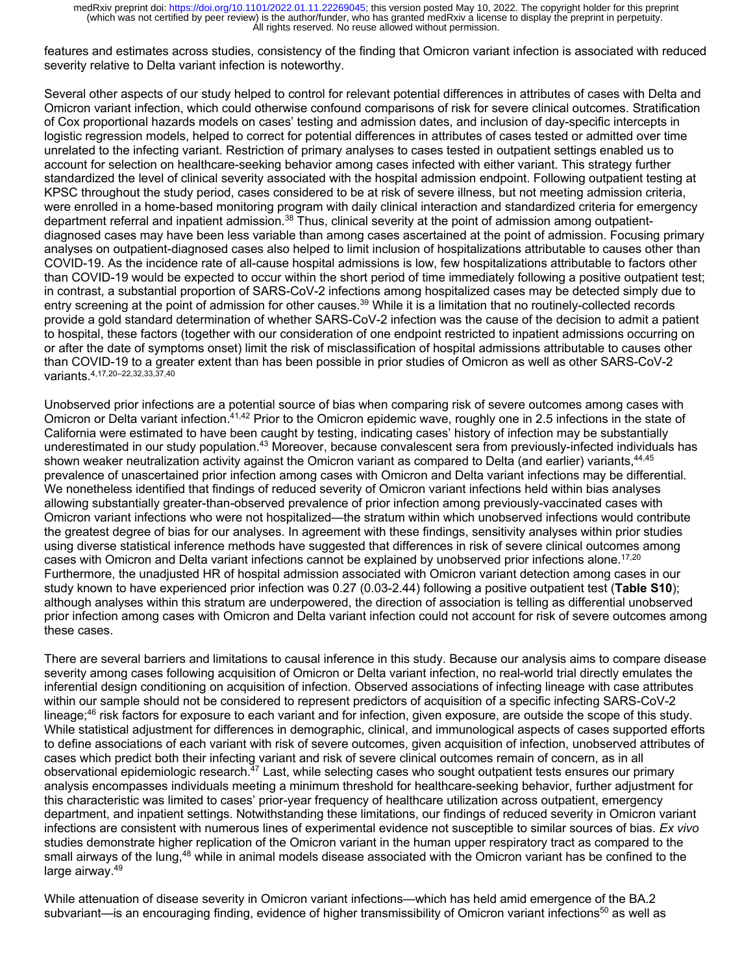features and estimates across studies, consistency of the finding that Omicron variant infection is associated with reduced severity relative to Delta variant infection is noteworthy.

Several other aspects of our study helped to control for relevant potential differences in attributes of cases with Delta and Omicron variant infection, which could otherwise confound comparisons of risk for severe clinical outcomes. Stratification of Cox proportional hazards models on cases' testing and admission dates, and inclusion of day-specific intercepts in logistic regression models, helped to correct for potential differences in attributes of cases tested or admitted over time unrelated to the infecting variant. Restriction of primary analyses to cases tested in outpatient settings enabled us to account for selection on healthcare-seeking behavior among cases infected with either variant. This strategy further standardized the level of clinical severity associated with the hospital admission endpoint. Following outpatient testing at KPSC throughout the study period, cases considered to be at risk of severe illness, but not meeting admission criteria, were enrolled in a home-based monitoring program with daily clinical interaction and standardized criteria for emergency department referral and inpatient admission.<sup>38</sup> Thus, clinical severity at the point of admission among outpatientdiagnosed cases may have been less variable than among cases ascertained at the point of admission. Focusing primary analyses on outpatient-diagnosed cases also helped to limit inclusion of hospitalizations attributable to causes other than COVID-19. As the incidence rate of all-cause hospital admissions is low, few hospitalizations attributable to factors other than COVID-19 would be expected to occur within the short period of time immediately following a positive outpatient test; in contrast, a substantial proportion of SARS-CoV-2 infections among hospitalized cases may be detected simply due to entry screening at the point of admission for other causes.<sup>39</sup> While it is a limitation that no routinely-collected records provide a gold standard determination of whether SARS-CoV-2 infection was the cause of the decision to admit a patient to hospital, these factors (together with our consideration of one endpoint restricted to inpatient admissions occurring on or after the date of symptoms onset) limit the risk of misclassification of hospital admissions attributable to causes other than COVID-19 to a greater extent than has been possible in prior studies of Omicron as well as other SARS-CoV-2 variants.4,17,20–22,32,33,37,40

Unobserved prior infections are a potential source of bias when comparing risk of severe outcomes among cases with Omicron or Delta variant infection.41,42 Prior to the Omicron epidemic wave, roughly one in 2.5 infections in the state of California were estimated to have been caught by testing, indicating cases' history of infection may be substantially underestimated in our study population.<sup>43</sup> Moreover, because convalescent sera from previously-infected individuals has shown weaker neutralization activity against the Omicron variant as compared to Delta (and earlier) variants,<sup>44,45</sup> prevalence of unascertained prior infection among cases with Omicron and Delta variant infections may be differential. We nonetheless identified that findings of reduced severity of Omicron variant infections held within bias analyses allowing substantially greater-than-observed prevalence of prior infection among previously-vaccinated cases with Omicron variant infections who were not hospitalized—the stratum within which unobserved infections would contribute the greatest degree of bias for our analyses. In agreement with these findings, sensitivity analyses within prior studies using diverse statistical inference methods have suggested that differences in risk of severe clinical outcomes among cases with Omicron and Delta variant infections cannot be explained by unobserved prior infections alone.<sup>17,20</sup> Furthermore, the unadjusted HR of hospital admission associated with Omicron variant detection among cases in our study known to have experienced prior infection was 0.27 (0.03-2.44) following a positive outpatient test (**Table S10**); although analyses within this stratum are underpowered, the direction of association is telling as differential unobserved prior infection among cases with Omicron and Delta variant infection could not account for risk of severe outcomes among these cases.

There are several barriers and limitations to causal inference in this study. Because our analysis aims to compare disease severity among cases following acquisition of Omicron or Delta variant infection, no real-world trial directly emulates the inferential design conditioning on acquisition of infection. Observed associations of infecting lineage with case attributes within our sample should not be considered to represent predictors of acquisition of a specific infecting SARS-CoV-2 lineage; $46$  risk factors for exposure to each variant and for infection, given exposure, are outside the scope of this study. While statistical adjustment for differences in demographic, clinical, and immunological aspects of cases supported efforts to define associations of each variant with risk of severe outcomes, given acquisition of infection, unobserved attributes of cases which predict both their infecting variant and risk of severe clinical outcomes remain of concern, as in all observational epidemiologic research.<sup>47</sup> Last, while selecting cases who sought outpatient tests ensures our primary analysis encompasses individuals meeting a minimum threshold for healthcare-seeking behavior, further adjustment for this characteristic was limited to cases' prior-year frequency of healthcare utilization across outpatient, emergency department, and inpatient settings. Notwithstanding these limitations, our findings of reduced severity in Omicron variant infections are consistent with numerous lines of experimental evidence not susceptible to similar sources of bias. *Ex vivo* studies demonstrate higher replication of the Omicron variant in the human upper respiratory tract as compared to the small airways of the lung,<sup>48</sup> while in animal models disease associated with the Omicron variant has be confined to the large airway.49

While attenuation of disease severity in Omicron variant infections—which has held amid emergence of the BA.2 subvariant—is an encouraging finding, evidence of higher transmissibility of Omicron variant infections<sup>50</sup> as well as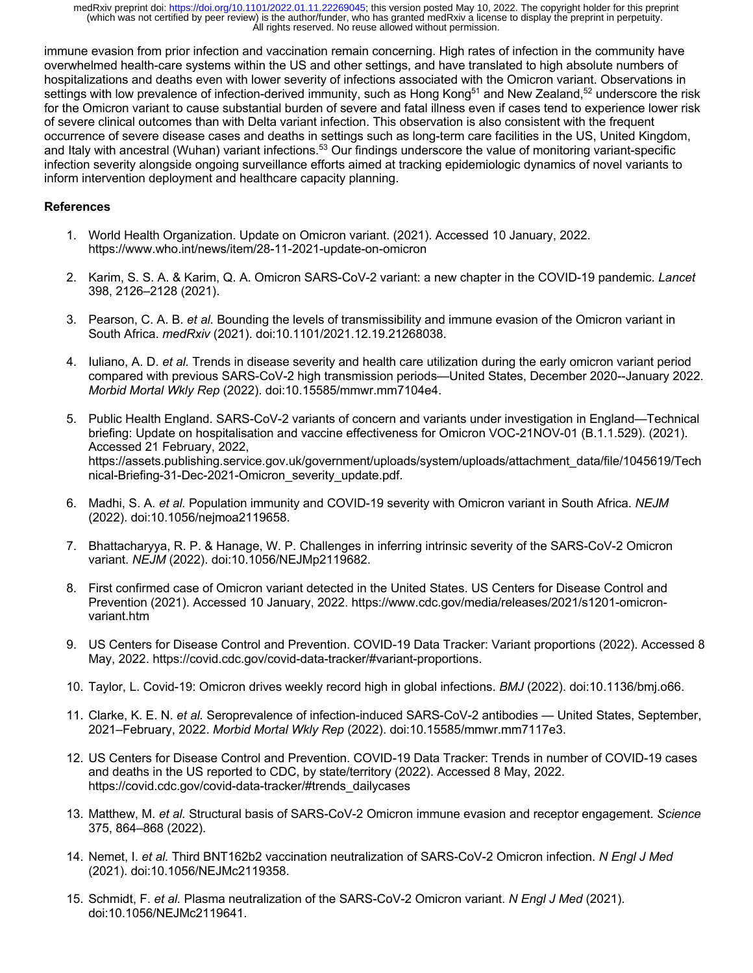immune evasion from prior infection and vaccination remain concerning. High rates of infection in the community have overwhelmed health-care systems within the US and other settings, and have translated to high absolute numbers of hospitalizations and deaths even with lower severity of infections associated with the Omicron variant. Observations in settings with low prevalence of infection-derived immunity, such as Hong Kong<sup>51</sup> and New Zealand,<sup>52</sup> underscore the risk for the Omicron variant to cause substantial burden of severe and fatal illness even if cases tend to experience lower risk of severe clinical outcomes than with Delta variant infection. This observation is also consistent with the frequent occurrence of severe disease cases and deaths in settings such as long-term care facilities in the US, United Kingdom, and Italy with ancestral (Wuhan) variant infections.<sup>53</sup> Our findings underscore the value of monitoring variant-specific infection severity alongside ongoing surveillance efforts aimed at tracking epidemiologic dynamics of novel variants to inform intervention deployment and healthcare capacity planning.

# **References**

- 1. World Health Organization. Update on Omicron variant. (2021). Accessed 10 January, 2022. https://www.who.int/news/item/28-11-2021-update-on-omicron
- 2. Karim, S. S. A. & Karim, Q. A. Omicron SARS-CoV-2 variant: a new chapter in the COVID-19 pandemic. *Lancet* 398, 2126–2128 (2021).
- 3. Pearson, C. A. B. *et al*. Bounding the levels of transmissibility and immune evasion of the Omicron variant in South Africa. *medRxiv* (2021). doi:10.1101/2021.12.19.21268038.
- 4. Iuliano, A. D. *et al.* Trends in disease severity and health care utilization during the early omicron variant period compared with previous SARS-CoV-2 high transmission periods—United States, December 2020--January 2022. *Morbid Mortal Wkly Rep* (2022). doi:10.15585/mmwr.mm7104e4.
- 5. Public Health England. SARS-CoV-2 variants of concern and variants under investigation in England—Technical briefing: Update on hospitalisation and vaccine effectiveness for Omicron VOC-21NOV-01 (B.1.1.529). (2021). Accessed 21 February, 2022, https://assets.publishing.service.gov.uk/government/uploads/system/uploads/attachment\_data/file/1045619/Tech nical-Briefing-31-Dec-2021-Omicron\_severity\_update.pdf.
- 6. Madhi, S. A. *et al.* Population immunity and COVID-19 severity with Omicron variant in South Africa. *NEJM* (2022). doi:10.1056/nejmoa2119658.
- 7. Bhattacharyya, R. P. & Hanage, W. P. Challenges in inferring intrinsic severity of the SARS-CoV-2 Omicron variant. *NEJM* (2022). doi:10.1056/NEJMp2119682.
- 8. First confirmed case of Omicron variant detected in the United States. US Centers for Disease Control and Prevention (2021). Accessed 10 January, 2022. https://www.cdc.gov/media/releases/2021/s1201-omicronvariant.htm
- 9. US Centers for Disease Control and Prevention. COVID-19 Data Tracker: Variant proportions (2022). Accessed 8 May, 2022. https://covid.cdc.gov/covid-data-tracker/#variant-proportions.
- 10. Taylor, L. Covid-19: Omicron drives weekly record high in global infections. *BMJ* (2022). doi:10.1136/bmj.o66.
- 11. Clarke, K. E. N. *et al.* Seroprevalence of infection-induced SARS-CoV-2 antibodies United States, September, 2021–February, 2022. *Morbid Mortal Wkly Rep* (2022). doi:10.15585/mmwr.mm7117e3.
- 12. US Centers for Disease Control and Prevention. COVID-19 Data Tracker: Trends in number of COVID-19 cases and deaths in the US reported to CDC, by state/territory (2022). Accessed 8 May, 2022. https://covid.cdc.gov/covid-data-tracker/#trends\_dailycases
- 13. Matthew, M. *et al.* Structural basis of SARS-CoV-2 Omicron immune evasion and receptor engagement. *Science*  375, 864–868 (2022).
- 14. Nemet, I. *et al.* Third BNT162b2 vaccination neutralization of SARS-CoV-2 Omicron infection. *N Engl J Med* (2021). doi:10.1056/NEJMc2119358.
- 15. Schmidt, F. *et al.* Plasma neutralization of the SARS-CoV-2 Omicron variant. *N Engl J Med* (2021). doi:10.1056/NEJMc2119641.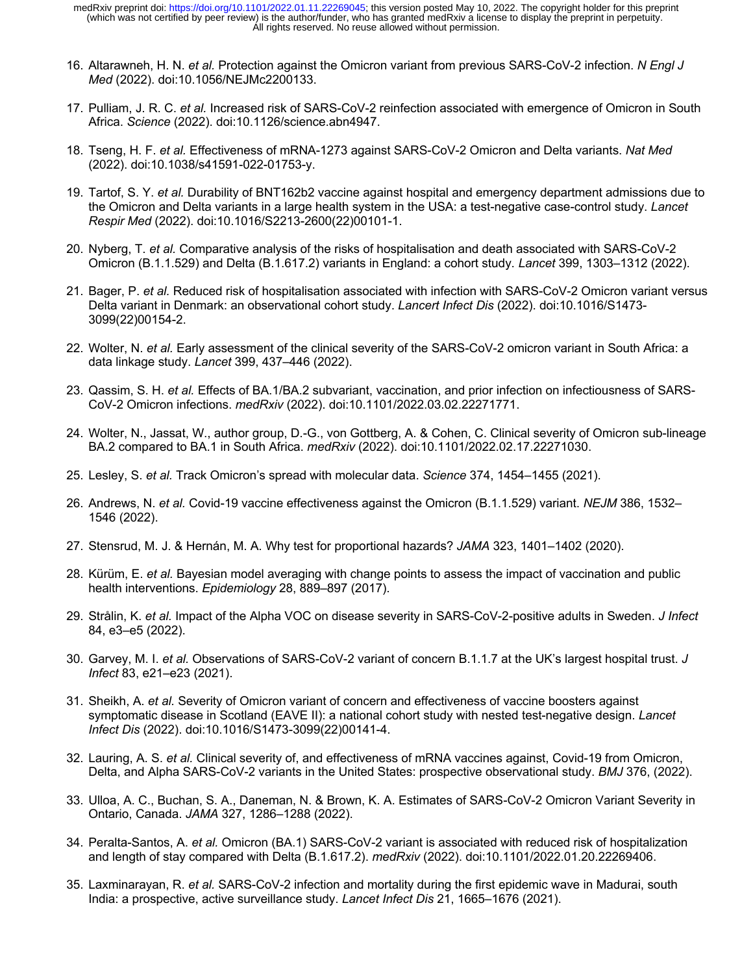- 16. Altarawneh, H. N. *et al.* Protection against the Omicron variant from previous SARS-CoV-2 infection. *N Engl J Med* (2022). doi:10.1056/NEJMc2200133.
- 17. Pulliam, J. R. C. *et al.* Increased risk of SARS-CoV-2 reinfection associated with emergence of Omicron in South Africa. *Science* (2022). doi:10.1126/science.abn4947.
- 18. Tseng, H. F. *et al.* Effectiveness of mRNA-1273 against SARS-CoV-2 Omicron and Delta variants. *Nat Med* (2022). doi:10.1038/s41591-022-01753-y.
- 19. Tartof, S. Y. *et al.* Durability of BNT162b2 vaccine against hospital and emergency department admissions due to the Omicron and Delta variants in a large health system in the USA: a test-negative case-control study. *Lancet Respir Med* (2022). doi:10.1016/S2213-2600(22)00101-1.
- 20. Nyberg, T. *et al.* Comparative analysis of the risks of hospitalisation and death associated with SARS-CoV-2 Omicron (B.1.1.529) and Delta (B.1.617.2) variants in England: a cohort study. *Lancet* 399, 1303–1312 (2022).
- 21. Bager, P. *et al.* Reduced risk of hospitalisation associated with infection with SARS-CoV-2 Omicron variant versus Delta variant in Denmark: an observational cohort study. *Lancert Infect Dis* (2022). doi:10.1016/S1473- 3099(22)00154-2.
- 22. Wolter, N. *et al.* Early assessment of the clinical severity of the SARS-CoV-2 omicron variant in South Africa: a data linkage study. *Lancet* 399, 437–446 (2022).
- 23. Qassim, S. H. *et al.* Effects of BA.1/BA.2 subvariant, vaccination, and prior infection on infectiousness of SARS-CoV-2 Omicron infections. *medRxiv* (2022). doi:10.1101/2022.03.02.22271771.
- 24. Wolter, N., Jassat, W., author group, D.-G., von Gottberg, A. & Cohen, C. Clinical severity of Omicron sub-lineage BA.2 compared to BA.1 in South Africa. *medRxiv* (2022). doi:10.1101/2022.02.17.22271030.
- 25. Lesley, S. *et al.* Track Omicron's spread with molecular data. *Science* 374, 1454–1455 (2021).
- 26. Andrews, N. *et al.* Covid-19 vaccine effectiveness against the Omicron (B.1.1.529) variant. *NEJM* 386, 1532– 1546 (2022).
- 27. Stensrud, M. J. & Hernán, M. A. Why test for proportional hazards? *JAMA* 323, 1401–1402 (2020).
- 28. Kürüm, E. *et al.* Bayesian model averaging with change points to assess the impact of vaccination and public health interventions. *Epidemiology* 28, 889–897 (2017).
- 29. Strålin, K. *et al.* Impact of the Alpha VOC on disease severity in SARS-CoV-2-positive adults in Sweden. *J Infect* 84, e3–e5 (2022).
- 30. Garvey, M. I. *et al.* Observations of SARS-CoV-2 variant of concern B.1.1.7 at the UK's largest hospital trust. *J Infect* 83, e21–e23 (2021).
- 31. Sheikh, A. *et al.* Severity of Omicron variant of concern and effectiveness of vaccine boosters against symptomatic disease in Scotland (EAVE II): a national cohort study with nested test-negative design. *Lancet Infect Dis* (2022). doi:10.1016/S1473-3099(22)00141-4.
- 32. Lauring, A. S. *et al.* Clinical severity of, and effectiveness of mRNA vaccines against, Covid-19 from Omicron, Delta, and Alpha SARS-CoV-2 variants in the United States: prospective observational study. *BMJ* 376, (2022).
- 33. Ulloa, A. C., Buchan, S. A., Daneman, N. & Brown, K. A. Estimates of SARS-CoV-2 Omicron Variant Severity in Ontario, Canada. *JAMA* 327, 1286–1288 (2022).
- 34. Peralta-Santos, A. *et al.* Omicron (BA.1) SARS-CoV-2 variant is associated with reduced risk of hospitalization and length of stay compared with Delta (B.1.617.2). *medRxiv* (2022). doi:10.1101/2022.01.20.22269406.
- 35. Laxminarayan, R. *et al.* SARS-CoV-2 infection and mortality during the first epidemic wave in Madurai, south India: a prospective, active surveillance study. *Lancet Infect Dis* 21, 1665–1676 (2021).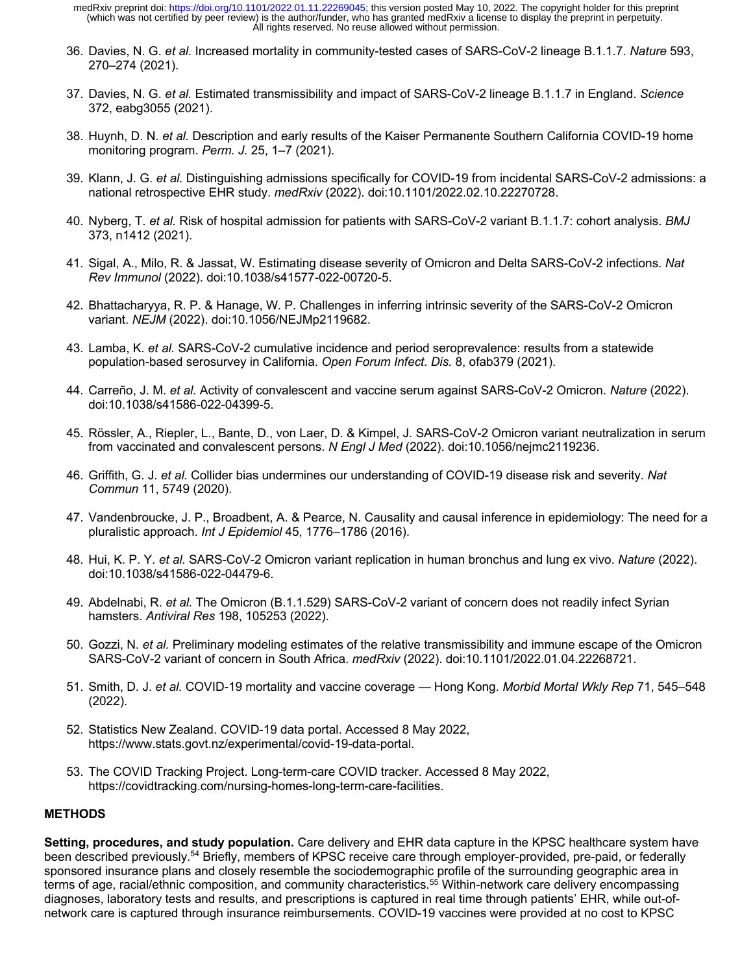- 36. Davies, N. G. *et al.* Increased mortality in community-tested cases of SARS-CoV-2 lineage B.1.1.7. *Nature* 593, 270–274 (2021).
- 37. Davies, N. G. *et al.* Estimated transmissibility and impact of SARS-CoV-2 lineage B.1.1.7 in England. *Science*  372, eabg3055 (2021).
- 38. Huynh, D. N. *et al.* Description and early results of the Kaiser Permanente Southern California COVID-19 home monitoring program. *Perm. J.* 25, 1–7 (2021).
- 39. Klann, J. G. *et al.* Distinguishing admissions specifically for COVID-19 from incidental SARS-CoV-2 admissions: a national retrospective EHR study. *medRxiv* (2022). doi:10.1101/2022.02.10.22270728.
- 40. Nyberg, T. *et al.* Risk of hospital admission for patients with SARS-CoV-2 variant B.1.1.7: cohort analysis. *BMJ*  373, n1412 (2021).
- 41. Sigal, A., Milo, R. & Jassat, W. Estimating disease severity of Omicron and Delta SARS-CoV-2 infections. *Nat Rev Immunol* (2022). doi:10.1038/s41577-022-00720-5.
- 42. Bhattacharyya, R. P. & Hanage, W. P. Challenges in inferring intrinsic severity of the SARS-CoV-2 Omicron variant. *NEJM* (2022). doi:10.1056/NEJMp2119682.
- 43. Lamba, K. *et al.* SARS-CoV-2 cumulative incidence and period seroprevalence: results from a statewide population-based serosurvey in California. *Open Forum Infect. Dis.* 8, ofab379 (2021).
- 44. Carreño, J. M. *et al.* Activity of convalescent and vaccine serum against SARS-CoV-2 Omicron. *Nature* (2022). doi:10.1038/s41586-022-04399-5.
- 45. Rössler, A., Riepler, L., Bante, D., von Laer, D. & Kimpel, J. SARS-CoV-2 Omicron variant neutralization in serum from vaccinated and convalescent persons. *N Engl J Med* (2022). doi:10.1056/nejmc2119236.
- 46. Griffith, G. J. *et al.* Collider bias undermines our understanding of COVID-19 disease risk and severity. *Nat Commun* 11, 5749 (2020).
- 47. Vandenbroucke, J. P., Broadbent, A. & Pearce, N. Causality and causal inference in epidemiology: The need for a pluralistic approach. *Int J Epidemiol* 45, 1776–1786 (2016).
- 48. Hui, K. P. Y. *et al.* SARS-CoV-2 Omicron variant replication in human bronchus and lung ex vivo. *Nature* (2022). doi:10.1038/s41586-022-04479-6.
- 49. Abdelnabi, R. *et al.* The Omicron (B.1.1.529) SARS-CoV-2 variant of concern does not readily infect Syrian hamsters. *Antiviral Res* 198, 105253 (2022).
- 50. Gozzi, N. *et al.* Preliminary modeling estimates of the relative transmissibility and immune escape of the Omicron SARS-CoV-2 variant of concern in South Africa. *medRxiv* (2022). doi:10.1101/2022.01.04.22268721.
- 51. Smith, D. J. *et al.* COVID-19 mortality and vaccine coverage Hong Kong. *Morbid Mortal Wkly Rep* 71, 545–548 (2022).
- 52. Statistics New Zealand. COVID-19 data portal. Accessed 8 May 2022, https://www.stats.govt.nz/experimental/covid-19-data-portal.
- 53. The COVID Tracking Project. Long-term-care COVID tracker. Accessed 8 May 2022, https://covidtracking.com/nursing-homes-long-term-care-facilities.

## **METHODS**

**Setting, procedures, and study population.** Care delivery and EHR data capture in the KPSC healthcare system have been described previously.<sup>54</sup> Briefly, members of KPSC receive care through employer-provided, pre-paid, or federally sponsored insurance plans and closely resemble the sociodemographic profile of the surrounding geographic area in terms of age, racial/ethnic composition, and community characteristics.<sup>55</sup> Within-network care delivery encompassing diagnoses, laboratory tests and results, and prescriptions is captured in real time through patients' EHR, while out-ofnetwork care is captured through insurance reimbursements. COVID-19 vaccines were provided at no cost to KPSC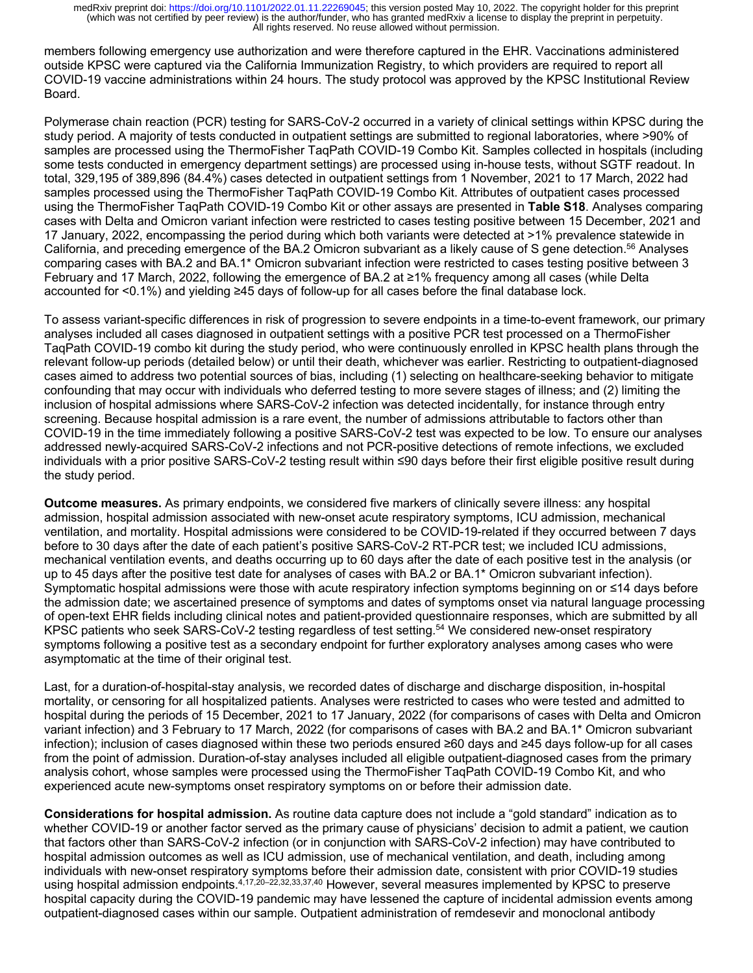members following emergency use authorization and were therefore captured in the EHR. Vaccinations administered outside KPSC were captured via the California Immunization Registry, to which providers are required to report all COVID-19 vaccine administrations within 24 hours. The study protocol was approved by the KPSC Institutional Review Board.

Polymerase chain reaction (PCR) testing for SARS-CoV-2 occurred in a variety of clinical settings within KPSC during the study period. A majority of tests conducted in outpatient settings are submitted to regional laboratories, where >90% of samples are processed using the ThermoFisher TaqPath COVID-19 Combo Kit. Samples collected in hospitals (including some tests conducted in emergency department settings) are processed using in-house tests, without SGTF readout. In total, 329,195 of 389,896 (84.4%) cases detected in outpatient settings from 1 November, 2021 to 17 March, 2022 had samples processed using the ThermoFisher TaqPath COVID-19 Combo Kit. Attributes of outpatient cases processed using the ThermoFisher TaqPath COVID-19 Combo Kit or other assays are presented in **Table S18**. Analyses comparing cases with Delta and Omicron variant infection were restricted to cases testing positive between 15 December, 2021 and 17 January, 2022, encompassing the period during which both variants were detected at >1% prevalence statewide in California, and preceding emergence of the BA.2 Omicron subvariant as a likely cause of S gene detection.56 Analyses comparing cases with BA.2 and BA.1\* Omicron subvariant infection were restricted to cases testing positive between 3 February and 17 March, 2022, following the emergence of BA.2 at ≥1% frequency among all cases (while Delta accounted for <0.1%) and yielding ≥45 days of follow-up for all cases before the final database lock.

To assess variant-specific differences in risk of progression to severe endpoints in a time-to-event framework, our primary analyses included all cases diagnosed in outpatient settings with a positive PCR test processed on a ThermoFisher TaqPath COVID-19 combo kit during the study period, who were continuously enrolled in KPSC health plans through the relevant follow-up periods (detailed below) or until their death, whichever was earlier. Restricting to outpatient-diagnosed cases aimed to address two potential sources of bias, including (1) selecting on healthcare-seeking behavior to mitigate confounding that may occur with individuals who deferred testing to more severe stages of illness; and (2) limiting the inclusion of hospital admissions where SARS-CoV-2 infection was detected incidentally, for instance through entry screening. Because hospital admission is a rare event, the number of admissions attributable to factors other than COVID-19 in the time immediately following a positive SARS-CoV-2 test was expected to be low. To ensure our analyses addressed newly-acquired SARS-CoV-2 infections and not PCR-positive detections of remote infections, we excluded individuals with a prior positive SARS-CoV-2 testing result within ≤90 days before their first eligible positive result during the study period.

**Outcome measures.** As primary endpoints, we considered five markers of clinically severe illness: any hospital admission, hospital admission associated with new-onset acute respiratory symptoms, ICU admission, mechanical ventilation, and mortality. Hospital admissions were considered to be COVID-19-related if they occurred between 7 days before to 30 days after the date of each patient's positive SARS-CoV-2 RT-PCR test; we included ICU admissions, mechanical ventilation events, and deaths occurring up to 60 days after the date of each positive test in the analysis (or up to 45 days after the positive test date for analyses of cases with BA.2 or BA.1\* Omicron subvariant infection). Symptomatic hospital admissions were those with acute respiratory infection symptoms beginning on or ≤14 days before the admission date; we ascertained presence of symptoms and dates of symptoms onset via natural language processing of open-text EHR fields including clinical notes and patient-provided questionnaire responses, which are submitted by all KPSC patients who seek SARS-CoV-2 testing regardless of test setting. <sup>54</sup> We considered new-onset respiratory symptoms following a positive test as a secondary endpoint for further exploratory analyses among cases who were asymptomatic at the time of their original test.

Last, for a duration-of-hospital-stay analysis, we recorded dates of discharge and discharge disposition, in-hospital mortality, or censoring for all hospitalized patients. Analyses were restricted to cases who were tested and admitted to hospital during the periods of 15 December, 2021 to 17 January, 2022 (for comparisons of cases with Delta and Omicron variant infection) and 3 February to 17 March, 2022 (for comparisons of cases with BA.2 and BA.1\* Omicron subvariant infection); inclusion of cases diagnosed within these two periods ensured ≥60 days and ≥45 days follow-up for all cases from the point of admission. Duration-of-stay analyses included all eligible outpatient-diagnosed cases from the primary analysis cohort, whose samples were processed using the ThermoFisher TaqPath COVID-19 Combo Kit, and who experienced acute new-symptoms onset respiratory symptoms on or before their admission date.

**Considerations for hospital admission.** As routine data capture does not include a "gold standard" indication as to whether COVID-19 or another factor served as the primary cause of physicians' decision to admit a patient, we caution that factors other than SARS-CoV-2 infection (or in conjunction with SARS-CoV-2 infection) may have contributed to hospital admission outcomes as well as ICU admission, use of mechanical ventilation, and death, including among individuals with new-onset respiratory symptoms before their admission date, consistent with prior COVID-19 studies using hospital admission endpoints.<sup>4,17,20–22,32,33,37,40</sup> However, several measures implemented by KPSC to preserve hospital capacity during the COVID-19 pandemic may have lessened the capture of incidental admission events among outpatient-diagnosed cases within our sample. Outpatient administration of remdesevir and monoclonal antibody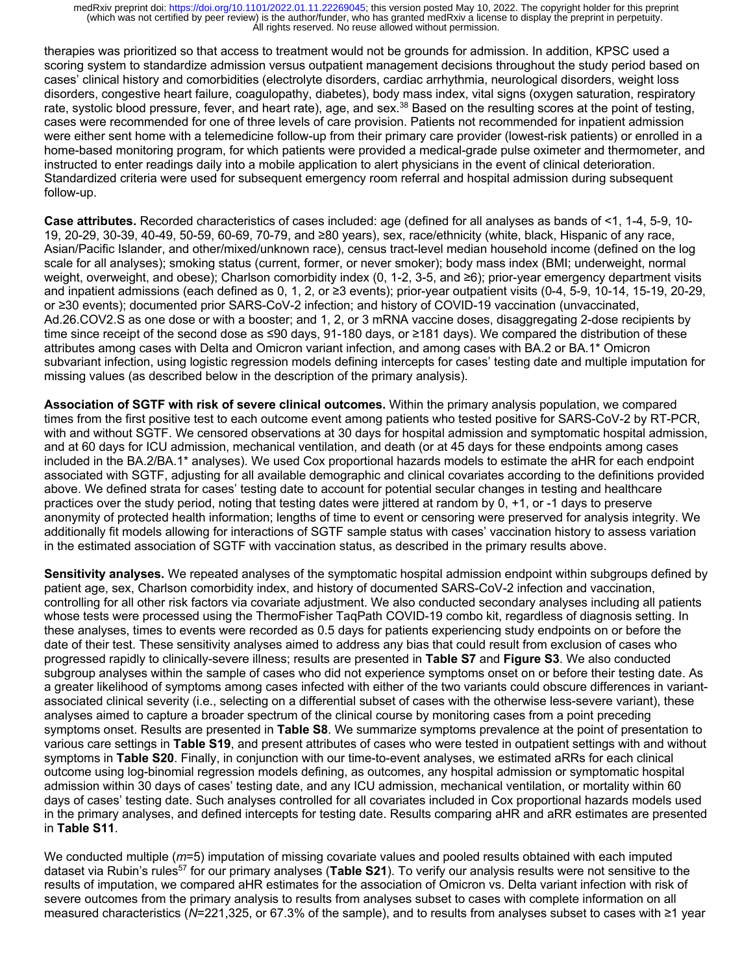therapies was prioritized so that access to treatment would not be grounds for admission. In addition, KPSC used a scoring system to standardize admission versus outpatient management decisions throughout the study period based on cases' clinical history and comorbidities (electrolyte disorders, cardiac arrhythmia, neurological disorders, weight loss disorders, congestive heart failure, coagulopathy, diabetes), body mass index, vital signs (oxygen saturation, respiratory rate, systolic blood pressure, fever, and heart rate), age, and sex.<sup>38</sup> Based on the resulting scores at the point of testing, cases were recommended for one of three levels of care provision. Patients not recommended for inpatient admission were either sent home with a telemedicine follow-up from their primary care provider (lowest-risk patients) or enrolled in a home-based monitoring program, for which patients were provided a medical-grade pulse oximeter and thermometer, and instructed to enter readings daily into a mobile application to alert physicians in the event of clinical deterioration. Standardized criteria were used for subsequent emergency room referral and hospital admission during subsequent follow-up.

**Case attributes.** Recorded characteristics of cases included: age (defined for all analyses as bands of <1, 1-4, 5-9, 10- 19, 20-29, 30-39, 40-49, 50-59, 60-69, 70-79, and ≥80 years), sex, race/ethnicity (white, black, Hispanic of any race, Asian/Pacific Islander, and other/mixed/unknown race), census tract-level median household income (defined on the log scale for all analyses); smoking status (current, former, or never smoker); body mass index (BMI; underweight, normal weight, overweight, and obese); Charlson comorbidity index (0, 1-2, 3-5, and ≥6); prior-year emergency department visits and inpatient admissions (each defined as 0, 1, 2, or ≥3 events); prior-year outpatient visits (0-4, 5-9, 10-14, 15-19, 20-29, or ≥30 events); documented prior SARS-CoV-2 infection; and history of COVID-19 vaccination (unvaccinated, Ad.26.COV2.S as one dose or with a booster; and 1, 2, or 3 mRNA vaccine doses, disaggregating 2-dose recipients by time since receipt of the second dose as ≤90 days, 91-180 days, or ≥181 days). We compared the distribution of these attributes among cases with Delta and Omicron variant infection, and among cases with BA.2 or BA.1\* Omicron subvariant infection, using logistic regression models defining intercepts for cases' testing date and multiple imputation for missing values (as described below in the description of the primary analysis).

**Association of SGTF with risk of severe clinical outcomes.** Within the primary analysis population, we compared times from the first positive test to each outcome event among patients who tested positive for SARS-CoV-2 by RT-PCR, with and without SGTF. We censored observations at 30 days for hospital admission and symptomatic hospital admission, and at 60 days for ICU admission, mechanical ventilation, and death (or at 45 days for these endpoints among cases included in the BA.2/BA.1\* analyses). We used Cox proportional hazards models to estimate the aHR for each endpoint associated with SGTF, adjusting for all available demographic and clinical covariates according to the definitions provided above. We defined strata for cases' testing date to account for potential secular changes in testing and healthcare practices over the study period, noting that testing dates were jittered at random by 0, +1, or -1 days to preserve anonymity of protected health information; lengths of time to event or censoring were preserved for analysis integrity. We additionally fit models allowing for interactions of SGTF sample status with cases' vaccination history to assess variation in the estimated association of SGTF with vaccination status, as described in the primary results above.

**Sensitivity analyses.** We repeated analyses of the symptomatic hospital admission endpoint within subgroups defined by patient age, sex, Charlson comorbidity index, and history of documented SARS-CoV-2 infection and vaccination, controlling for all other risk factors via covariate adjustment. We also conducted secondary analyses including all patients whose tests were processed using the ThermoFisher TaqPath COVID-19 combo kit, regardless of diagnosis setting. In these analyses, times to events were recorded as 0.5 days for patients experiencing study endpoints on or before the date of their test. These sensitivity analyses aimed to address any bias that could result from exclusion of cases who progressed rapidly to clinically-severe illness; results are presented in **Table S7** and **Figure S3**. We also conducted subgroup analyses within the sample of cases who did not experience symptoms onset on or before their testing date. As a greater likelihood of symptoms among cases infected with either of the two variants could obscure differences in variantassociated clinical severity (i.e., selecting on a differential subset of cases with the otherwise less-severe variant), these analyses aimed to capture a broader spectrum of the clinical course by monitoring cases from a point preceding symptoms onset. Results are presented in **Table S8**. We summarize symptoms prevalence at the point of presentation to various care settings in **Table S19**, and present attributes of cases who were tested in outpatient settings with and without symptoms in **Table S20**. Finally, in conjunction with our time-to-event analyses, we estimated aRRs for each clinical outcome using log-binomial regression models defining, as outcomes, any hospital admission or symptomatic hospital admission within 30 days of cases' testing date, and any ICU admission, mechanical ventilation, or mortality within 60 days of cases' testing date. Such analyses controlled for all covariates included in Cox proportional hazards models used in the primary analyses, and defined intercepts for testing date. Results comparing aHR and aRR estimates are presented in **Table S11**.

We conducted multiple (*m*=5) imputation of missing covariate values and pooled results obtained with each imputed dataset via Rubin's rules<sup>57</sup> for our primary analyses (Table S21). To verify our analysis results were not sensitive to the results of imputation, we compared aHR estimates for the association of Omicron vs. Delta variant infection with risk of severe outcomes from the primary analysis to results from analyses subset to cases with complete information on all measured characteristics (*N*=221,325, or 67.3% of the sample), and to results from analyses subset to cases with ≥1 year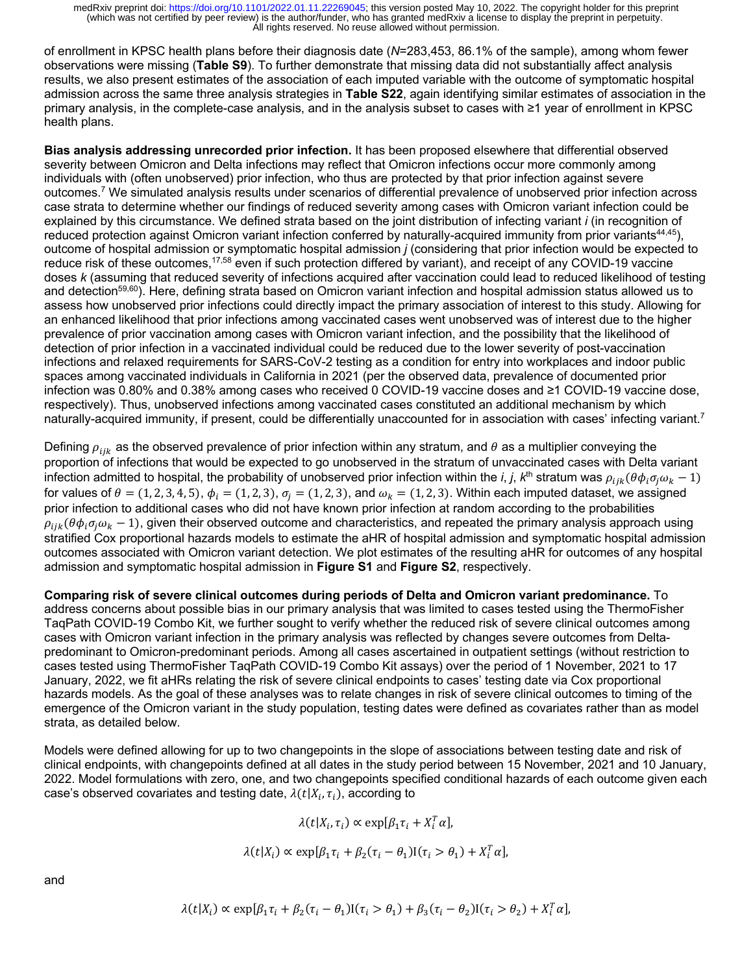of enrollment in KPSC health plans before their diagnosis date (*N*=283,453, 86.1% of the sample), among whom fewer observations were missing (**Table S9**). To further demonstrate that missing data did not substantially affect analysis results, we also present estimates of the association of each imputed variable with the outcome of symptomatic hospital admission across the same three analysis strategies in **Table S22**, again identifying similar estimates of association in the primary analysis, in the complete-case analysis, and in the analysis subset to cases with ≥1 year of enrollment in KPSC health plans.

**Bias analysis addressing unrecorded prior infection.** It has been proposed elsewhere that differential observed severity between Omicron and Delta infections may reflect that Omicron infections occur more commonly among individuals with (often unobserved) prior infection, who thus are protected by that prior infection against severe outcomes.7 We simulated analysis results under scenarios of differential prevalence of unobserved prior infection across case strata to determine whether our findings of reduced severity among cases with Omicron variant infection could be explained by this circumstance. We defined strata based on the joint distribution of infecting variant *i* (in recognition of reduced protection against Omicron variant infection conferred by naturally-acquired immunity from prior variants<sup>44,45</sup>), outcome of hospital admission or symptomatic hospital admission *j* (considering that prior infection would be expected to reduce risk of these outcomes,<sup>17,58</sup> even if such protection differed by variant), and receipt of any COVID-19 vaccine doses *k* (assuming that reduced severity of infections acquired after vaccination could lead to reduced likelihood of testing and detection<sup>59,60</sup>). Here, defining strata based on Omicron variant infection and hospital admission status allowed us to assess how unobserved prior infections could directly impact the primary association of interest to this study. Allowing for an enhanced likelihood that prior infections among vaccinated cases went unobserved was of interest due to the higher prevalence of prior vaccination among cases with Omicron variant infection, and the possibility that the likelihood of detection of prior infection in a vaccinated individual could be reduced due to the lower severity of post-vaccination infections and relaxed requirements for SARS-CoV-2 testing as a condition for entry into workplaces and indoor public spaces among vaccinated individuals in California in 2021 (per the observed data, prevalence of documented prior infection was 0.80% and 0.38% among cases who received 0 COVID-19 vaccine doses and ≥1 COVID-19 vaccine dose, respectively). Thus, unobserved infections among vaccinated cases constituted an additional mechanism by which naturally-acquired immunity, if present, could be differentially unaccounted for in association with cases' infecting variant.<sup>7</sup>

Defining  $\rho_{iik}$  as the observed prevalence of prior infection within any stratum, and  $\theta$  as a multiplier conveying the proportion of infections that would be expected to go unobserved in the stratum of unvaccinated cases with Delta variant infection admitted to hospital, the probability of unobserved prior infection within the *i*, *j*,  $k<sup>th</sup>$  stratum was  $\rho_{iik}(\theta \phi_i \sigma_i \omega_k - 1)$ for values of  $\theta = (1, 2, 3, 4, 5), \phi_i = (1, 2, 3), \sigma_i = (1, 2, 3),$  and  $\omega_k = (1, 2, 3)$ . Within each imputed dataset, we assigned prior infection to additional cases who did not have known prior infection at random according to the probabilities  $\rho_{ijk}(\theta\phi_i\sigma_i\omega_k - 1)$ , given their observed outcome and characteristics, and repeated the primary analysis approach using stratified Cox proportional hazards models to estimate the aHR of hospital admission and symptomatic hospital admission outcomes associated with Omicron variant detection. We plot estimates of the resulting aHR for outcomes of any hospital admission and symptomatic hospital admission in **Figure S1** and **Figure S2**, respectively.

**Comparing risk of severe clinical outcomes during periods of Delta and Omicron variant predominance.** To address concerns about possible bias in our primary analysis that was limited to cases tested using the ThermoFisher TaqPath COVID-19 Combo Kit, we further sought to verify whether the reduced risk of severe clinical outcomes among cases with Omicron variant infection in the primary analysis was reflected by changes severe outcomes from Deltapredominant to Omicron-predominant periods. Among all cases ascertained in outpatient settings (without restriction to cases tested using ThermoFisher TaqPath COVID-19 Combo Kit assays) over the period of 1 November, 2021 to 17 January, 2022, we fit aHRs relating the risk of severe clinical endpoints to cases' testing date via Cox proportional hazards models. As the goal of these analyses was to relate changes in risk of severe clinical outcomes to timing of the emergence of the Omicron variant in the study population, testing dates were defined as covariates rather than as model strata, as detailed below.

Models were defined allowing for up to two changepoints in the slope of associations between testing date and risk of clinical endpoints, with changepoints defined at all dates in the study period between 15 November, 2021 and 10 January, 2022. Model formulations with zero, one, and two changepoints specified conditional hazards of each outcome given each case's observed covariates and testing date,  $\lambda(t|X_i, \tau_i)$ , according to

$$
\lambda(t|X_i, \tau_i) \propto \exp[\beta_1 \tau_i + X_i^T \alpha],
$$

$$
\lambda(t|X_i) \propto \exp[\beta_1 \tau_i + \beta_2 (\tau_i - \theta_1) \mathbf{I}(\tau_i > \theta_1) + X_i^T \alpha],
$$

and

$$
\lambda(t|X_i) \propto \exp[\beta_1 \tau_i + \beta_2 (\tau_i - \theta_1) \mathbf{I}(\tau_i > \theta_1) + \beta_3 (\tau_i - \theta_2) \mathbf{I}(\tau_i > \theta_2) + X_i^T \alpha],
$$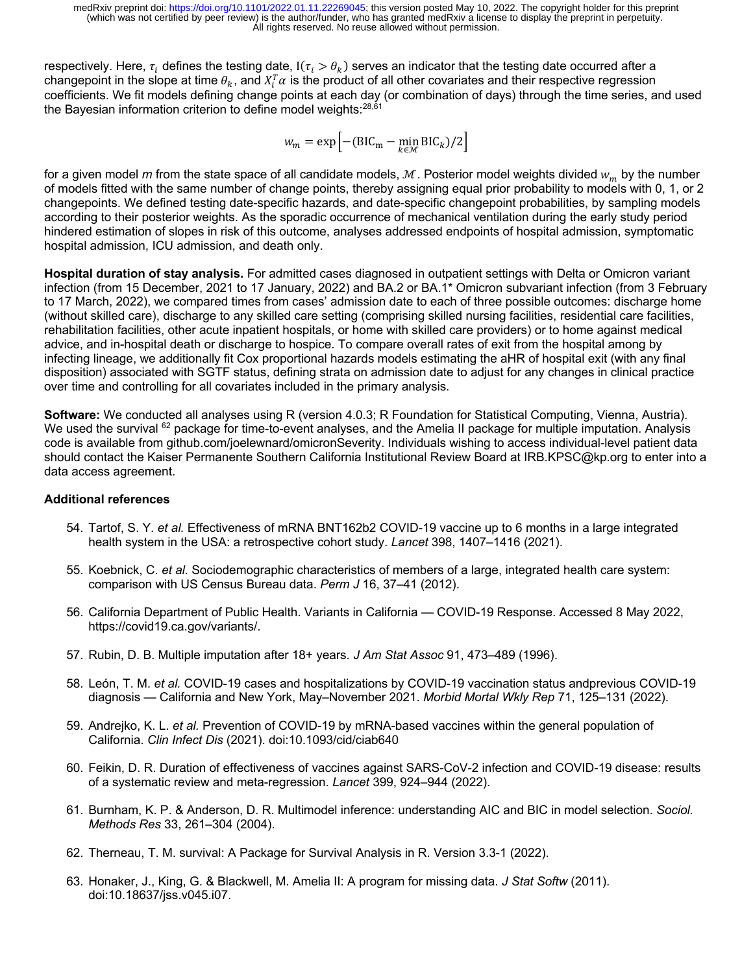respectively. Here,  $\tau_i$  defines the testing date, I( $\tau_i > \theta_k$ ) serves an indicator that the testing date occurred after a changepoint in the slope at time  $\theta_k$ , and  $X_i^T\alpha$  is the product of all other covariates and their respective regression coefficients. We fit models defining change points at each day (or combination of days) through the time series, and used the Bayesian information criterion to define model weights: 28,61

$$
w_m = \exp\left[-(\text{BIC}_\text{m} - \min_{k \in \mathcal{M}} \text{BIC}_k)/2\right]
$$

for a given model *m* from the state space of all candidate models,  $M$ . Posterior model weights divided  $w_m$  by the number of models fitted with the same number of change points, thereby assigning equal prior probability to models with 0, 1, or 2 changepoints. We defined testing date-specific hazards, and date-specific changepoint probabilities, by sampling models according to their posterior weights. As the sporadic occurrence of mechanical ventilation during the early study period hindered estimation of slopes in risk of this outcome, analyses addressed endpoints of hospital admission, symptomatic hospital admission, ICU admission, and death only.

**Hospital duration of stay analysis.** For admitted cases diagnosed in outpatient settings with Delta or Omicron variant infection (from 15 December, 2021 to 17 January, 2022) and BA.2 or BA.1\* Omicron subvariant infection (from 3 February to 17 March, 2022), we compared times from cases' admission date to each of three possible outcomes: discharge home (without skilled care), discharge to any skilled care setting (comprising skilled nursing facilities, residential care facilities, rehabilitation facilities, other acute inpatient hospitals, or home with skilled care providers) or to home against medical advice, and in-hospital death or discharge to hospice. To compare overall rates of exit from the hospital among by infecting lineage, we additionally fit Cox proportional hazards models estimating the aHR of hospital exit (with any final disposition) associated with SGTF status, defining strata on admission date to adjust for any changes in clinical practice over time and controlling for all covariates included in the primary analysis.

**Software:** We conducted all analyses using R (version 4.0.3; R Foundation for Statistical Computing, Vienna, Austria). We used the survival <sup>62</sup> package for time-to-event analyses, and the Amelia II package for multiple imputation. Analysis code is available from github.com/joelewnard/omicronSeverity. Individuals wishing to access individual-level patient data should contact the Kaiser Permanente Southern California Institutional Review Board at IRB.KPSC@kp.org to enter into a data access agreement.

## **Additional references**

- 54. Tartof, S. Y. *et al.* Effectiveness of mRNA BNT162b2 COVID-19 vaccine up to 6 months in a large integrated health system in the USA: a retrospective cohort study. *Lancet* 398, 1407–1416 (2021).
- 55. Koebnick, C. *et al.* Sociodemographic characteristics of members of a large, integrated health care system: comparison with US Census Bureau data. *Perm J* 16, 37–41 (2012).
- 56. California Department of Public Health. Variants in California COVID-19 Response. Accessed 8 May 2022, https://covid19.ca.gov/variants/.
- 57. Rubin, D. B. Multiple imputation after 18+ years. *J Am Stat Assoc* 91, 473–489 (1996).
- 58. León, T. M. *et al.* COVID-19 cases and hospitalizations by COVID-19 vaccination status andprevious COVID-19 diagnosis — California and New York, May–November 2021. *Morbid Mortal Wkly Rep* 71, 125–131 (2022).
- 59. Andrejko, K. L. *et al.* Prevention of COVID-19 by mRNA-based vaccines within the general population of California. *Clin Infect Dis* (2021). doi:10.1093/cid/ciab640
- 60. Feikin, D. R. Duration of effectiveness of vaccines against SARS-CoV-2 infection and COVID-19 disease: results of a systematic review and meta-regression. *Lancet* 399, 924–944 (2022).
- 61. Burnham, K. P. & Anderson, D. R. Multimodel inference: understanding AIC and BIC in model selection. *Sociol. Methods Res* 33, 261–304 (2004).
- 62. Therneau, T. M. survival: A Package for Survival Analysis in R. Version 3.3-1 (2022).
- 63. Honaker, J., King, G. & Blackwell, M. Amelia II: A program for missing data. *J Stat Softw* (2011). doi:10.18637/jss.v045.i07.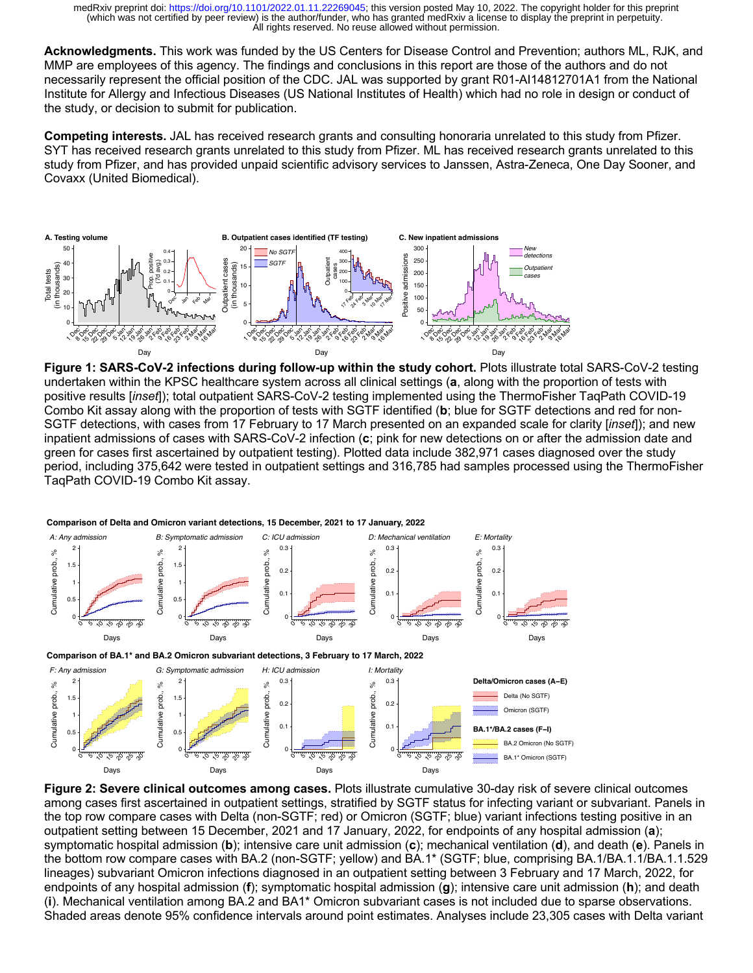**Acknowledgments.** This work was funded by the US Centers for Disease Control and Prevention; authors ML, RJK, and MMP are employees of this agency. The findings and conclusions in this report are those of the authors and do not necessarily represent the official position of the CDC. JAL was supported by grant R01-AI14812701A1 from the National Institute for Allergy and Infectious Diseases (US National Institutes of Health) which had no role in design or conduct of the study, or decision to submit for publication.

**Competing interests.** JAL has received research grants and consulting honoraria unrelated to this study from Pfizer. SYT has received research grants unrelated to this study from Pfizer. ML has received research grants unrelated to this study from Pfizer, and has provided unpaid scientific advisory services to Janssen, Astra-Zeneca, One Day Sooner, and Covaxx (United Biomedical).



**Figure 1: SARS-CoV-2 infections during follow-up within the study cohort.** Plots illustrate total SARS-CoV-2 testing undertaken within the KPSC healthcare system across all clinical settings (**a**, along with the proportion of tests with positive results [*inset*]); total outpatient SARS-CoV-2 testing implemented using the ThermoFisher TaqPath COVID-19 Combo Kit assay along with the proportion of tests with SGTF identified (**b**; blue for SGTF detections and red for non-SGTF detections, with cases from 17 February to 17 March presented on an expanded scale for clarity [*inset*]); and new inpatient admissions of cases with SARS-CoV-2 infection (**c**; pink for new detections on or after the admission date and green for cases first ascertained by outpatient testing). Plotted data include 382,971 cases diagnosed over the study period, including 375,642 were tested in outpatient settings and 316,785 had samples processed using the ThermoFisher TaqPath COVID-19 Combo Kit assay.



**Comparison of Delta and Omicron variant detections, 15 December, 2021 to 17 January, 2022**

**Figure 2: Severe clinical outcomes among cases.** Plots illustrate cumulative 30-day risk of severe clinical outcomes among cases first ascertained in outpatient settings, stratified by SGTF status for infecting variant or subvariant. Panels in the top row compare cases with Delta (non-SGTF; red) or Omicron (SGTF; blue) variant infections testing positive in an outpatient setting between 15 December, 2021 and 17 January, 2022, for endpoints of any hospital admission (**a**); symptomatic hospital admission (**b**); intensive care unit admission (**c**); mechanical ventilation (**d**), and death (**e**). Panels in the bottom row compare cases with BA.2 (non-SGTF; yellow) and BA.1\* (SGTF; blue, comprising BA.1/BA.1.1/BA.1.1.529 lineages) subvariant Omicron infections diagnosed in an outpatient setting between 3 February and 17 March, 2022, for endpoints of any hospital admission (**f**); symptomatic hospital admission (**g**); intensive care unit admission (**h**); and death (**i**). Mechanical ventilation among BA.2 and BA1\* Omicron subvariant cases is not included due to sparse observations. Shaded areas denote 95% confidence intervals around point estimates. Analyses include 23,305 cases with Delta variant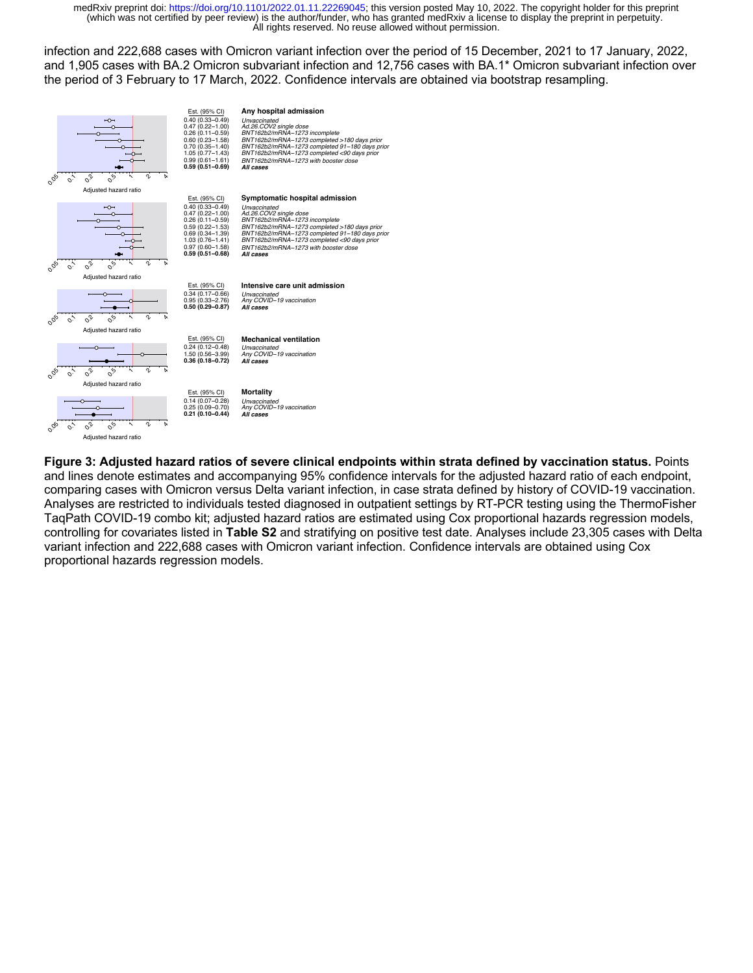infection and 222,688 cases with Omicron variant infection over the period of 15 December, 2021 to 17 January, 2022, and 1,905 cases with BA.2 Omicron subvariant infection and 12,756 cases with BA.1\* Omicron subvariant infection over the period of 3 February to 17 March, 2022. Confidence intervals are obtained via bootstrap resampling.



**Figure 3: Adjusted hazard ratios of severe clinical endpoints within strata defined by vaccination status.** Points and lines denote estimates and accompanying 95% confidence intervals for the adjusted hazard ratio of each endpoint, comparing cases with Omicron versus Delta variant infection, in case strata defined by history of COVID-19 vaccination. Analyses are restricted to individuals tested diagnosed in outpatient settings by RT-PCR testing using the ThermoFisher TaqPath COVID-19 combo kit; adjusted hazard ratios are estimated using Cox proportional hazards regression models, controlling for covariates listed in **Table S2** and stratifying on positive test date. Analyses include 23,305 cases with Delta variant infection and 222,688 cases with Omicron variant infection. Confidence intervals are obtained using Cox proportional hazards regression models.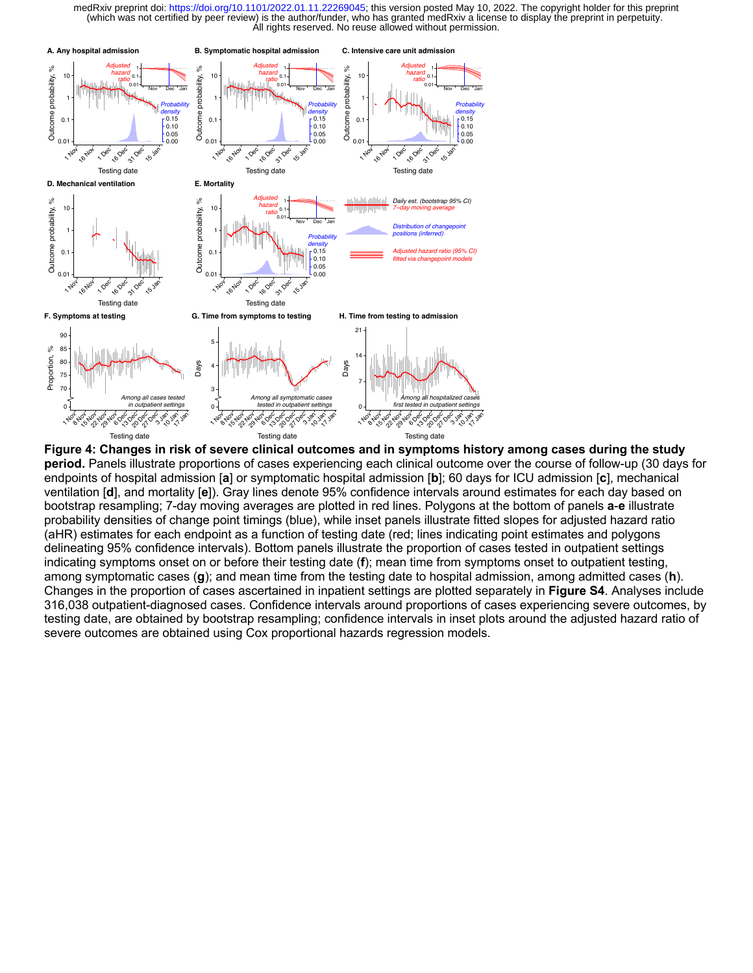

**Figure 4: Changes in risk of severe clinical outcomes and in symptoms history among cases during the study period.** Panels illustrate proportions of cases experiencing each clinical outcome over the course of follow-up (30 days for endpoints of hospital admission [**a**] or symptomatic hospital admission [**b**]; 60 days for ICU admission [**c**], mechanical ventilation [**d**], and mortality [**e**]). Gray lines denote 95% confidence intervals around estimates for each day based on bootstrap resampling; 7-day moving averages are plotted in red lines. Polygons at the bottom of panels **a**-**e** illustrate probability densities of change point timings (blue), while inset panels illustrate fitted slopes for adjusted hazard ratio (aHR) estimates for each endpoint as a function of testing date (red; lines indicating point estimates and polygons delineating 95% confidence intervals). Bottom panels illustrate the proportion of cases tested in outpatient settings indicating symptoms onset on or before their testing date (**f**); mean time from symptoms onset to outpatient testing, among symptomatic cases (**g**); and mean time from the testing date to hospital admission, among admitted cases (**h**). Changes in the proportion of cases ascertained in inpatient settings are plotted separately in **Figure S4**. Analyses include 316,038 outpatient-diagnosed cases. Confidence intervals around proportions of cases experiencing severe outcomes, by testing date, are obtained by bootstrap resampling; confidence intervals in inset plots around the adjusted hazard ratio of severe outcomes are obtained using Cox proportional hazards regression models.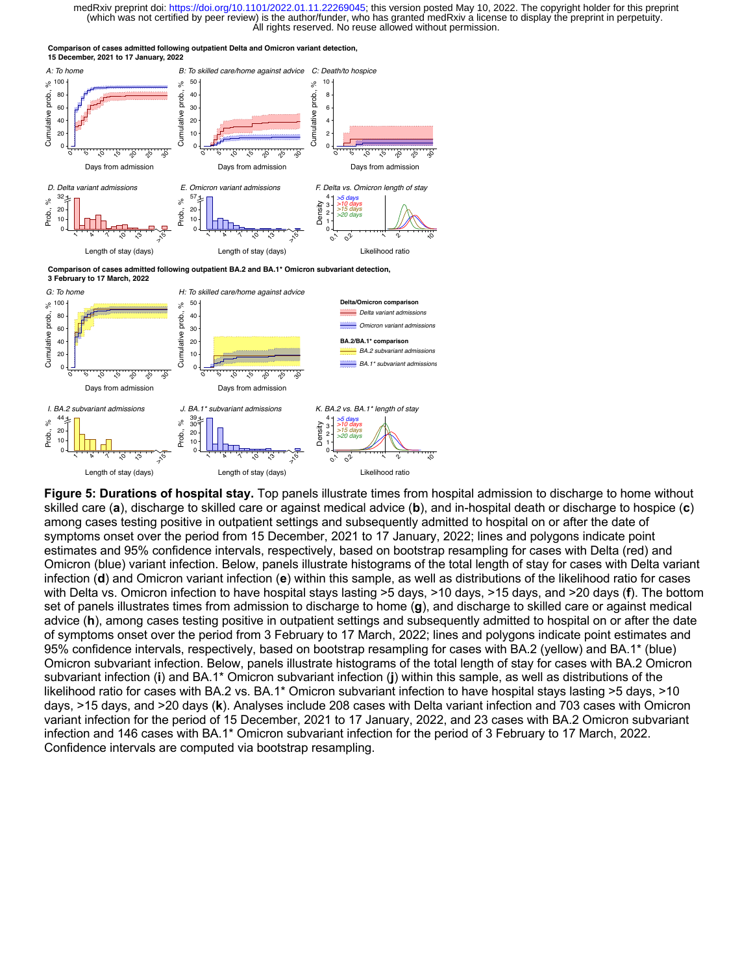**Comparison of cases admitted following outpatient Delta and Omicron variant detection, 15 December, 2021 to 17 January, 2022**



**Comparison of cases admitted following outpatient BA.2 and BA.1\* Omicron subvariant detection,**



**Figure 5: Durations of hospital stay.** Top panels illustrate times from hospital admission to discharge to home without skilled care (**a**), discharge to skilled care or against medical advice (**b**), and in-hospital death or discharge to hospice (**c**) among cases testing positive in outpatient settings and subsequently admitted to hospital on or after the date of symptoms onset over the period from 15 December, 2021 to 17 January, 2022; lines and polygons indicate point estimates and 95% confidence intervals, respectively, based on bootstrap resampling for cases with Delta (red) and Omicron (blue) variant infection. Below, panels illustrate histograms of the total length of stay for cases with Delta variant infection (**d**) and Omicron variant infection (**e**) within this sample, as well as distributions of the likelihood ratio for cases with Delta vs. Omicron infection to have hospital stays lasting >5 days, >10 days, >15 days, and >20 days (**f**). The bottom set of panels illustrates times from admission to discharge to home (**g**), and discharge to skilled care or against medical advice (**h**), among cases testing positive in outpatient settings and subsequently admitted to hospital on or after the date of symptoms onset over the period from 3 February to 17 March, 2022; lines and polygons indicate point estimates and 95% confidence intervals, respectively, based on bootstrap resampling for cases with BA.2 (yellow) and BA.1\* (blue) Omicron subvariant infection. Below, panels illustrate histograms of the total length of stay for cases with BA.2 Omicron subvariant infection (**i**) and BA.1\* Omicron subvariant infection (**j**) within this sample, as well as distributions of the likelihood ratio for cases with BA.2 vs. BA.1\* Omicron subvariant infection to have hospital stays lasting >5 days, >10 days, >15 days, and >20 days (**k**). Analyses include 208 cases with Delta variant infection and 703 cases with Omicron variant infection for the period of 15 December, 2021 to 17 January, 2022, and 23 cases with BA.2 Omicron subvariant infection and 146 cases with BA.1\* Omicron subvariant infection for the period of 3 February to 17 March, 2022. Confidence intervals are computed via bootstrap resampling.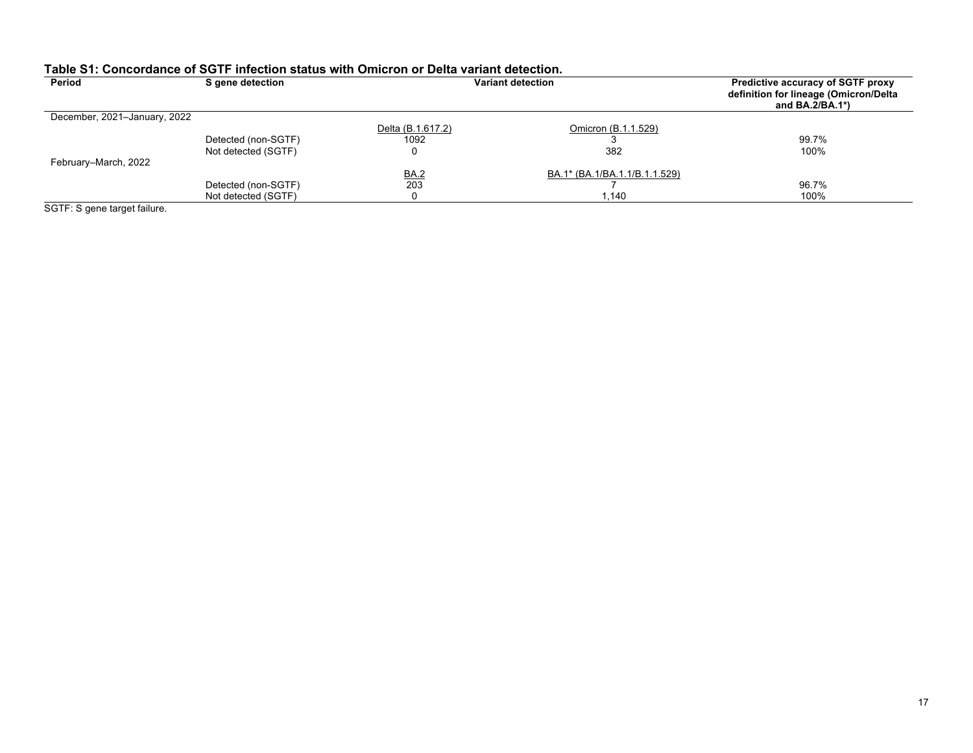| Period                       | S gene detection    |                   | Variant detection             | Predictive accuracy of SGTF proxy<br>definition for lineage (Omicron/Delta<br>and $BA.2/BA.1*$ ) |
|------------------------------|---------------------|-------------------|-------------------------------|--------------------------------------------------------------------------------------------------|
| December, 2021-January, 2022 |                     |                   |                               |                                                                                                  |
|                              |                     | Delta (B.1.617.2) | Omicron (B.1.1.529)           |                                                                                                  |
|                              | Detected (non-SGTF) | 1092              |                               | 99.7%                                                                                            |
|                              | Not detected (SGTF) |                   | 382                           | 100%                                                                                             |
| February-March, 2022         |                     |                   |                               |                                                                                                  |
|                              |                     | <b>BA.2</b>       | BA.1* (BA.1/BA.1.1/B.1.1.529) |                                                                                                  |
|                              | Detected (non-SGTF) | 203               |                               | 96.7%                                                                                            |
|                              | Not detected (SGTF) |                   | 1.140                         | 100%                                                                                             |

# **Table S1: Concordance of SGTF infection status with Omicron or Delta variant detection.**

SGTF: S gene target failure.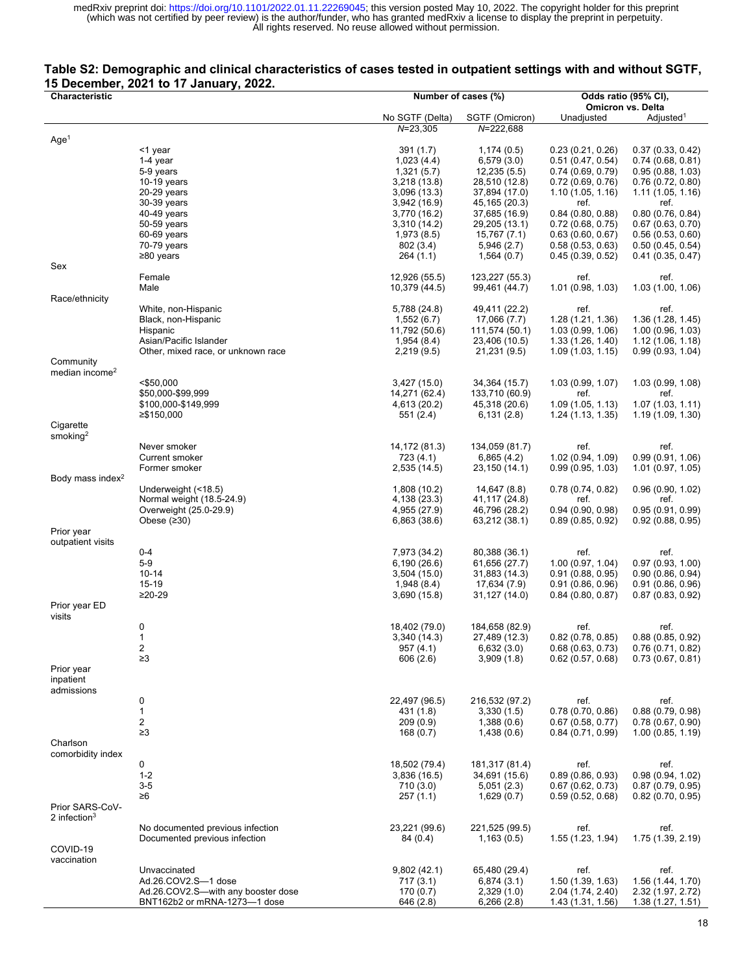### **Table S2: Demographic and clinical characteristics of cases tested in outpatient settings with and without SGTF, 15 December, 2021 to 17 January, 2022.**

| Characteristic               | Number of cases (%)                      |                               | Odds ratio (95% CI),            |                                         |                                      |
|------------------------------|------------------------------------------|-------------------------------|---------------------------------|-----------------------------------------|--------------------------------------|
|                              |                                          |                               |                                 |                                         | <b>Omicron vs. Delta</b>             |
|                              |                                          | No SGTF (Delta)               | SGTF (Omicron)                  | Unadjusted                              | Adjusted <sup>1</sup>                |
| Age <sup>1</sup>             |                                          | $N = 23,305$                  | $N = 222,688$                   |                                         |                                      |
|                              | <1 year                                  | 391 (1.7)                     | 1,174(0.5)                      | 0.23(0.21, 0.26)                        | 0.37(0.33, 0.42)                     |
|                              | 1-4 year                                 | 1,023(4.4)                    | 6,579(3.0)                      | 0.51(0.47, 0.54)                        | 0.74(0.68, 0.81)                     |
|                              | 5-9 years                                | 1,321(5.7)                    | 12,235 (5.5)                    | 0.74(0.69, 0.79)                        | 0.95(0.88, 1.03)                     |
|                              | $10-19$ years                            | 3,218 (13.8)                  | 28,510 (12.8)                   | 0.72(0.69, 0.76)                        | 0.76(0.72, 0.80)                     |
|                              | 20-29 years                              | 3,096 (13.3)                  | 37,894 (17.0)                   | 1.10(1.05, 1.16)                        | 1.11(1.05, 1.16)                     |
|                              | 30-39 years                              | 3,942 (16.9)                  | 45, 165 (20.3)                  | ref.                                    | ref.                                 |
|                              | $40-49$ years                            | 3,770 (16.2)                  | 37,685 (16.9)                   | 0.84(0.80, 0.88)                        | 0.80(0.76, 0.84)                     |
|                              | 50-59 years                              | 3,310 (14.2)                  | 29,205 (13.1)                   | 0.72(0.68, 0.75)                        | 0.67(0.63, 0.70)                     |
|                              | 60-69 years                              | 1,973 (8.5)                   | 15,767 (7.1)                    | 0.63(0.60, 0.67)                        | 0.56(0.53, 0.60)                     |
|                              | 70-79 years                              | 802 (3.4)                     | 5,946(2.7)                      | 0.58(0.53, 0.63)                        | 0.50(0.45, 0.54)                     |
|                              | $\geq 80$ years                          | 264 (1.1)                     | 1,564(0.7)                      | 0.45(0.39, 0.52)                        | 0.41(0.35, 0.47)                     |
| Sex                          | Female                                   | 12,926 (55.5)                 | 123,227 (55.3)                  | ref.                                    | ref.                                 |
|                              | Male                                     | 10,379 (44.5)                 | 99,461 (44.7)                   | 1.01 (0.98, 1.03)                       | 1.03(1.00, 1.06)                     |
| Race/ethnicity               |                                          |                               |                                 |                                         |                                      |
|                              | White, non-Hispanic                      | 5,788 (24.8)                  | 49,411 (22.2)                   | ref.                                    | ref.                                 |
|                              | Black, non-Hispanic                      | 1,552(6.7)                    | 17,066 (7.7)                    | 1.28 (1.21, 1.36)                       | 1.36(1.28, 1.45)                     |
|                              | Hispanic                                 | 11,792 (50.6)                 | 111,574 (50.1)                  | 1.03(0.99, 1.06)                        | 1.00(0.96, 1.03)                     |
|                              | Asian/Pacific Islander                   | 1,954 (8.4)                   | 23,406 (10.5)                   | 1.33(1.26, 1.40)                        | 1.12(1.06, 1.18)                     |
|                              | Other, mixed race, or unknown race       | 2,219 (9.5)                   | 21,231 (9.5)                    | 1.09(1.03, 1.15)                        | 0.99(0.93, 1.04)                     |
| Community                    |                                          |                               |                                 |                                         |                                      |
| median income <sup>2</sup>   |                                          |                               |                                 |                                         |                                      |
|                              | $<$ \$50,000                             | 3,427(15.0)                   | 34,364 (15.7)                   | 1.03(0.99, 1.07)                        | 1.03(0.99, 1.08)                     |
|                              | \$50,000-\$99,999<br>\$100,000-\$149,999 | 14,271 (62.4)<br>4,613 (20.2) | 133,710 (60.9)<br>45,318 (20.6) | ref.<br>1.09(1.05, 1.13)                | ref.<br>1.07(1.03, 1.11)             |
|                              | ≥\$150,000                               | 551 (2.4)                     | 6,131(2.8)                      | 1.24 (1.13, 1.35)                       | 1.19(1.09, 1.30)                     |
| Cigarette                    |                                          |                               |                                 |                                         |                                      |
| smoking <sup>2</sup>         |                                          |                               |                                 |                                         |                                      |
|                              | Never smoker                             | 14,172 (81.3)                 | 134,059 (81.7)                  | ref.                                    | ref.                                 |
|                              | Current smoker                           | 723 (4.1)                     | 6,865(4.2)                      | 1.02 (0.94, 1.09)                       | 0.99(0.91, 1.06)                     |
|                              | Former smoker                            | 2,535 (14.5)                  | 23,150 (14.1)                   | 0.99(0.95, 1.03)                        | 1.01(0.97, 1.05)                     |
| Body mass index <sup>2</sup> |                                          |                               |                                 |                                         |                                      |
|                              | Underweight (<18.5)                      | 1,808 (10.2)                  | 14,647 (8.8)                    | 0.78(0.74, 0.82)                        | 0.96(0.90, 1.02)                     |
|                              | Normal weight (18.5-24.9)                | 4,138 (23.3)                  | 41,117 (24.8)                   | ref.                                    | ref.                                 |
|                              | Overweight (25.0-29.9)                   | 4,955 (27.9)                  | 46,796 (28.2)                   | 0.94(0.90, 0.98)                        | 0.95(0.91, 0.99)                     |
| Prior year                   | Obese $(230)$                            | 6,863 (38.6)                  | 63,212 (38.1)                   | 0.89(0.85, 0.92)                        | 0.92(0.88, 0.95)                     |
| outpatient visits            |                                          |                               |                                 |                                         |                                      |
|                              | $0 - 4$                                  | 7,973 (34.2)                  | 80,388 (36.1)                   | ref.                                    | ref.                                 |
|                              | $5-9$                                    | 6,190 (26.6)                  | 61,656 (27.7)                   | 1.00(0.97, 1.04)                        | 0.97(0.93, 1.00)                     |
|                              | $10 - 14$                                | 3,504 (15.0)                  | 31,883 (14.3)                   | 0.91(0.88, 0.95)                        | 0.90(0.86, 0.94)                     |
|                              | 15-19                                    | 1,948 (8.4)                   | 17,634 (7.9)                    | 0.91(0.86, 0.96)                        | 0.91(0.86, 0.96)                     |
|                              | $≥20-29$                                 | 3,690 (15.8)                  | 31,127 (14.0)                   | 0.84(0.80, 0.87)                        | 0.87(0.83, 0.92)                     |
| Prior year ED                |                                          |                               |                                 |                                         |                                      |
| visits                       |                                          |                               |                                 |                                         |                                      |
|                              | 0                                        | 18,402 (79.0)                 | 184,658 (82.9)                  | ref.                                    | ref.                                 |
|                              | $\mathbf{1}$                             | 3,340 (14.3)                  | 27,489 (12.3)                   | $0.82$ (0.78, 0.85)                     | 0.88(0.85, 0.92)                     |
|                              | $\overline{\mathbf{c}}$<br>$\geq 3$      | 957(4.1)<br>606(2.6)          | 6,632(3.0)<br>3,909(1.8)        | 0.68(0.63, 0.73)<br>$0.62$ (0.57, 0.68) | 0.76(0.71, 0.82)<br>0.73(0.67, 0.81) |
| Prior year                   |                                          |                               |                                 |                                         |                                      |
| inpatient                    |                                          |                               |                                 |                                         |                                      |
| admissions                   |                                          |                               |                                 |                                         |                                      |
|                              | 0                                        | 22,497 (96.5)                 | 216,532 (97.2)                  | ref.                                    | ref.                                 |
|                              | $\mathbf{1}$                             | 431 (1.8)                     | 3,330(1.5)                      | 0.78(0.70, 0.86)                        | 0.88(0.79, 0.98)                     |
|                              | $\overline{c}$                           | 209(0.9)                      | 1,388(0.6)                      | 0.67(0.58, 0.77)                        | 0.78(0.67, 0.90)                     |
|                              | $\geq$ 3                                 | 168(0.7)                      | 1,438(0.6)                      | 0.84(0.71, 0.99)                        | 1.00(0.85, 1.19)                     |
| Charlson                     |                                          |                               |                                 |                                         |                                      |
| comorbidity index            |                                          |                               |                                 |                                         |                                      |
|                              | $\mathbf 0$                              | 18,502 (79.4)                 | 181, 317 (81.4)                 | ref.                                    | ref.                                 |
|                              | $1 - 2$                                  | 3,836(16.5)                   | 34,691 (15.6)                   | 0.89(0.86, 0.93)                        | 0.98(0.94, 1.02)                     |
|                              | $3-5$<br>$\geq 6$                        | 710(3.0)<br>257(1.1)          | 5,051(2.3)<br>1,629(0.7)        | 0.67(0.62, 0.73)<br>0.59(0.52, 0.68)    | 0.87(0.79, 0.95)                     |
| Prior SARS-CoV-              |                                          |                               |                                 |                                         | 0.82(0.70, 0.95)                     |
| 2 infection $3$              |                                          |                               |                                 |                                         |                                      |
|                              | No documented previous infection         | 23,221 (99.6)                 | 221,525 (99.5)                  | ref.                                    | ref.                                 |
|                              | Documented previous infection            | 84 (0.4)                      | 1,163(0.5)                      | 1.55 (1.23, 1.94)                       | 1.75 (1.39, 2.19)                    |
| COVID-19                     |                                          |                               |                                 |                                         |                                      |
| vaccination                  |                                          |                               |                                 |                                         |                                      |
|                              | Unvaccinated                             | 9,802(42.1)                   | 65,480 (29.4)                   | ref.                                    | ref.                                 |
|                              | Ad.26.COV2.S-1 dose                      | 717(3.1)                      | 6,874(3.1)                      | 1.50 (1.39, 1.63)                       | 1.56 (1.44, 1.70)                    |
|                              | Ad.26.COV2.S-with any booster dose       | 170(0.7)                      | 2,329(1.0)                      | 2.04 (1.74, 2.40)                       | 2.32 (1.97, 2.72)                    |
|                              | BNT162b2 or mRNA-1273-1 dose             | 646 (2.8)                     | 6,266(2.8)                      | 1.43 (1.31, 1.56)                       | 1.38(1.27, 1.51)                     |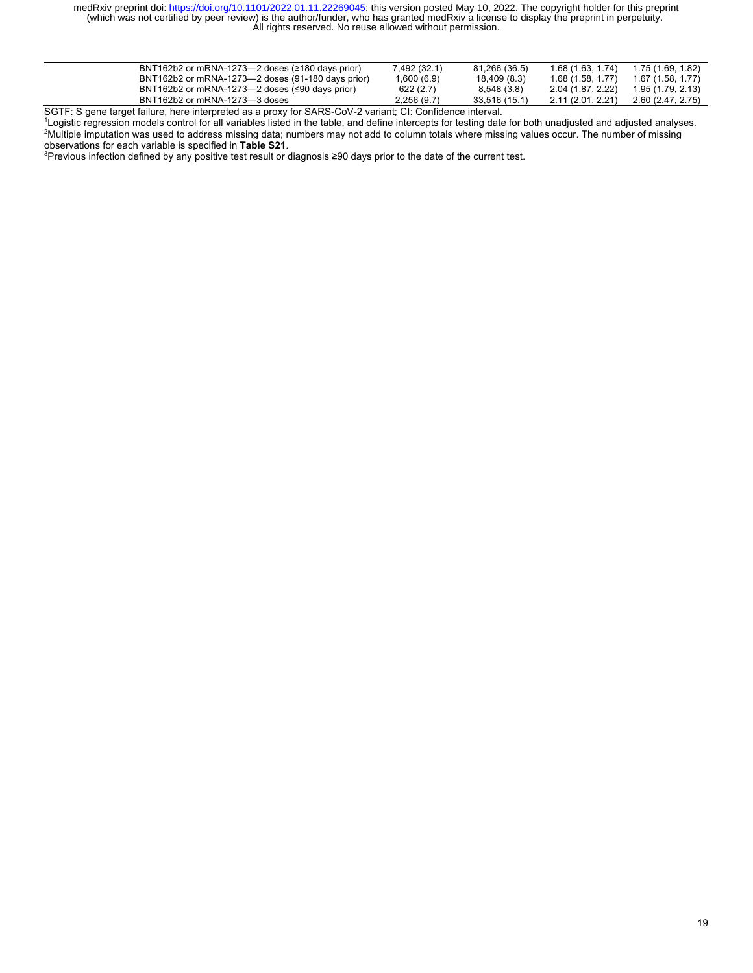| BNT162b2 or mRNA-1273- $\rightarrow$ doses ( $\ge$ 180 days prior) | 7,492 (32.1) | 81,266 (36.5) | 1.68 (1.63, 1.74) | 1.75 (1.69, 1.82) |
|--------------------------------------------------------------------|--------------|---------------|-------------------|-------------------|
| BNT162b2 or mRNA-1273-2 doses (91-180 days prior)                  | 1,600(6.9)   | 18,409 (8.3)  | 1.68 (1.58, 1.77) | 1.67(1.58, 1.77)  |
| BNT162b2 or mRNA-1273-2 doses $(≤90 \text{ days prior})$           | 622(2.7)     | 8,548 (3.8)   | 2.04 (1.87, 2.22) | 1.95 (1.79, 2.13) |
| BNT162b2 or mRNA-1273-3 doses                                      | 2,256(9.7)   | 33,516 (15.1) | 2.11 (2.01, 2.21) | 2.60 (2.47, 2.75) |
|                                                                    |              |               |                   |                   |

SGTF: S gene target failure, here interpreted as a proxy for SARS-CoV-2 variant; CI: Confidence interval.

1 Logistic regression models control for all variables listed in the table, and define intercepts for testing date for both unadjusted and adjusted analyses. 2 Multiple imputation was used to address missing data; numbers may not add to column totals where missing values occur. The number of missing observations for each variable is specified in **Table S21**.

<sup>3</sup>Previous infection defined by any positive test result or diagnosis ≥90 days prior to the date of the current test.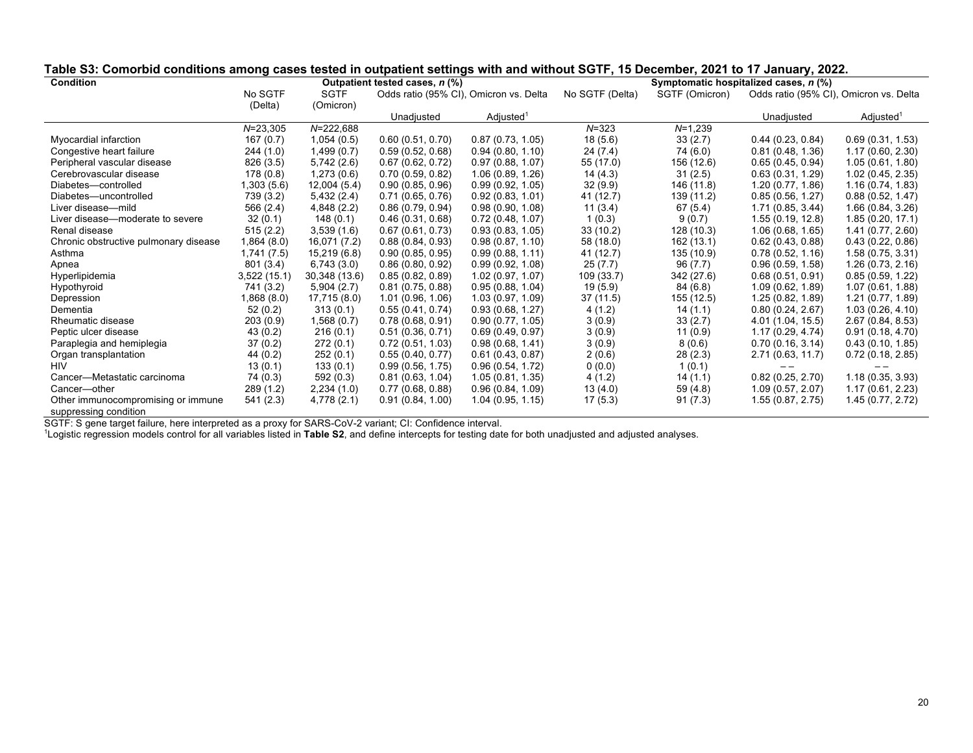| <b>Condition</b>                      |              |               | Outpatient tested cases, n (%) |                                        |                 |                | Symptomatic hospitalized cases, n (%)  |                       |
|---------------------------------------|--------------|---------------|--------------------------------|----------------------------------------|-----------------|----------------|----------------------------------------|-----------------------|
|                                       | No SGTF      | <b>SGTF</b>   |                                | Odds ratio (95% CI), Omicron vs. Delta | No SGTF (Delta) | SGTF (Omicron) | Odds ratio (95% CI), Omicron vs. Delta |                       |
|                                       | (Delta)      | (Omicron)     |                                |                                        |                 |                |                                        |                       |
|                                       |              |               | Unadjusted                     | Adjusted <sup>1</sup>                  |                 |                | Unadjusted                             | Adjusted <sup>1</sup> |
|                                       | $N = 23,305$ | $N = 222,688$ |                                |                                        | $N = 323$       | $N=1,239$      |                                        |                       |
| Myocardial infarction                 | 167(0.7)     | 1,054(0.5)    | 0.60(0.51, 0.70)               | 0.87(0.73, 1.05)                       | 18(5.6)         | 33(2.7)        | 0.44(0.23, 0.84)                       | 0.69(0.31, 1.53)      |
| Congestive heart failure              | 244(1.0)     | 1,499(0.7)    | 0.59(0.52, 0.68)               | 0.94(0.80, 1.10)                       | 24(7.4)         | 74 (6.0)       | 0.81(0.48, 1.36)                       | 1.17(0.60, 2.30)      |
| Peripheral vascular disease           | 826 (3.5)    | 5,742(2.6)    | 0.67(0.62, 0.72)               | 0.97(0.88, 1.07)                       | 55 (17.0)       | 156 (12.6)     | 0.65(0.45, 0.94)                       | 1.05(0.61, 1.80)      |
| Cerebrovascular disease               | 178(0.8)     | 1,273(0.6)    | 0.70(0.59, 0.82)               | 1.06(0.89, 1.26)                       | 14(4.3)         | 31(2.5)        | 0.63(0.31, 1.29)                       | 1.02(0.45, 2.35)      |
| Diabetes-controlled                   | 1,303 (5.6)  | 12,004(5.4)   | 0.90(0.85, 0.96)               | 0.99(0.92, 1.05)                       | 32(9.9)         | 146 (11.8)     | 1.20(0.77, 1.86)                       | 1.16(0.74, 1.83)      |
| Diabetes-uncontrolled                 | 739 (3.2)    | 5,432(2.4)    | 0.71(0.65, 0.76)               | 0.92(0.83, 1.01)                       | 41 (12.7)       | 139 (11.2)     | 0.85(0.56, 1.27)                       | 0.88(0.52, 1.47)      |
| Liver disease-mild                    | 566 (2.4)    | 4,848 (2.2)   | 0.86(0.79, 0.94)               | 0.98(0.90, 1.08)                       | 11(3.4)         | 67 (5.4)       | 1.71(0.85, 3.44)                       | 1.66 (0.84, 3.26)     |
| Liver disease—moderate to severe      | 32(0.1)      | 148(0.1)      | 0.46(0.31, 0.68)               | 0.72(0.48, 1.07)                       | 1(0.3)          | 9(0.7)         | 1.55(0.19, 12.8)                       | 1.85(0.20, 17.1)      |
| Renal disease                         | 515(2.2)     | 3,539(1.6)    | 0.67(0.61, 0.73)               | 0.93(0.83, 1.05)                       | 33(10.2)        | 128 (10.3)     | 1.06(0.68, 1.65)                       | 1.41 (0.77, 2.60)     |
| Chronic obstructive pulmonary disease | 1,864(8.0)   | 16,071 (7.2)  | 0.88(0.84, 0.93)               | 0.98(0.87, 1.10)                       | 58 (18.0)       | 162 (13.1)     | 0.62(0.43, 0.88)                       | 0.43(0.22, 0.86)      |
| Asthma                                | 1,741 (7.5)  | 15,219 (6.8)  | 0.90(0.85, 0.95)               | 0.99(0.88, 1.11)                       | 41 (12.7)       | 135 (10.9)     | 0.78(0.52, 1.16)                       | 1.58(0.75, 3.31)      |
| Apnea                                 | 801 (3.4)    | 6,743(3.0)    | 0.86(0.80, 0.92)               | 0.99(0.92, 1.08)                       | 25(7.7)         | 96 (7.7)       | 0.96(0.59, 1.58)                       | 1.26(0.73, 2.16)      |
| Hyperlipidemia                        | 3,522 (15.1) | 30,348 (13.6) | 0.85(0.82, 0.89)               | 1.02(0.97, 1.07)                       | 109 (33.7)      | 342 (27.6)     | 0.68(0.51, 0.91)                       | 0.85(0.59, 1.22)      |
| Hypothyroid                           | 741 (3.2)    | 5,904(2.7)    | 0.81(0.75, 0.88)               | 0.95(0.88, 1.04)                       | 19(5.9)         | 84 (6.8)       | 1.09(0.62, 1.89)                       | 1.07(0.61, 1.88)      |
| Depression                            | 1,868(8.0)   | 17,715 (8.0)  | 1.01(0.96, 1.06)               | 1.03(0.97, 1.09)                       | 37(11.5)        | 155 (12.5)     | 1.25(0.82, 1.89)                       | 1.21 (0.77, 1.89)     |
| Dementia                              | 52(0.2)      | 313(0.1)      | 0.55(0.41, 0.74)               | 0.93(0.68, 1.27)                       | 4(1.2)          | 14(1.1)        | 0.80(0.24, 2.67)                       | 1.03(0.26, 4.10)      |
| Rheumatic disease                     | 203(0.9)     | 1,568(0.7)    | 0.78(0.68, 0.91)               | 0.90(0.77, 1.05)                       | 3(0.9)          | 33(2.7)        | 4.01 (1.04, 15.5)                      | 2.67(0.84, 8.53)      |
| Peptic ulcer disease                  | 43(0.2)      | 216(0.1)      | 0.51(0.36, 0.71)               | 0.69(0.49, 0.97)                       | 3(0.9)          | 11(0.9)        | 1.17(0.29, 4.74)                       | 0.91(0.18, 4.70)      |
| Paraplegia and hemiplegia             | 37(0.2)      | 272(0.1)      | 0.72(0.51, 1.03)               | 0.98(0.68, 1.41)                       | 3(0.9)          | 8(0.6)         | 0.70(0.16, 3.14)                       | 0.43(0.10, 1.85)      |
| Organ transplantation                 | 44(0.2)      | 252(0.1)      | 0.55(0.40, 0.77)               | 0.61(0.43, 0.87)                       | 2(0.6)          | 28 (2.3)       | 2.71(0.63, 11.7)                       | 0.72(0.18, 2.85)      |
| <b>HIV</b>                            | 13(0.1)      | 133(0.1)      | 0.99(0.56, 1.75)               | 0.96(0.54, 1.72)                       | 0(0.0)          | 1(0.1)         |                                        |                       |
| Cancer-Metastatic carcinoma           | 74 (0.3)     | 592(0.3)      | 0.81(0.63, 1.04)               | 1.05(0.81, 1.35)                       | 4(1.2)          | 14(1.1)        | 0.82(0.25, 2.70)                       | 1.18(0.35, 3.93)      |
| Cancer-other                          | 289(1.2)     | 2,234(1.0)    | 0.77(0.68, 0.88)               | 0.96(0.84, 1.09)                       | 13(4.0)         | 59(4.8)        | 1.09(0.57, 2.07)                       | 1.17(0.61, 2.23)      |
| Other immunocompromising or immune    | 541 (2.3)    | 4,778 (2.1)   | 0.91(0.84, 1.00)               | 1.04(0.95, 1.15)                       | 17(5.3)         | 91(7.3)        | 1.55(0.87, 2.75)                       | 1.45(0.77, 2.72)      |
| suppressing condition                 |              |               |                                |                                        |                 |                |                                        |                       |

## **Table S3: Comorbid conditions among cases tested in outpatient settings with and without SGTF, 15 December, 2021 to 17 January, 2022.**

SGTF: S gene target failure, here interpreted as a proxy for SARS-CoV-2 variant; CI: Confidence interval.<br><sup>1</sup>Logistic regression models control for all variables listed in **Table S2**, and define intercepts for testing date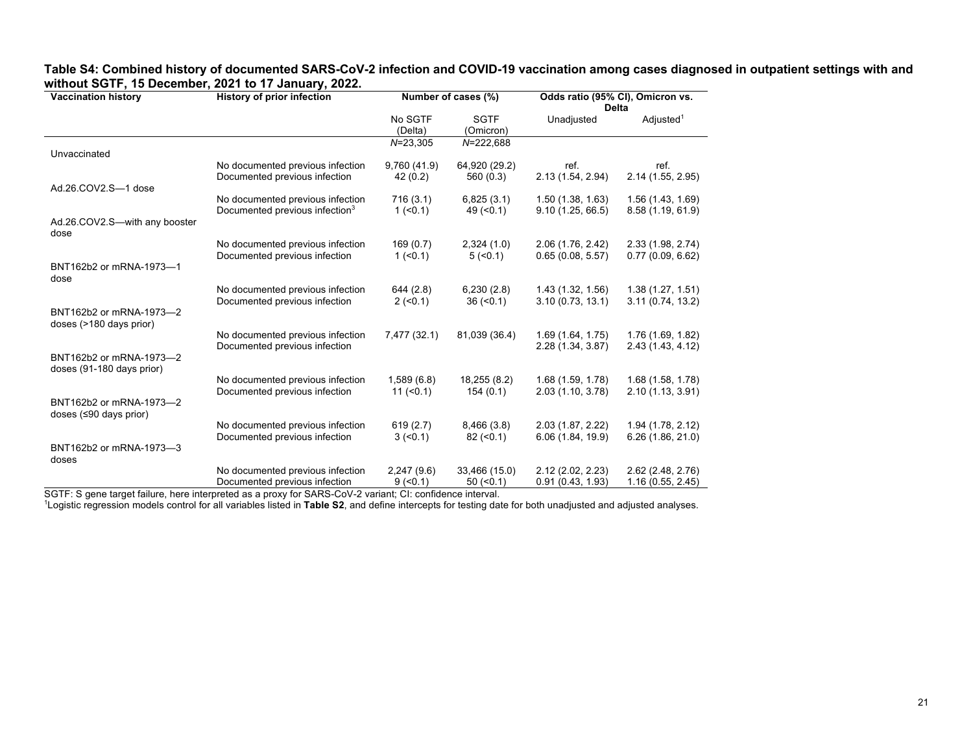| <b>Vaccination history</b>                                  | <b>History of prior infection</b>                                              | Number of cases (%)    |                           | Odds ratio (95% CI), Omicron vs.      |                                       |  |
|-------------------------------------------------------------|--------------------------------------------------------------------------------|------------------------|---------------------------|---------------------------------------|---------------------------------------|--|
|                                                             |                                                                                |                        |                           | <b>Delta</b>                          |                                       |  |
|                                                             |                                                                                | No SGTF                | <b>SGTF</b>               | Unadjusted                            | Adjusted <sup>1</sup>                 |  |
|                                                             |                                                                                | (Delta)                | (Omicron)                 |                                       |                                       |  |
|                                                             |                                                                                | $N = 23,305$           | $N = 222,688$             |                                       |                                       |  |
| Unvaccinated                                                |                                                                                |                        |                           |                                       |                                       |  |
|                                                             | No documented previous infection                                               | 9,760 (41.9)           | 64,920 (29.2)             | ref.                                  | ref.                                  |  |
|                                                             | Documented previous infection                                                  | 42(0.2)                | 560 (0.3)                 | 2.13 (1.54, 2.94)                     | 2.14 (1.55, 2.95)                     |  |
| Ad.26.COV2.S-1 dose                                         |                                                                                |                        |                           |                                       |                                       |  |
|                                                             | No documented previous infection<br>Documented previous infection <sup>3</sup> | 716(3.1)<br>$1 (-0.1)$ | 6,825(3.1)<br>$49 (=0.1)$ | 1.50(1.38, 1.63)<br>9.10(1.25, 66.5)  | 1.56 (1.43, 1.69)<br>8.58(1.19, 61.9) |  |
|                                                             |                                                                                |                        |                           |                                       |                                       |  |
| Ad.26.COV2.S-with any booster<br>dose                       |                                                                                |                        |                           |                                       |                                       |  |
|                                                             | No documented previous infection                                               | 169(0.7)               | 2,324(1.0)                | 2.06 (1.76, 2.42)                     | 2.33(1.98, 2.74)                      |  |
|                                                             | Documented previous infection                                                  | $1 (-0.1)$             | 5 (< 0.1)                 | 0.65(0.08, 5.57)                      | 0.77(0.09, 6.62)                      |  |
| BNT162b2 or mRNA-1973-1<br>dose                             |                                                                                |                        |                           |                                       |                                       |  |
|                                                             | No documented previous infection                                               | 644 (2.8)              | 6,230(2.8)                | 1.43(1.32, 1.56)                      | 1.38(1.27, 1.51)                      |  |
|                                                             | Documented previous infection                                                  | $2 (-0.1)$             | $36 \, (<0.1)$            | 3.10(0.73, 13.1)                      | 3.11(0.74, 13.2)                      |  |
| BNT162b2 or mRNA-1973-2                                     |                                                                                |                        |                           |                                       |                                       |  |
| doses (>180 days prior)                                     | No documented previous infection                                               | 7,477 (32.1)           | 81,039 (36.4)             |                                       |                                       |  |
|                                                             | Documented previous infection                                                  |                        |                           | 1.69(1.64, 1.75)<br>2.28 (1.34, 3.87) | 1.76 (1.69, 1.82)<br>2.43(1.43, 4.12) |  |
| BNT162b2 or mRNA-1973-2                                     |                                                                                |                        |                           |                                       |                                       |  |
| doses (91-180 days prior)                                   |                                                                                |                        |                           |                                       |                                       |  |
|                                                             | No documented previous infection                                               | 1,589(6.8)             | 18,255 (8.2)              | 1.68 (1.59, 1.78)                     | 1.68 (1.58, 1.78)                     |  |
|                                                             | Documented previous infection                                                  | 11 (< 0.1)             | 154(0.1)                  | 2.03(1.10, 3.78)                      | 2.10(1.13, 3.91)                      |  |
| BNT162b2 or mRNA-1973-2<br>doses $(≤90 \text{ days prior})$ |                                                                                |                        |                           |                                       |                                       |  |
|                                                             | No documented previous infection                                               | 619(2.7)               | 8,466(3.8)                | 2.03(1.87, 2.22)                      | 1.94 (1.78, 2.12)                     |  |
|                                                             | Documented previous infection                                                  | $3 (-0.1)$             | $82 \ (20.1)$             | 6.06 (1.84, 19.9)                     | 6.26(1.86, 21.0)                      |  |
| BNT162b2 or mRNA-1973-3                                     |                                                                                |                        |                           |                                       |                                       |  |
| doses                                                       | No documented previous infection                                               |                        | 33,466 (15.0)             | 2.12(2.02, 2.23)                      |                                       |  |
|                                                             | Documented previous infection                                                  | 2,247(9.6)             |                           | 0.91(0.43, 1.93)                      | 2.62 (2.48, 2.76)<br>1.16(0.55, 2.45) |  |
|                                                             |                                                                                | $9(-0.1)$              | 50 (< 0.1)                |                                       |                                       |  |

#### **Table S4: Combined history of documented SARS-CoV-2 infection and COVID-19 vaccination among cases diagnosed in outpatient settings with and without SGTF, 15 December, 2021 to 17 January, 2022.**  $\overline{\phantom{0}}$

SGTF: S gene target failure, here interpreted as a proxy for SARS-CoV-2 variant; CI: confidence interval.<br><sup>1</sup>Logistic regression models control for all variables listed in **Table S2**, and define intercepts for testing date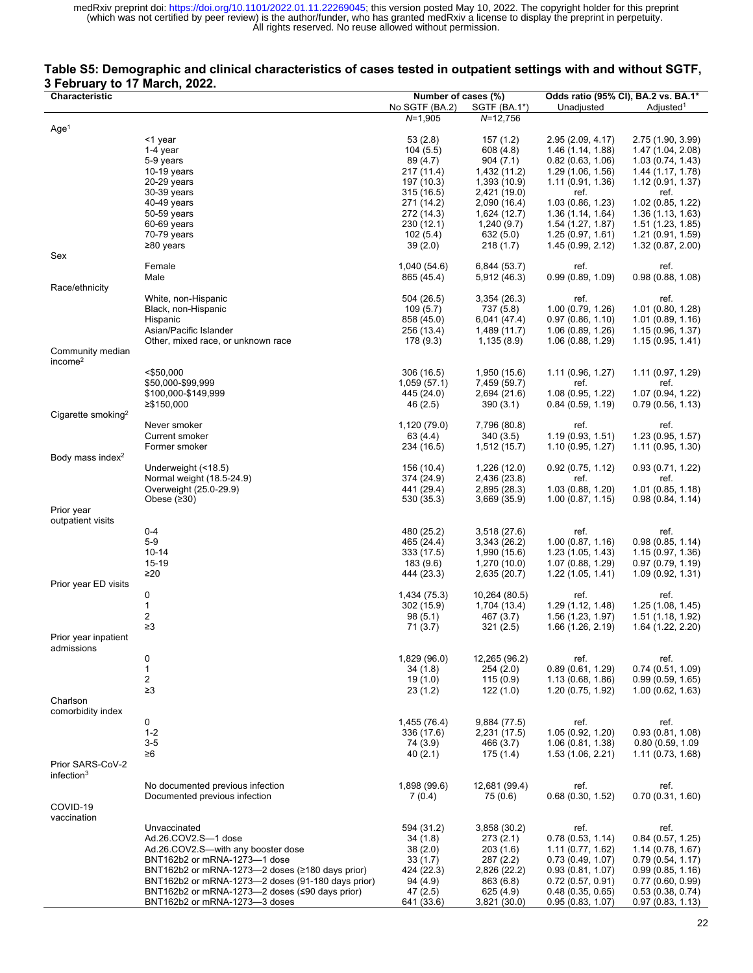### **Table S5: Demographic and clinical characteristics of cases tested in outpatient settings with and without SGTF, 3 February to 17 March, 2022.**

| Characteristic                             |                                                   | Number of cases (%)      |                              | Odds ratio (95% CI), BA.2 vs. BA.1* |                          |  |
|--------------------------------------------|---------------------------------------------------|--------------------------|------------------------------|-------------------------------------|--------------------------|--|
|                                            |                                                   | No SGTF (BA.2)           | SGTF (BA.1*)                 | Unadjusted                          | Adjusted <sup>1</sup>    |  |
|                                            |                                                   | $N=1,905$                | $N = 12,756$                 |                                     |                          |  |
| Age <sup>1</sup>                           | <1 year                                           | 53 (2.8)                 | 157 (1.2)                    | 2.95 (2.09, 4.17)                   | 2.75 (1.90, 3.99)        |  |
|                                            | 1-4 year                                          | 104(5.5)                 | 608 (4.8)                    | 1.46 (1.14, 1.88)                   | 1.47 (1.04, 2.08)        |  |
|                                            | 5-9 years                                         | 89 (4.7)                 | 904 (7.1)                    | 0.82(0.63, 1.06)                    | 1.03(0.74, 1.43)         |  |
|                                            | 10-19 years                                       | 217 (11.4)               | 1,432 (11.2)                 | 1.29(1.06, 1.56)                    | 1.44 (1.17, 1.78)        |  |
|                                            | 20-29 years                                       | 197 (10.3)               | 1,393 (10.9)                 | 1.11(0.91, 1.36)                    | 1.12(0.91, 1.37)         |  |
|                                            | 30-39 years                                       | 315(16.5)                | 2,421 (19.0)                 | ref.                                | ref.                     |  |
|                                            | 40-49 years                                       | 271 (14.2)               | 2,090 (16.4)                 | 1.03(0.86, 1.23)                    | 1.02(0.85, 1.22)         |  |
|                                            | 50-59 years                                       | 272 (14.3)               | 1,624 (12.7)                 | 1.36(1.14, 1.64)                    | 1.36(1.13, 1.63)         |  |
|                                            | 60-69 years                                       | 230 (12.1)               | 1,240(9.7)                   | 1.54(1.27, 1.87)                    | 1.51 (1.23, 1.85)        |  |
|                                            | 70-79 years                                       | 102(5.4)                 | 632 (5.0)                    | 1.25(0.97, 1.61)                    | 1.21(0.91, 1.59)         |  |
|                                            | ≥80 years                                         | 39(2.0)                  | 218(1.7)                     | 1.45(0.99, 2.12)                    | 1.32(0.87, 2.00)         |  |
| Sex                                        |                                                   |                          |                              |                                     |                          |  |
|                                            | Female                                            | 1,040 (54.6)             | 6,844 (53.7)                 | ref.                                | ref.                     |  |
|                                            | Male                                              | 865 (45.4)               | 5,912 (46.3)                 | 0.99(0.89, 1.09)                    | 0.98(0.88, 1.08)         |  |
| Race/ethnicity                             |                                                   |                          |                              |                                     |                          |  |
|                                            | White, non-Hispanic                               | 504 (26.5)               | 3,354 (26.3)                 | ref.                                | ref.                     |  |
|                                            | Black, non-Hispanic                               | 109(5.7)                 | 737 (5.8)                    | 1.00(0.79, 1.26)                    | 1.01(0.80, 1.28)         |  |
|                                            | Hispanic                                          | 858 (45.0)               | 6,041 (47.4)                 | 0.97(0.86, 1.10)                    | 1.01(0.89, 1.16)         |  |
|                                            | Asian/Pacific Islander                            | 256 (13.4)               | 1,489 (11.7)                 | 1.06(0.89, 1.26)                    | 1.15(0.96, 1.37)         |  |
|                                            | Other, mixed race, or unknown race                | 178 (9.3)                | 1,135 (8.9)                  | 1.06(0.88, 1.29)                    | 1.15(0.95, 1.41)         |  |
| Community median                           |                                                   |                          |                              |                                     |                          |  |
| income <sup>2</sup>                        |                                                   |                          |                              |                                     |                          |  |
|                                            | $<$ \$50,000                                      | 306 (16.5)               | 1,950 (15.6)                 | 1.11(0.96, 1.27)                    | 1.11(0.97, 1.29)         |  |
|                                            | \$50,000-\$99,999                                 | 1,059(57.1)              | 7,459 (59.7)                 | ref.                                | ref.                     |  |
|                                            | \$100,000-\$149,999                               | 445 (24.0)               | 2,694 (21.6)                 | 1.08(0.95, 1.22)                    | 1.07 (0.94, 1.22)        |  |
|                                            | ≥\$150,000                                        | 46 (2.5)                 | 390(3.1)                     | 0.84(0.59, 1.19)                    | 0.79(0.56, 1.13)         |  |
| Cigarette smoking <sup>2</sup>             |                                                   |                          |                              |                                     |                          |  |
|                                            | Never smoker                                      | 1,120 (79.0)             | 7,796 (80.8)                 | ref.                                | ref.                     |  |
|                                            | Current smoker                                    | 63 (4.4)                 | 340 (3.5)                    | 1.19(0.93, 1.51)                    | 1.23(0.95, 1.57)         |  |
|                                            | Former smoker                                     | 234 (16.5)               | 1,512 (15.7)                 | 1.10(0.95, 1.27)                    | 1.11(0.95, 1.30)         |  |
| Body mass index <sup>2</sup>               | Underweight (<18.5)                               |                          |                              |                                     |                          |  |
|                                            | Normal weight (18.5-24.9)                         | 156 (10.4)               | 1,226 (12.0)                 | 0.92(0.75, 1.12)<br>ref.            | 0.93(0.71, 1.22)<br>ref. |  |
|                                            | Overweight (25.0-29.9)                            | 374 (24.9)<br>441 (29.4) | 2,436 (23.8)<br>2,895 (28.3) | 1.03(0.88, 1.20)                    | 1.01(0.85, 1.18)         |  |
|                                            | Obese $(230)$                                     | 530 (35.3)               | 3,669 (35.9)                 | 1.00(0.87, 1.15)                    | 0.98(0.84, 1.14)         |  |
| Prior year                                 |                                                   |                          |                              |                                     |                          |  |
| outpatient visits                          |                                                   |                          |                              |                                     |                          |  |
|                                            | $0 - 4$                                           | 480 (25.2)               | 3,518 (27.6)                 | ref.                                | ref.                     |  |
|                                            | 5-9                                               | 465 (24.4)               | 3,343 (26.2)                 | 1.00(0.87, 1.16)                    | 0.98(0.85, 1.14)         |  |
|                                            | $10 - 14$                                         | 333 (17.5)               | 1,990 (15.6)                 | 1.23(1.05, 1.43)                    | 1.15(0.97, 1.36)         |  |
|                                            | 15-19                                             | 183 (9.6)                | 1,270 (10.0)                 | 1.07 (0.88, 1.29)                   | 0.97(0.79, 1.19)         |  |
|                                            | $\geq 20$                                         | 444 (23.3)               | 2,635 (20.7)                 | 1.22(1.05, 1.41)                    | 1.09 (0.92, 1.31)        |  |
| Prior year ED visits                       |                                                   |                          |                              |                                     |                          |  |
|                                            | 0                                                 | 1,434 (75.3)             | 10,264 (80.5)                | ref.                                | ref.                     |  |
|                                            | 1                                                 | 302 (15.9)               | 1,704 (13.4)                 | 1.29 (1.12, 1.48)                   | 1.25(1.08, 1.45)         |  |
|                                            | 2                                                 | 98(5.1)                  | 467 (3.7)                    | 1.56 (1.23, 1.97)                   | 1.51(1.18, 1.92)         |  |
|                                            | $\geq$ 3                                          | 71 (3.7)                 | 321(2.5)                     | 1.66 (1.26, 2.19)                   | 1.64 (1.22, 2.20)        |  |
| Prior year inpatient                       |                                                   |                          |                              |                                     |                          |  |
| admissions                                 |                                                   |                          |                              |                                     |                          |  |
|                                            | 0                                                 | 1,829 (96.0)             | 12,265 (96.2)                | ref.                                | ref.                     |  |
|                                            | 1                                                 | 34 (1.8)                 | 254 (2.0)                    | 0.89(0.61, 1.29)                    | 0.74(0.51, 1.09)         |  |
|                                            | 2                                                 | 19(1.0)                  | 115(0.9)                     | 1.13(0.68, 1.86)                    | 0.99(0.59, 1.65)         |  |
|                                            | $\geq 3$                                          | 23(1.2)                  | 122(1.0)                     | 1.20 (0.75, 1.92)                   | 1.00(0.62, 1.63)         |  |
| Charlson                                   |                                                   |                          |                              |                                     |                          |  |
| comorbidity index                          |                                                   |                          |                              |                                     |                          |  |
|                                            | 0                                                 | 1,455 (76.4)             | 9,884 (77.5)                 | ref.<br>1.05(0.92, 1.20)            | ref.                     |  |
|                                            | $1 - 2$                                           | 336 (17.6)               | 2,231 (17.5)                 |                                     | 0.93(0.81, 1.08)         |  |
|                                            | $3-5$                                             | 74 (3.9)                 | 466 (3.7)                    | 1.06(0.81, 1.38)                    | 0.80 (0.59, 1.09         |  |
|                                            | ≥6                                                | 40(2.1)                  | 175(1.4)                     | 1.53(1.06, 2.21)                    | 1.11(0.73, 1.68)         |  |
| Prior SARS-CoV-2<br>infection <sup>3</sup> |                                                   |                          |                              |                                     |                          |  |
|                                            | No documented previous infection                  | 1,898 (99.6)             | 12,681 (99.4)                | ref.                                | ref.                     |  |
|                                            | Documented previous infection                     | 7(0.4)                   | 75 (0.6)                     | 0.68(0.30, 1.52)                    | 0.70(0.31, 1.60)         |  |
| COVID-19                                   |                                                   |                          |                              |                                     |                          |  |
| vaccination                                |                                                   |                          |                              |                                     |                          |  |
|                                            | Unvaccinated                                      | 594 (31.2)               | 3,858 (30.2)                 | ref.                                | ref.                     |  |
|                                            | Ad.26.COV2.S-1 dose                               | 34 (1.8)                 | 273(2.1)                     | 0.78(0.53, 1.14)                    | 0.84(0.57, 1.25)         |  |
|                                            | Ad.26.COV2.S—with any booster dose                | 38 (2.0)                 | 203(1.6)                     | 1.11(0.77, 1.62)                    | 1.14(0.78, 1.67)         |  |
|                                            | BNT162b2 or mRNA-1273-1 dose                      | 33(1.7)                  | 287 (2.2)                    | 0.73(0.49, 1.07)                    | 0.79(0.54, 1.17)         |  |
|                                            | BNT162b2 or mRNA-1273-2 doses (≥180 days prior)   | 424 (22.3)               | 2,826 (22.2)                 | 0.93(0.81, 1.07)                    | 0.99(0.85, 1.16)         |  |
|                                            | BNT162b2 or mRNA-1273-2 doses (91-180 days prior) | 94 (4.9)                 | 863 (6.8)                    | 0.72(0.57, 0.91)                    | 0.77(0.60, 0.99)         |  |
|                                            | BNT162b2 or mRNA-1273—2 doses (≤90 days prior)    | 47 (2.5)                 | 625 (4.9)                    | 0.48(0.35, 0.65)                    | 0.53(0.38, 0.74)         |  |
|                                            | BNT162b2 or mRNA-1273-3 doses                     | 641 (33.6)               | 3,821 (30.0)                 | 0.95(0.83, 1.07)                    | 0.97(0.83, 1.13)         |  |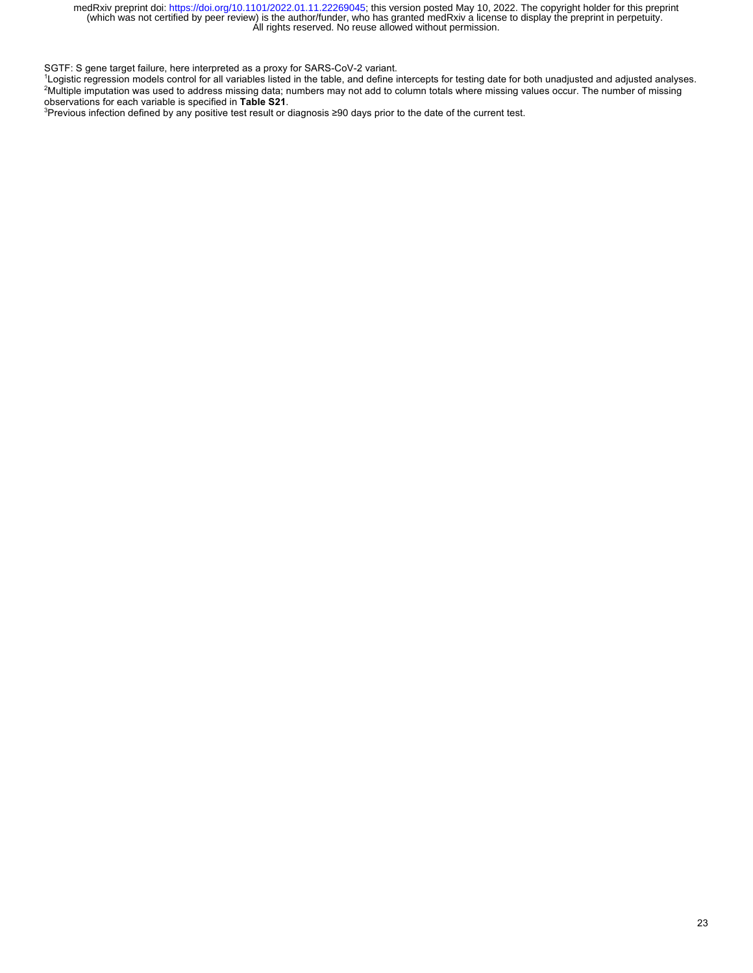SGTF: S gene target failure, here interpreted as a proxy for SARS-CoV-2 variant.

1 Logistic regression models control for all variables listed in the table, and define intercepts for testing date for both unadjusted and adjusted analyses. 2 Multiple imputation was used to address missing data; numbers may not add to column totals where missing values occur. The number of missing

observations for each variable is specified in **Table S21**.<br><sup>3</sup>Previous infection defined by any positive test result or diagnosis ≥90 days prior to the date of the current test.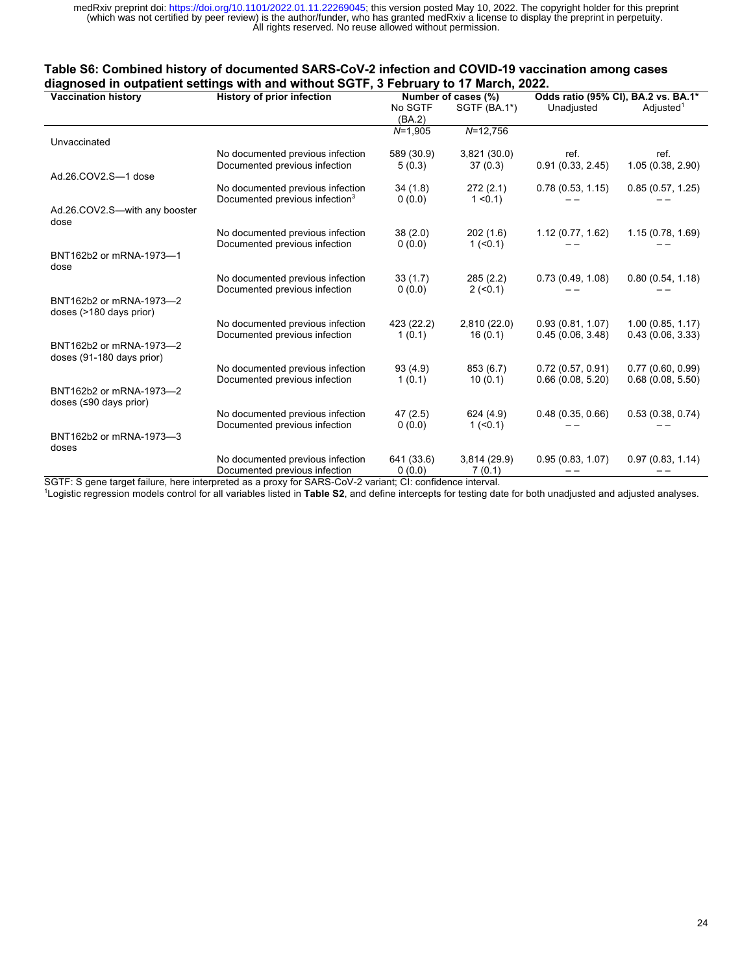### **Table S6: Combined history of documented SARS-CoV-2 infection and COVID-19 vaccination among cases diagnosed in outpatient settings with and without SGTF, 3 February to 17 March, 2022.**

| <br><b>Vaccination history</b>                              | History of prior infection                 | Number of cases (%) |              | Odds ratio (95% CI), BA.2 vs. BA.1* |                       |  |
|-------------------------------------------------------------|--------------------------------------------|---------------------|--------------|-------------------------------------|-----------------------|--|
|                                                             |                                            | No SGTF             | SGTF (BA.1*) | Unadjusted                          | Adjusted <sup>1</sup> |  |
|                                                             |                                            | (BA.2)              |              |                                     |                       |  |
|                                                             |                                            | $N=1,905$           | $N = 12,756$ |                                     |                       |  |
| Unvaccinated                                                |                                            |                     |              |                                     |                       |  |
|                                                             | No documented previous infection           | 589 (30.9)          | 3,821(30.0)  | ref.                                | ref.                  |  |
|                                                             | Documented previous infection              | 5(0.3)              | 37(0.3)      | 0.91(0.33, 2.45)                    | 1.05 (0.38, 2.90)     |  |
| Ad.26.COV2.S-1 dose                                         |                                            |                     |              |                                     |                       |  |
|                                                             | No documented previous infection           | 34(1.8)             | 272(2.1)     | 0.78(0.53, 1.15)                    | 0.85(0.57, 1.25)      |  |
|                                                             | Documented previous infection <sup>3</sup> | 0(0.0)              | 1 < 0.1      |                                     |                       |  |
| Ad.26.COV2.S-with any booster<br>dose                       |                                            |                     |              |                                     |                       |  |
|                                                             | No documented previous infection           | 38(2.0)             | 202(1.6)     | 1.12(0.77, 1.62)                    | 1.15(0.78, 1.69)      |  |
|                                                             | Documented previous infection              | 0(0.0)              | 1 (< 0.1)    |                                     |                       |  |
| BNT162b2 or mRNA-1973-1<br>dose                             |                                            |                     |              |                                     |                       |  |
|                                                             | No documented previous infection           | 33(1.7)             | 285(2.2)     | 0.73(0.49, 1.08)                    | 0.80(0.54, 1.18)      |  |
|                                                             | Documented previous infection              | 0(0.0)              | $2 (-0.1)$   |                                     |                       |  |
| BNT162b2 or mRNA-1973-2<br>doses (>180 days prior)          |                                            |                     |              |                                     |                       |  |
|                                                             | No documented previous infection           | 423 (22.2)          | 2,810(22.0)  | 0.93(0.81, 1.07)                    | 1.00(0.85, 1.17)      |  |
|                                                             | Documented previous infection              | 1(0.1)              | 16(0.1)      | 0.45(0.06, 3.48)                    | 0.43(0.06, 3.33)      |  |
| BNT162b2 or mRNA-1973-2<br>doses (91-180 days prior)        |                                            |                     |              |                                     |                       |  |
|                                                             | No documented previous infection           | 93(4.9)             | 853 (6.7)    | 0.72(0.57, 0.91)                    | 0.77(0.60, 0.99)      |  |
|                                                             | Documented previous infection              | 1(0.1)              | 10(0.1)      | 0.66(0.08, 5.20)                    | 0.68(0.08, 5.50)      |  |
| BNT162b2 or mRNA-1973-2<br>doses $(≤90 \text{ days prior})$ |                                            |                     |              |                                     |                       |  |
|                                                             | No documented previous infection           | 47(2.5)             | 624 (4.9)    | 0.48(0.35, 0.66)                    | 0.53(0.38, 0.74)      |  |
|                                                             | Documented previous infection              | 0(0.0)              | 1 (< 0.1)    |                                     |                       |  |
| BNT162b2 or mRNA-1973-3<br>doses                            |                                            |                     |              |                                     |                       |  |
|                                                             | No documented previous infection           | 641 (33.6)          | 3,814(29.9)  | 0.95(0.83, 1.07)                    | 0.97(0.83, 1.14)      |  |
|                                                             | Documented previous infection              | 0(0.0)              | 7(0.1)       |                                     |                       |  |

SGTF: S gene target failure, here interpreted as a proxy for SARS-CoV-2 variant; CI: confidence interval.

1 Logistic regression models control for all variables listed in **Table S2**, and define intercepts for testing date for both unadjusted and adjusted analyses.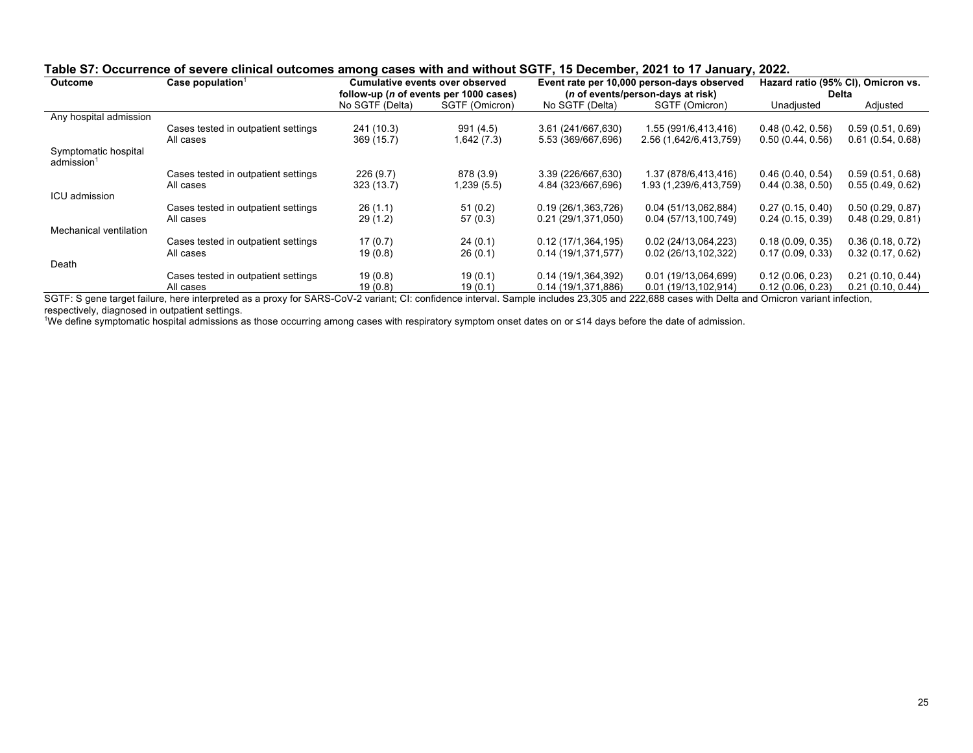| <b>Outcome</b>                                 | Case population <sup>1</sup>        |                 | <b>Cumulative events over observed</b>         |                     | Event rate per 10,000 person-days observed |                  | Hazard ratio (95% CI), Omicron vs. |
|------------------------------------------------|-------------------------------------|-----------------|------------------------------------------------|---------------------|--------------------------------------------|------------------|------------------------------------|
|                                                |                                     |                 | follow-up ( <i>n</i> of events per 1000 cases) |                     | ( <i>n</i> of events/person-days at risk)  | Delta            |                                    |
|                                                |                                     | No SGTF (Delta) | SGTF (Omicron)                                 | No SGTF (Delta)     | SGTF (Omicron)                             | Unadjusted       | Adjusted                           |
| Any hospital admission                         |                                     |                 |                                                |                     |                                            |                  |                                    |
|                                                | Cases tested in outpatient settings | 241 (10.3)      | 991 (4.5)                                      | 3.61 (241/667,630)  | 1.55 (991/6,413,416)                       | 0.48(0.42, 0.56) | 0.59(0.51, 0.69)                   |
|                                                | All cases                           | 369 (15.7)      | 1,642(7.3)                                     | 5.53 (369/667,696)  | 2.56 (1,642/6,413,759)                     | 0.50(0.44, 0.56) | 0.61(0.54, 0.68)                   |
| Symptomatic hospital<br>admission <sup>1</sup> |                                     |                 |                                                |                     |                                            |                  |                                    |
|                                                | Cases tested in outpatient settings | 226(9.7)        | 878 (3.9)                                      | 3.39 (226/667,630)  | 1.37 (878/6,413,416)                       | 0.46(0.40, 0.54) | 0.59(0.51, 0.68)                   |
|                                                | All cases                           | 323 (13.7)      | 1,239 (5.5)                                    | 4.84 (323/667,696)  | 1.93 (1,239/6,413,759)                     | 0.44(0.38, 0.50) | 0.55(0.49, 0.62)                   |
| ICU admission                                  |                                     |                 |                                                |                     |                                            |                  |                                    |
|                                                | Cases tested in outpatient settings | 26(1.1)         | 51(0.2)                                        | 0.19 (26/1,363,726) | 0.04 (51/13,062,884)                       | 0.27(0.15, 0.40) | 0.50(0.29, 0.87)                   |
|                                                | All cases                           | 29(1.2)         | 57(0.3)                                        | 0.21 (29/1,371,050) | 0.04 (57/13,100,749)                       | 0.24(0.15, 0.39) | 0.48(0.29, 0.81)                   |
| Mechanical ventilation                         |                                     |                 |                                                |                     |                                            |                  |                                    |
|                                                | Cases tested in outpatient settings | 17(0.7)         | 24(0.1)                                        | 0.12(17/1,364,195)  | 0.02 (24/13,064,223)                       | 0.18(0.09, 0.35) | 0.36(0.18, 0.72)                   |
|                                                | All cases                           | 19(0.8)         | 26(0.1)                                        | 0.14(19/1,371,577)  | 0.02 (26/13,102,322)                       | 0.17(0.09, 0.33) | 0.32(0.17, 0.62)                   |
| Death                                          |                                     |                 |                                                |                     |                                            |                  |                                    |
|                                                | Cases tested in outpatient settings | 19(0.8)         | 19(0.1)                                        | 0.14 (19/1,364,392) | 0.01 (19/13,064,699)                       | 0.12(0.06, 0.23) | 0.21(0.10, 0.44)                   |
|                                                | All cases                           | 19(0.8)         | 19(0.1)                                        | 0.14 (19/1,371,886) | 0.01 (19/13,102,914)                       | 0.12(0.06, 0.23) | 0.21(0.10, 0.44)                   |

### **Table S7: Occurrence of severe clinical outcomes among cases with and without SGTF, 15 December, 2021 to 17 January, 2022.**

SGTF: S gene target failure, here interpreted as a proxy for SARS-CoV-2 variant; CI: confidence interval. Sample includes 23,305 and 222,688 cases with Delta and Omicron variant infection, respectively, diagnosed in outpatient settings.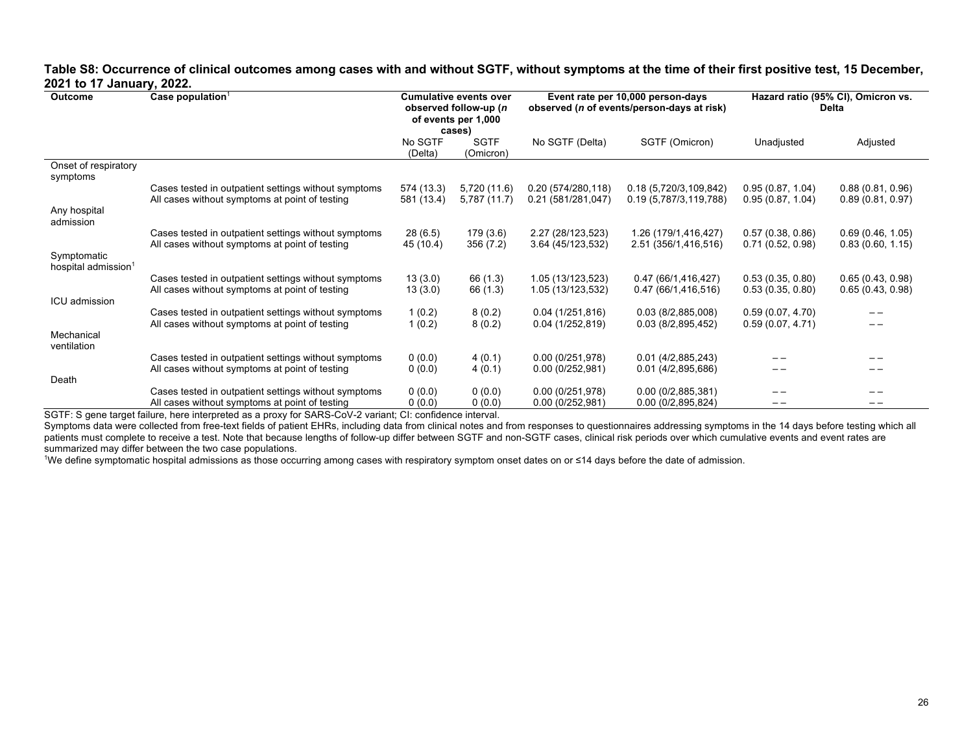## **Table S8: Occurrence of clinical outcomes among cases with and without SGTF, without symptoms at the time of their first positive test, 15 December, 2021 to 17 January, 2022.**

| <b>Outcome</b>                                 | Case population $1$                                                                                    |                          | <b>Cumulative events over</b><br>observed follow-up (n<br>of events per 1,000<br>cases) | Event rate per 10,000 person-days<br>observed ( <i>n</i> of events/person-days at risk) |                                                  | Hazard ratio (95% CI), Omicron vs.<br>Delta |                                      |
|------------------------------------------------|--------------------------------------------------------------------------------------------------------|--------------------------|-----------------------------------------------------------------------------------------|-----------------------------------------------------------------------------------------|--------------------------------------------------|---------------------------------------------|--------------------------------------|
|                                                |                                                                                                        | No SGTF<br>(Delta)       | <b>SGTF</b><br>(Omicron)                                                                | No SGTF (Delta)                                                                         | SGTF (Omicron)                                   | Unadjusted                                  | Adjusted                             |
| Onset of respiratory<br>symptoms               |                                                                                                        |                          |                                                                                         |                                                                                         |                                                  |                                             |                                      |
|                                                | Cases tested in outpatient settings without symptoms<br>All cases without symptoms at point of testing | 574 (13.3)<br>581 (13.4) | 5,720 (11.6)<br>5,787 (11.7)                                                            | 0.20(574/280,118)<br>0.21 (581/281,047)                                                 | 0.18 (5,720/3,109,842)<br>0.19 (5,787/3,119,788) | 0.95(0.87, 1.04)<br>0.95(0.87, 1.04)        | 0.88(0.81, 0.96)<br>0.89(0.81, 0.97) |
| Any hospital<br>admission                      |                                                                                                        |                          |                                                                                         |                                                                                         |                                                  |                                             |                                      |
|                                                | Cases tested in outpatient settings without symptoms<br>All cases without symptoms at point of testing | 28(6.5)<br>45 (10.4)     | 179 (3.6)<br>356 (7.2)                                                                  | 2.27 (28/123,523)<br>3.64 (45/123,532)                                                  | 1.26 (179/1,416,427)<br>2.51 (356/1,416,516)     | 0.57(0.38, 0.86)<br>0.71(0.52, 0.98)        | 0.69(0.46, 1.05)<br>0.83(0.60, 1.15) |
| Symptomatic<br>hospital admission <sup>1</sup> |                                                                                                        |                          |                                                                                         |                                                                                         |                                                  |                                             |                                      |
|                                                | Cases tested in outpatient settings without symptoms<br>All cases without symptoms at point of testing | 13(3.0)<br>13(3.0)       | 66 (1.3)<br>66 (1.3)                                                                    | 1.05 (13/123,523)<br>1.05 (13/123,532)                                                  | 0.47 (66/1,416,427)<br>0.47 (66/1,416,516)       | 0.53(0.35, 0.80)<br>0.53(0.35, 0.80)        | 0.65(0.43, 0.98)<br>0.65(0.43, 0.98) |
| ICU admission                                  | Cases tested in outpatient settings without symptoms                                                   | 1(0.2)                   | 8(0.2)                                                                                  | 0.04(1/251,816)                                                                         | 0.03(8/2,885,008)                                | 0.59(0.07, 4.70)                            |                                      |
| Mechanical                                     | All cases without symptoms at point of testing                                                         | 1(0.2)                   | 8(0.2)                                                                                  | 0.04(1/252,819)                                                                         | 0.03(8/2,895,452)                                | 0.59(0.07, 4.71)                            |                                      |
| ventilation                                    | Cases tested in outpatient settings without symptoms                                                   | 0(0.0)                   | 4(0.1)                                                                                  | 0.00(0/251,978)                                                                         | 0.01(4/2,885,243)                                |                                             |                                      |
| Death                                          | All cases without symptoms at point of testing                                                         | 0(0.0)                   | 4(0.1)                                                                                  | 0.00(0/252,981)                                                                         | 0.01(4/2,895,686)                                |                                             |                                      |
|                                                | Cases tested in outpatient settings without symptoms<br>All cases without symptoms at point of testing | 0(0.0)<br>0(0.0)         | 0(0.0)<br>0(0.0)                                                                        | 0.00(0/251,978)<br>0.00(0/252,981)                                                      | 0.00(0/2,885,381)<br>0.00(0/2,895,824)           | --                                          | --                                   |
|                                                |                                                                                                        |                          |                                                                                         |                                                                                         |                                                  |                                             |                                      |

SGTF: S gene target failure, here interpreted as a proxy for SARS-CoV-2 variant; CI: confidence interval.

Symptoms data were collected from free-text fields of patient EHRs, including data from clinical notes and from responses to questionnaires addressing symptoms in the 14 days before testing which all patients must complete to receive a test. Note that because lengths of follow-up differ between SGTF and non-SGTF cases, clinical risk periods over which cumulative events and event rates are summarized may differ between the two case populations.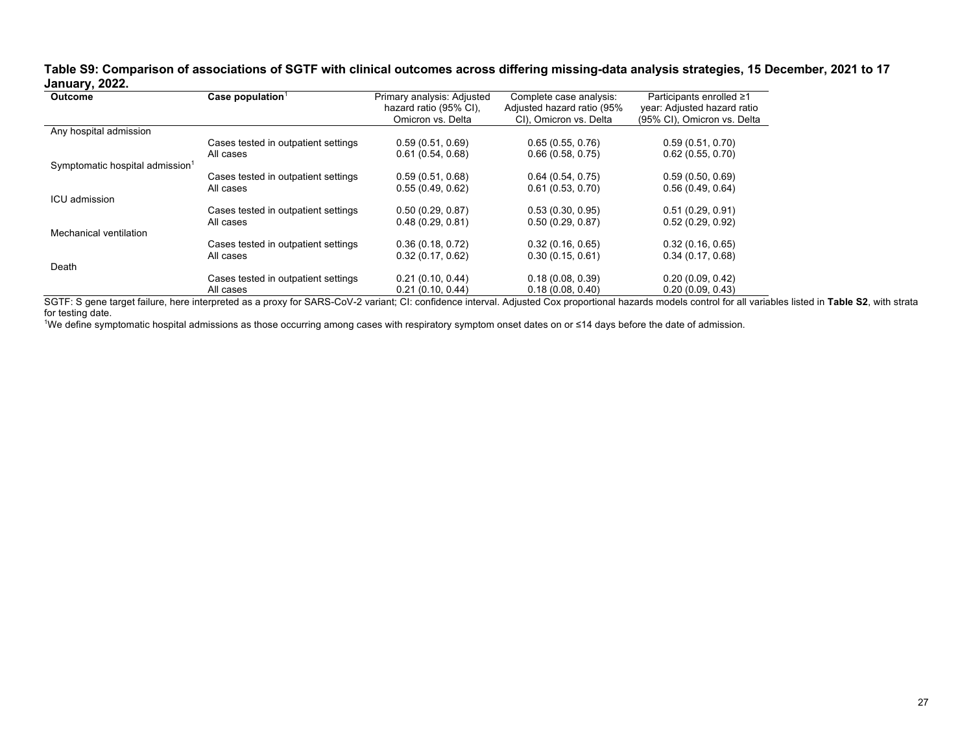## **Table S9: Comparison of associations of SGTF with clinical outcomes across differing missing-data analysis strategies, 15 December, 2021 to 17 January, 2022.**

| . .<br><b>Outcome</b>                       | Case population $1$                 | Primary analysis: Adjusted | Complete case analysis:    | Participants enrolled ≥1    |
|---------------------------------------------|-------------------------------------|----------------------------|----------------------------|-----------------------------|
|                                             |                                     | hazard ratio (95% CI).     | Adjusted hazard ratio (95% | year: Adjusted hazard ratio |
|                                             |                                     | Omicron vs. Delta          | CI). Omicron vs. Delta     | (95% CI), Omicron vs. Delta |
| Any hospital admission                      |                                     |                            |                            |                             |
|                                             | Cases tested in outpatient settings | 0.59(0.51, 0.69)           | 0.65(0.55, 0.76)           | 0.59(0.51, 0.70)            |
|                                             | All cases                           | 0.61(0.54, 0.68)           | 0.66(0.58, 0.75)           | 0.62(0.55, 0.70)            |
| Symptomatic hospital admission <sup>1</sup> |                                     |                            |                            |                             |
|                                             | Cases tested in outpatient settings | 0.59(0.51, 0.68)           | 0.64(0.54, 0.75)           | 0.59(0.50, 0.69)            |
|                                             | All cases                           | 0.55(0.49, 0.62)           | 0.61(0.53, 0.70)           | 0.56(0.49, 0.64)            |
| ICU admission                               |                                     |                            |                            |                             |
|                                             | Cases tested in outpatient settings | 0.50(0.29, 0.87)           | 0.53(0.30, 0.95)           | 0.51(0.29, 0.91)            |
|                                             | All cases                           | 0.48(0.29, 0.81)           | 0.50(0.29, 0.87)           | 0.52(0.29, 0.92)            |
| Mechanical ventilation                      |                                     |                            |                            |                             |
|                                             | Cases tested in outpatient settings | 0.36(0.18, 0.72)           | 0.32(0.16, 0.65)           | 0.32(0.16, 0.65)            |
|                                             | All cases                           | 0.32(0.17, 0.62)           | 0.30(0.15, 0.61)           | 0.34(0.17, 0.68)            |
| Death                                       |                                     |                            |                            |                             |
|                                             | Cases tested in outpatient settings | 0.21(0.10, 0.44)           | 0.18(0.08, 0.39)           | 0.20(0.09, 0.42)            |
|                                             | All cases                           | 0.21(0.10, 0.44)           | 0.18(0.08, 0.40)           | 0.20(0.09, 0.43)            |

SGTF: S gene target failure, here interpreted as a proxy for SARS-CoV-2 variant; CI: confidence interval. Adjusted Cox proportional hazards models control for all variables listed in **Table S2**, with strata for testing date.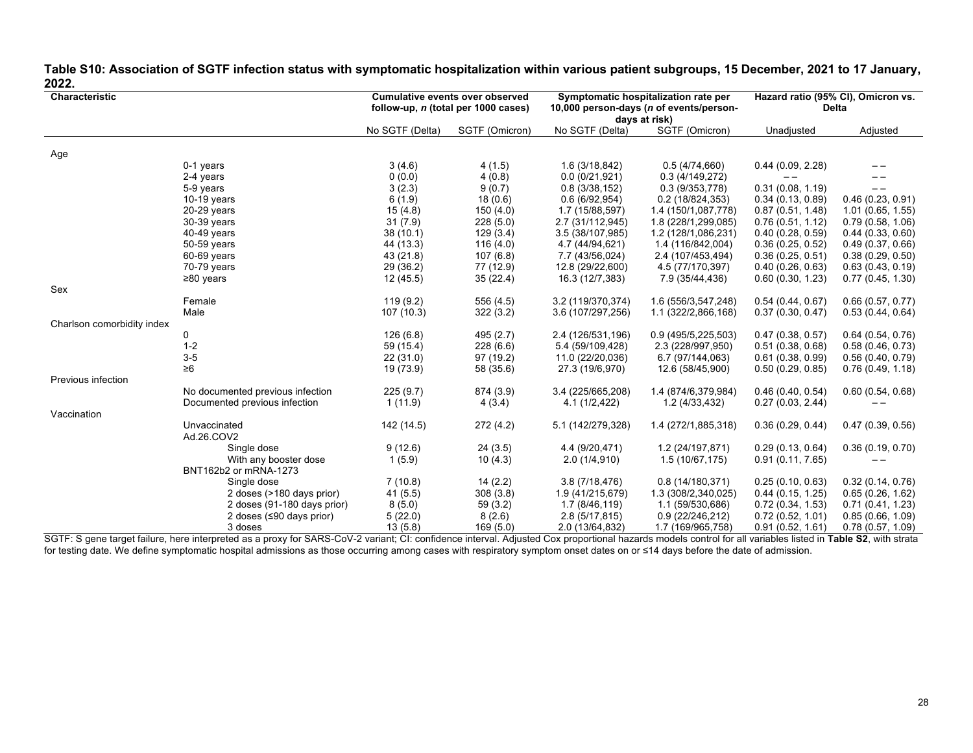| Table S10: Association of SGTF infection status with symptomatic hospitalization within various patient subgroups, 15 December, 2021 to 17 January, |  |
|-----------------------------------------------------------------------------------------------------------------------------------------------------|--|
| 2022.                                                                                                                                               |  |

| Characteristic             |                                  | <b>Cumulative events over observed</b> |                                     | Symptomatic hospitalization rate per |                                         | Hazard ratio (95% CI), Omicron vs. |                  |
|----------------------------|----------------------------------|----------------------------------------|-------------------------------------|--------------------------------------|-----------------------------------------|------------------------------------|------------------|
|                            |                                  |                                        | follow-up, n (total per 1000 cases) |                                      | 10,000 person-days (n of events/person- |                                    | <b>Delta</b>     |
|                            |                                  |                                        |                                     |                                      | days at risk)                           |                                    |                  |
|                            |                                  | No SGTF (Delta)                        | SGTF (Omicron)                      | No SGTF (Delta)                      | SGTF (Omicron)                          | Unadjusted                         | Adjusted         |
|                            |                                  |                                        |                                     |                                      |                                         |                                    |                  |
| Age                        | 0-1 years                        | 3(4.6)                                 | 4(1.5)                              | 1.6 (3/18,842)                       | 0.5(4/74,660)                           | 0.44(0.09, 2.28)                   |                  |
|                            | 2-4 years                        | 0(0.0)                                 | 4(0.8)                              | 0.0(0/21,921)                        | 0.3(4/149,272)                          | $- -$                              |                  |
|                            | 5-9 years                        | 3(2.3)                                 | 9(0.7)                              | 0.8(3/38,152)                        | 0.3(9/353,778)                          | 0.31(0.08, 1.19)                   | $-$              |
|                            | $10-19$ years                    | 6(1.9)                                 | 18(0.6)                             | 0.6(6/92,954)                        | 0.2(18/824,353)                         | 0.34(0.13, 0.89)                   | 0.46(0.23, 0.91) |
|                            | 20-29 years                      | 15(4.8)                                | 150(4.0)                            | 1.7 (15/88,597)                      | 1.4 (150/1,087,778)                     | 0.87(0.51, 1.48)                   | 1.01(0.65, 1.55) |
|                            | 30-39 years                      | 31(7.9)                                | 228(5.0)                            | 2.7 (31/112,945)                     | 1.8 (228/1,299,085)                     | 0.76(0.51, 1.12)                   | 0.79(0.58, 1.06) |
|                            | 40-49 years                      | 38(10.1)                               | 129(3.4)                            | 3.5 (38/107,985)                     | 1.2 (128/1,086,231)                     | 0.40(0.28, 0.59)                   | 0.44(0.33, 0.60) |
|                            | 50-59 years                      | 44 (13.3)                              | 116(4.0)                            | 4.7 (44/94,621)                      | 1.4 (116/842,004)                       | 0.36(0.25, 0.52)                   | 0.49(0.37, 0.66) |
|                            | 60-69 years                      | 43 (21.8)                              | 107(6.8)                            | 7.7 (43/56,024)                      | 2.4 (107/453,494)                       | 0.36(0.25, 0.51)                   | 0.38(0.29, 0.50) |
|                            | 70-79 years                      | 29 (36.2)                              | 77 (12.9)                           | 12.8 (29/22,600)                     | 4.5 (77/170,397)                        | 0.40(0.26, 0.63)                   | 0.63(0.43, 0.19) |
|                            | $\geq$ 80 years                  | 12(45.5)                               | 35(22.4)                            | 16.3 (12/7,383)                      | 7.9 (35/44,436)                         | 0.60(0.30, 1.23)                   | 0.77(0.45, 1.30) |
| Sex                        |                                  |                                        |                                     |                                      |                                         |                                    |                  |
|                            | Female                           | 119(9.2)                               | 556 (4.5)                           | 3.2 (119/370,374)                    | 1.6 (556/3,547,248)                     | 0.54(0.44, 0.67)                   | 0.66(0.57, 0.77) |
|                            | Male                             | 107(10.3)                              | 322(3.2)                            | 3.6 (107/297,256)                    | 1.1 (322/2,866,168)                     | 0.37(0.30, 0.47)                   | 0.53(0.44, 0.64) |
| Charlson comorbidity index |                                  |                                        |                                     |                                      |                                         |                                    |                  |
|                            | 0                                | 126(6.8)                               | 495 (2.7)                           | 2.4 (126/531,196)                    | 0.9 (495/5,225,503)                     | 0.47(0.38, 0.57)                   | 0.64(0.54, 0.76) |
|                            | $1 - 2$                          | 59 (15.4)                              | 228(6.6)                            | 5.4 (59/109,428)                     | 2.3 (228/997,950)                       | 0.51(0.38, 0.68)                   | 0.58(0.46, 0.73) |
|                            | $3-5$                            | 22(31.0)                               | 97 (19.2)                           | 11.0 (22/20,036)                     | 6.7 (97/144,063)                        | 0.61(0.38, 0.99)                   | 0.56(0.40, 0.79) |
|                            | $\geq 6$                         | 19 (73.9)                              | 58 (35.6)                           | 27.3 (19/6,970)                      | 12.6 (58/45,900)                        | 0.50(0.29, 0.85)                   | 0.76(0.49, 1.18) |
| Previous infection         |                                  |                                        |                                     |                                      |                                         |                                    |                  |
|                            | No documented previous infection | 225(9.7)                               | 874 (3.9)                           | 3.4 (225/665,208)                    | 1.4 (874/6,379,984)                     | 0.46(0.40, 0.54)                   | 0.60(0.54, 0.68) |
|                            | Documented previous infection    | 1(11.9)                                | 4(3.4)                              | 4.1(1/2, 422)                        | 1.2(4/33,432)                           | 0.27(0.03, 2.44)                   |                  |
| Vaccination                |                                  |                                        |                                     |                                      |                                         |                                    |                  |
|                            | Unvaccinated                     | 142 (14.5)                             | 272 (4.2)                           | 5.1 (142/279,328)                    | 1.4 (272/1,885,318)                     | 0.36(0.29, 0.44)                   | 0.47(0.39, 0.56) |
|                            | Ad.26.COV2                       |                                        |                                     |                                      |                                         |                                    |                  |
|                            | Single dose                      | 9(12.6)                                | 24(3.5)                             | 4.4 (9/20,471)                       | 1.2 (24/197,871)                        | 0.29(0.13, 0.64)                   | 0.36(0.19, 0.70) |
|                            | With any booster dose            | 1(5.9)                                 | 10(4.3)                             | 2.0(1/4,910)                         | 1.5 (10/67,175)                         | 0.91(0.11, 7.65)                   |                  |
|                            | BNT162b2 or mRNA-1273            |                                        |                                     |                                      |                                         |                                    |                  |
|                            | Single dose                      | 7(10.8)                                | 14(2.2)                             | 3.8(7/18,476)                        | 0.8(14/180,371)                         | 0.25(0.10, 0.63)                   | 0.32(0.14, 0.76) |
|                            | 2 doses (>180 days prior)        | 41(5.5)                                | 308(3.8)                            | 1.9 (41/215,679)                     | 1.3 (308/2,340,025)                     | 0.44(0.15, 1.25)                   | 0.65(0.26, 1.62) |
|                            | 2 doses (91-180 days prior)      | 8(5.0)                                 | 59(3.2)                             | 1.7 (8/46,119)                       | 1.1 (59/530,686)                        | 0.72(0.34, 1.53)                   | 0.71(0.41, 1.23) |
|                            | 2 doses (≤90 days prior)         | 5(22.0)                                | 8(2.6)                              | 2.8(5/17,815)                        | 0.9 (22/246,212)                        | 0.72(0.52, 1.01)                   | 0.85(0.66, 1.09) |
|                            | 3 doses                          | 13(5.8)                                | 169(5.0)                            | 2.0 (13/64,832)                      | 1.7 (169/965,758)                       | 0.91(0.52, 1.61)                   | 0.78(0.57, 1.09) |

SGTF: S gene target failure, here interpreted as a proxy for SARS-CoV-2 variant; CI: confidence interval. Adjusted Cox proportional hazards models control for all variables listed in **Table S2**, with strata for testing date. We define symptomatic hospital admissions as those occurring among cases with respiratory symptom onset dates on or ≤14 days before the date of admission.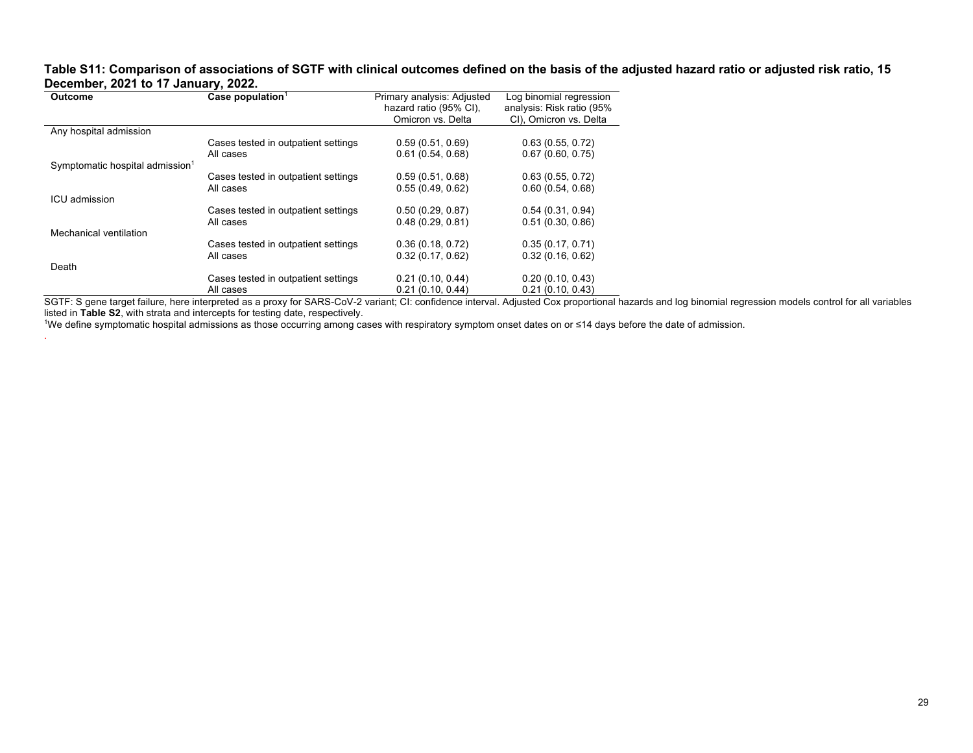#### **Table S11: Comparison of associations of SGTF with clinical outcomes defined on the basis of the adjusted hazard ratio or adjusted risk ratio, 15 December, 2021 to 17 January, 2022.** L.

| <b>Outcome</b>                              | Case population <sup>1</sup>        | Primary analysis: Adjusted | Log binomial regression   |
|---------------------------------------------|-------------------------------------|----------------------------|---------------------------|
|                                             |                                     | hazard ratio (95% CI).     | analysis: Risk ratio (95% |
|                                             |                                     | Omicron vs. Delta          | CI), Omicron vs. Delta    |
| Any hospital admission                      |                                     |                            |                           |
|                                             | Cases tested in outpatient settings | 0.59(0.51, 0.69)           | 0.63(0.55, 0.72)          |
|                                             | All cases                           | 0.61(0.54, 0.68)           | 0.67(0.60, 0.75)          |
| Symptomatic hospital admission <sup>1</sup> |                                     |                            |                           |
|                                             | Cases tested in outpatient settings | 0.59(0.51, 0.68)           | 0.63(0.55, 0.72)          |
|                                             | All cases                           | 0.55(0.49, 0.62)           | 0.60(0.54, 0.68)          |
| ICU admission                               |                                     |                            |                           |
|                                             | Cases tested in outpatient settings | 0.50(0.29, 0.87)           | 0.54(0.31, 0.94)          |
|                                             | All cases                           | 0.48(0.29, 0.81)           | 0.51(0.30, 0.86)          |
| Mechanical ventilation                      |                                     |                            |                           |
|                                             | Cases tested in outpatient settings | 0.36(0.18, 0.72)           | 0.35(0.17, 0.71)          |
|                                             | All cases                           | 0.32(0.17, 0.62)           | 0.32(0.16, 0.62)          |
| Death                                       |                                     |                            |                           |
|                                             | Cases tested in outpatient settings | 0.21(0.10, 0.44)           | 0.20(0.10, 0.43)          |
|                                             | All cases                           | 0.21(0.10, 0.44)           | 0.21(0.10, 0.43)          |

SGTF: S gene target failure, here interpreted as a proxy for SARS-CoV-2 variant; CI: confidence interval. Adjusted Cox proportional hazards and log binomial regression models control for all variables listed in **Table S2**, with strata and intercepts for testing date, respectively.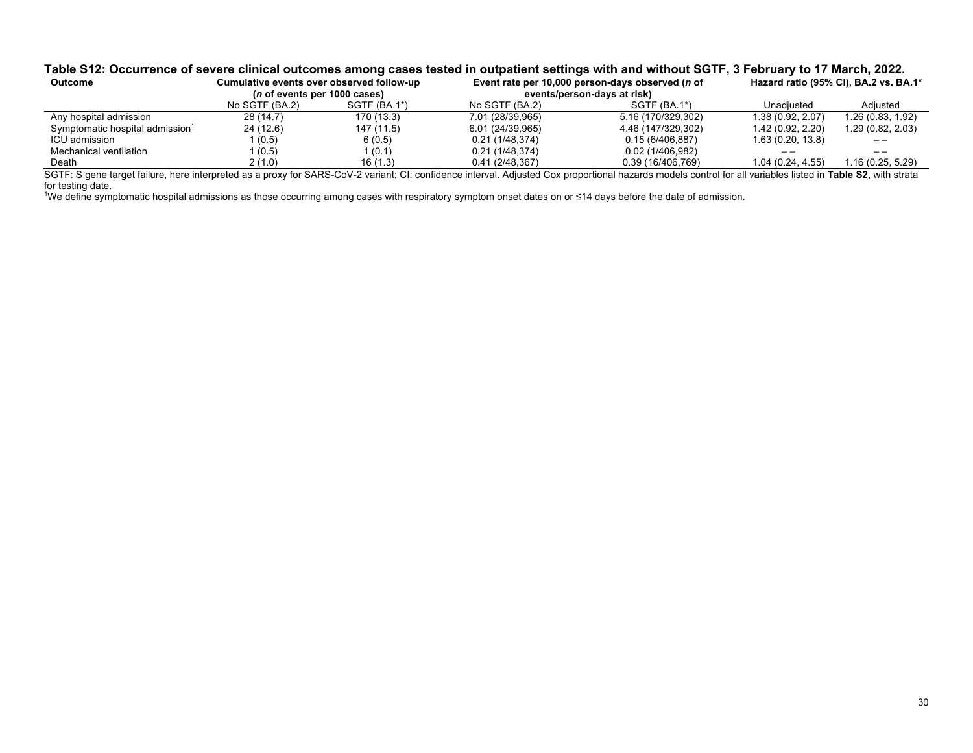### **Table S12: Occurrence of severe clinical outcomes among cases tested in outpatient settings with and without SGTF, 3 February to 17 March, 2022.**

| Outcome                                     | Cumulative events over observed follow-up |              |                  | Event rate per 10,000 person-days observed ( <i>n</i> of | Hazard ratio (95% CI), BA.2 vs. BA.1* |                   |
|---------------------------------------------|-------------------------------------------|--------------|------------------|----------------------------------------------------------|---------------------------------------|-------------------|
|                                             | ( <i>n</i> of events per 1000 cases)      |              |                  | events/person-days at risk)                              |                                       |                   |
|                                             | No SGTF (BA.2)                            | SGTF (BA.1*) | No SGTF (BA.2)   | $SGTF(BA.1*)$                                            | Unadiusted                            | Adiusted          |
| Any hospital admission                      | 28 (14.7)                                 | 170 (13.3)   | 7.01 (28/39,965) | 5.16 (170/329,302)                                       | 1.38(0.92, 2.07)                      | 1.26 (0.83, 1.92) |
| Symptomatic hospital admission <sup>1</sup> | 24 (12.6)                                 | 147 (11.5)   | 6.01 (24/39,965) | 4.46 (147/329,302)                                       | 1.42(0.92, 2.20)                      | 1.29 (0.82, 2.03) |
| ICU admission                               | l (0.5)                                   | 6(0.5)       | 0.21(1/48.374)   | 0.15(6/406.887)                                          | 1.63(0.20, 13.8)                      |                   |
| Mechanical ventilation                      | (0.5)                                     | l (0.1)      | 0.21(1/48,374)   | 0.02(1/406.982)                                          |                                       |                   |
| Death                                       | 2 (1.0)                                   | 16(1.3)      | 0.41(2/48,367)   | 0.39 (16/406,769)                                        | 1.04 (0.24, 4.55)                     | 1.16 (0.25, 5.29) |

SGTF: S gene target failure, here interpreted as a proxy for SARS-CoV-2 variant; CI: confidence interval. Adjusted Cox proportional hazards models control for all variables listed in **Table S2**, with strata for testing date.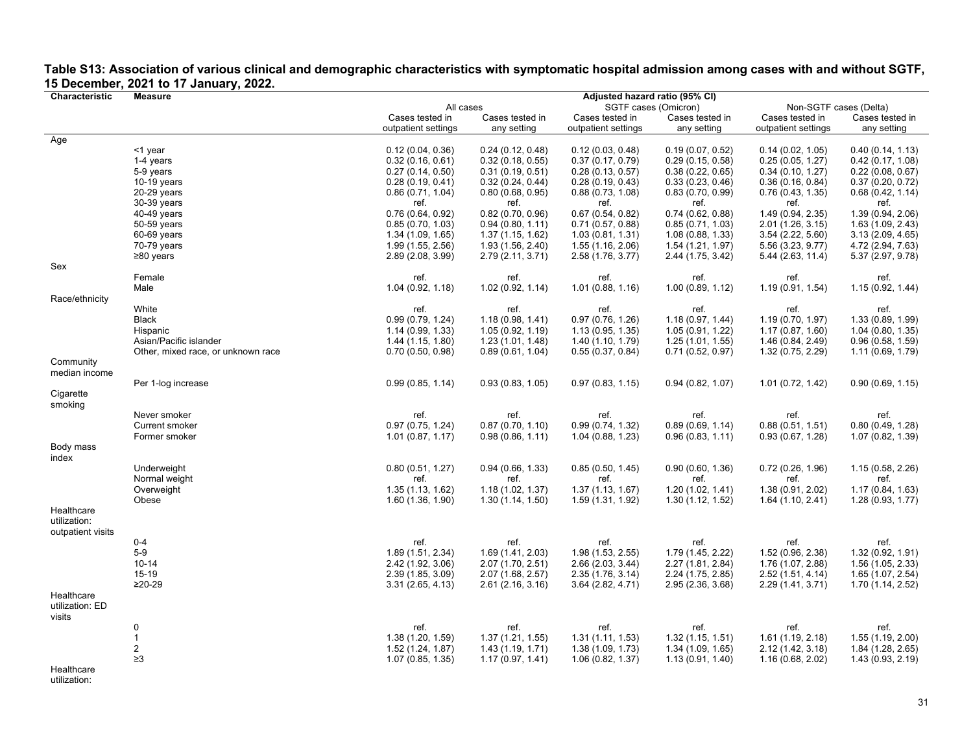|                   | $\sigma$ December, 2021 to 17 January, 2022 |                     |                   |                                |                   |                        |                   |
|-------------------|---------------------------------------------|---------------------|-------------------|--------------------------------|-------------------|------------------------|-------------------|
| Characteristic    | <b>Measure</b>                              |                     |                   | Adjusted hazard ratio (95% CI) |                   |                        |                   |
|                   |                                             | All cases           |                   | SGTF cases (Omicron)           |                   | Non-SGTF cases (Delta) |                   |
|                   |                                             | Cases tested in     | Cases tested in   | Cases tested in                | Cases tested in   | Cases tested in        | Cases tested in   |
|                   |                                             | outpatient settings | any setting       | outpatient settings            | any setting       | outpatient settings    | any setting       |
| Age               |                                             |                     |                   |                                |                   |                        |                   |
|                   | <1 year                                     | 0.12(0.04, 0.36)    | 0.24(0.12, 0.48)  | 0.12(0.03, 0.48)               | 0.19(0.07, 0.52)  | 0.14(0.02, 1.05)       | 0.40(0.14, 1.13)  |
|                   | 1-4 years                                   | 0.32(0.16, 0.61)    | 0.32(0.18, 0.55)  | 0.37(0.17, 0.79)               | 0.29(0.15, 0.58)  | 0.25(0.05, 1.27)       | 0.42(0.17, 1.08)  |
|                   |                                             |                     |                   |                                |                   |                        |                   |
|                   | 5-9 years                                   | 0.27(0.14, 0.50)    | 0.31(0.19, 0.51)  | 0.28(0.13, 0.57)               | 0.38(0.22, 0.65)  | 0.34(0.10, 1.27)       | 0.22(0.08, 0.67)  |
|                   | $10-19$ years                               | 0.28(0.19, 0.41)    | 0.32(0.24, 0.44)  | 0.28(0.19, 0.43)               | 0.33(0.23, 0.46)  | 0.36(0.16, 0.84)       | 0.37(0.20, 0.72)  |
|                   | $20-29$ years                               | 0.86(0.71, 1.04)    | 0.80(0.68, 0.95)  | 0.88(0.73, 1.08)               | 0.83(0.70, 0.99)  | 0.76(0.43, 1.35)       | 0.68(0.42, 1.14)  |
|                   | 30-39 years                                 | ref.                | ref.              | ref.                           | ref.              | ref.                   | ref.              |
|                   | 40-49 years                                 | 0.76(0.64, 0.92)    | 0.82(0.70, 0.96)  | 0.67(0.54, 0.82)               | 0.74(0.62, 0.88)  | 1.49 (0.94, 2.35)      | 1.39 (0.94, 2.06) |
|                   | 50-59 years                                 | 0.85(0.70, 1.03)    | 0.94(0.80, 1.11)  | 0.71(0.57, 0.88)               | 0.85(0.71, 1.03)  | 2.01 (1.26, 3.15)      | 1.63 (1.09, 2.43) |
|                   | 60-69 years                                 | 1.34 (1.09, 1.65)   | 1.37(1.15, 1.62)  | 1.03(0.81, 1.31)               | 1.08(0.88, 1.33)  | 3.54(2.22, 5.60)       | 3.13(2.09, 4.65)  |
|                   | 70-79 years                                 | 1.99 (1.55, 2.56)   | 1.93 (1.56, 2.40) | 1.55(1.16, 2.06)               | 1.54(1.21, 1.97)  | 5.56 (3.23, 9.77)      | 4.72 (2.94, 7.63) |
|                   | $\geq$ 80 years                             | 2.89 (2.08, 3.99)   | 2.79 (2.11, 3.71) | 2.58 (1.76, 3.77)              | 2.44 (1.75, 3.42) | 5.44 (2.63, 11.4)      | 5.37 (2.97, 9.78) |
| Sex               |                                             |                     |                   |                                |                   |                        |                   |
|                   | Female                                      | ref.                | ref.              | ref.                           | ref.              | ref.                   | ref.              |
|                   | Male                                        | 1.04(0.92, 1.18)    | 1.02(0.92, 1.14)  | 1.01(0.88, 1.16)               | 1.00(0.89, 1.12)  | 1.19(0.91, 1.54)       | 1.15(0.92, 1.44)  |
| Race/ethnicity    |                                             |                     |                   |                                |                   |                        |                   |
|                   | White                                       |                     |                   |                                |                   |                        |                   |
|                   |                                             | ref.                | ref.              | ref.                           | ref.              | ref.                   | ref.              |
|                   | <b>Black</b>                                | 0.99(0.79, 1.24)    | 1.18(0.98, 1.41)  | 0.97(0.76, 1.26)               | 1.18(0.97, 1.44)  | 1.19(0.70, 1.97)       | 1.33 (0.89, 1.99) |
|                   | Hispanic                                    | 1.14 (0.99, 1.33)   | 1.05 (0.92, 1.19) | 1.13(0.95, 1.35)               | 1.05 (0.91, 1.22) | 1.17(0.87, 1.60)       | 1.04(0.80, 1.35)  |
|                   | Asian/Pacific islander                      | 1.44 (1.15, 1.80)   | 1.23 (1.01, 1.48) | 1.40 (1.10, 1.79)              | 1.25(1.01, 1.55)  | 1.46 (0.84, 2.49)      | 0.96(0.58, 1.59)  |
|                   | Other, mixed race, or unknown race          | 0.70(0.50, 0.98)    | 0.89(0.61, 1.04)  | 0.55(0.37, 0.84)               | 0.71(0.52, 0.97)  | 1.32 (0.75, 2.29)      | 1.11 (0.69, 1.79) |
| Community         |                                             |                     |                   |                                |                   |                        |                   |
| median income     |                                             |                     |                   |                                |                   |                        |                   |
|                   | Per 1-log increase                          | 0.99(0.85, 1.14)    | 0.93(0.83, 1.05)  | 0.97(0.83, 1.15)               | 0.94(0.82, 1.07)  | 1.01 (0.72, 1.42)      | 0.90(0.69, 1.15)  |
| Cigarette         |                                             |                     |                   |                                |                   |                        |                   |
| smoking           |                                             |                     |                   |                                |                   |                        |                   |
|                   | Never smoker                                | ref.                | ref.              | ref.                           | ref.              | ref.                   | ref.              |
|                   | <b>Current smoker</b>                       | 0.97(0.75, 1.24)    | 0.87(0.70, 1.10)  | 0.99(0.74, 1.32)               | 0.89(0.69, 1.14)  | 0.88(0.51, 1.51)       | 0.80(0.49, 1.28)  |
|                   | Former smoker                               | 1.01(0.87, 1.17)    | 0.98(0.86, 1.11)  | 1.04 (0.88, 1.23)              | 0.96(0.83, 1.11)  | 0.93(0.67, 1.28)       | 1.07 (0.82, 1.39) |
| Body mass         |                                             |                     |                   |                                |                   |                        |                   |
| index             |                                             |                     |                   |                                |                   |                        |                   |
|                   | Underweight                                 | 0.80(0.51, 1.27)    | 0.94(0.66, 1.33)  | 0.85(0.50, 1.45)               | 0.90(0.60, 1.36)  | 0.72(0.26, 1.96)       | 1.15 (0.58, 2.26) |
|                   |                                             |                     | ref.              |                                |                   |                        |                   |
|                   | Normal weight                               | ref.                |                   | ref.                           | ref.              | ref.                   | ref.              |
|                   | Overweight                                  | 1.35(1.13, 1.62)    | 1.18(1.02, 1.37)  | 1.37(1.13, 1.67)               | 1.20 (1.02, 1.41) | 1.38 (0.91, 2.02)      | 1.17(0.84, 1.63)  |
|                   | Obese                                       | 1.60(1.36, 1.90)    | 1.30(1.14, 1.50)  | 1.59 (1.31, 1.92)              | 1.30(1.12, 1.52)  | 1.64(1.10, 2.41)       | 1.28(0.93, 1.77)  |
| Healthcare        |                                             |                     |                   |                                |                   |                        |                   |
| utilization:      |                                             |                     |                   |                                |                   |                        |                   |
| outpatient visits |                                             |                     |                   |                                |                   |                        |                   |
|                   | $0 - 4$                                     | ref.                | ref.              | ref.                           | ref.              | ref.                   | ref.              |
|                   | $5-9$                                       | 1.89 (1.51, 2.34)   | 1.69 (1.41, 2.03) | 1.98 (1.53, 2.55)              | 1.79 (1.45, 2.22) | 1.52 (0.96, 2.38)      | 1.32 (0.92, 1.91) |
|                   | $10 - 14$                                   | 2.42 (1.92, 3.06)   | 2.07 (1.70, 2.51) | 2.66 (2.03, 3.44)              | 2.27 (1.81, 2.84) | 1.76 (1.07, 2.88)      | 1.56 (1.05, 2.33) |
|                   | 15-19                                       | 2.39 (1.85, 3.09)   | 2.07 (1.68, 2.57) | 2.35 (1.76, 3.14)              | 2.24 (1.75, 2.85) | 2.52 (1.51, 4.14)      | 1.65 (1.07, 2.54) |
|                   | $≥20-29$                                    | 3.31(2.65, 4.13)    | 2.61(2.16, 3.16)  | 3.64 (2.82, 4.71)              | 2.95 (2.36, 3.68) | 2.29 (1.41, 3.71)      | 1.70 (1.14, 2.52) |
| Healthcare        |                                             |                     |                   |                                |                   |                        |                   |
| utilization: ED   |                                             |                     |                   |                                |                   |                        |                   |
| visits            |                                             |                     |                   |                                |                   |                        |                   |
|                   | $\mathbf{0}$                                | ref.                | ref.              | ref.                           | ref.              | ref.                   | ref.              |
|                   | $\mathbf{1}$                                |                     |                   |                                |                   |                        |                   |
|                   |                                             | 1.38(1.20, 1.59)    | 1.37(1.21, 1.55)  | 1.31(1.11, 1.53)               | 1.32(1.15, 1.51)  | 1.61(1.19, 2.18)       | 1.55(1.19, 2.00)  |
|                   | $\sqrt{2}$                                  | 1.52 (1.24, 1.87)   | 1.43(1.19, 1.71)  | 1.38 (1.09, 1.73)              | 1.34 (1.09, 1.65) | 2.12 (1.42, 3.18)      | 1.84 (1.28, 2.65) |
|                   | $\geq 3$                                    | 1.07 (0.85, 1.35)   | 1.17(0.97, 1.41)  | 1.06(0.82, 1.37)               | 1.13(0.91, 1.40)  | 1.16(0.68, 2.02)       | 1.43 (0.93, 2.19) |
| Healthcare        |                                             |                     |                   |                                |                   |                        |                   |

## **Table S13: Association of various clinical and demographic characteristics with symptomatic hospital admission among cases with and without SGTF, 15 December, 2021 to 17 January, 2022.**

utilization: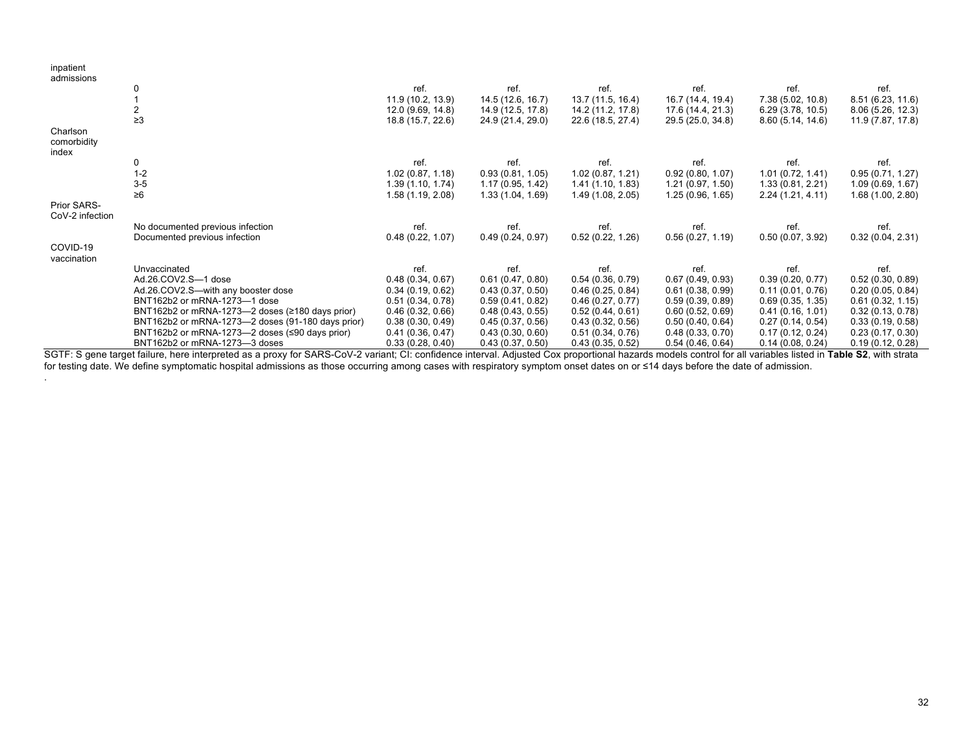| inpatient<br>admissions |                                                       |                   |                   |                   |                   |                   |                   |
|-------------------------|-------------------------------------------------------|-------------------|-------------------|-------------------|-------------------|-------------------|-------------------|
|                         |                                                       | ref.              | ref.              | ref.              | ref.              | ref.              | ref.              |
|                         |                                                       | 11.9 (10.2, 13.9) | 14.5 (12.6, 16.7) | 13.7 (11.5, 16.4) | 16.7 (14.4, 19.4) | 7.38 (5.02, 10.8) | 8.51 (6.23, 11.6) |
|                         |                                                       |                   |                   |                   |                   |                   |                   |
|                         | $\geq$ 3                                              | 12.0 (9.69, 14.8) | 14.9 (12.5, 17.8) | 14.2 (11.2, 17.8) | 17.6 (14.4, 21.3) | 6.29(3.78, 10.5)  | 8.06(5.26, 12.3)  |
|                         |                                                       | 18.8 (15.7, 22.6) | 24.9 (21.4, 29.0) | 22.6 (18.5, 27.4) | 29.5 (25.0, 34.8) | 8.60(5.14, 14.6)  | 11.9 (7.87, 17.8) |
| Charlson                |                                                       |                   |                   |                   |                   |                   |                   |
| comorbidity             |                                                       |                   |                   |                   |                   |                   |                   |
| index                   |                                                       | ref.              |                   |                   |                   |                   |                   |
|                         | 0                                                     |                   | ref.              | ref.              | ref.              | ref.              | ref.              |
|                         | $1 - 2$                                               | 1.02(0.87, 1.18)  | 0.93(0.81, 1.05)  | 1.02(0.87, 1.21)  | 0.92(0.80, 1.07)  | 1.01(0.72, 1.41)  | 0.95(0.71, 1.27)  |
|                         | $3-5$                                                 | 1.39(1.10, 1.74)  | 1.17(0.95, 1.42)  | 1.41(1.10, 1.83)  | 1.21(0.97, 1.50)  | 1.33 (0.81, 2.21) | 1.09(0.69, 1.67)  |
|                         | $\geq 6$                                              | 1.58 (1.19, 2.08) | 1.33(1.04, 1.69)  | 1.49 (1.08, 2.05) | 1.25(0.96, 1.65)  | 2.24(1.21, 4.11)  | 1.68(1.00, 2.80)  |
| Prior SARS-             |                                                       |                   |                   |                   |                   |                   |                   |
| CoV-2 infection         |                                                       |                   |                   |                   |                   |                   |                   |
|                         | No documented previous infection                      | ref.              | ref.              | ref.              | ref.              | ref.              | ref.              |
|                         | Documented previous infection                         | 0.48(0.22, 1.07)  | 0.49(0.24, 0.97)  | 0.52(0.22, 1.26)  | 0.56(0.27, 1.19)  | 0.50(0.07, 3.92)  | 0.32(0.04, 2.31)  |
| COVID-19                |                                                       |                   |                   |                   |                   |                   |                   |
| vaccination             |                                                       |                   |                   |                   |                   |                   |                   |
|                         | Unvaccinated                                          | ref.              | ref.              | ref.              | ref.              | ref.              | ref.              |
|                         | Ad.26.COV2.S-1 dose                                   | 0.48(0.34, 0.67)  | 0.61(0.47, 0.80)  | 0.54(0.36, 0.79)  | 0.67(0.49, 0.93)  | 0.39(0.20, 0.77)  | 0.52(0.30, 0.89)  |
|                         | Ad.26.COV2.S-with any booster dose                    | 0.34(0.19, 0.62)  | 0.43(0.37, 0.50)  | 0.46(0.25, 0.84)  | 0.61(0.38, 0.99)  | 0.11(0.01, 0.76)  | 0.20(0.05, 0.84)  |
|                         | BNT162b2 or mRNA-1273-1 dose                          | 0.51(0.34, 0.78)  | 0.59(0.41, 0.82)  | 0.46(0.27, 0.77)  | 0.59(0.39, 0.89)  | 0.69(0.35, 1.35)  | 0.61(0.32, 1.15)  |
|                         | BNT162b2 or mRNA-1273-2 doses ( $\ge$ 180 days prior) | 0.46(0.32, 0.66)  | 0.48(0.43, 0.55)  | 0.52(0.44, 0.61)  | 0.60(0.52, 0.69)  | 0.41(0.16, 1.01)  | 0.32(0.13, 0.78)  |
|                         | BNT162b2 or mRNA-1273-2 doses (91-180 days prior)     | 0.38(0.30, 0.49)  | 0.45(0.37, 0.56)  | 0.43(0.32, 0.56)  | 0.50(0.40, 0.64)  | 0.27(0.14, 0.54)  | 0.33(0.19, 0.58)  |
|                         | BNT162b2 or mRNA-1273-2 doses (≤90 days prior)        | 0.41(0.36, 0.47)  | 0.43(0.30, 0.60)  | 0.51(0.34, 0.76)  | 0.48(0.33, 0.70)  | 0.17(0.12, 0.24)  | 0.23(0.17, 0.30)  |
|                         | BNT162b2 or mRNA-1273-3 doses                         | 0.33(0.28, 0.40)  | 0.43(0.37, 0.50)  | 0.43(0.35, 0.52)  | 0.54(0.46, 0.64)  | 0.14(0.08, 0.24)  | 0.19(0.12, 0.28)  |

SGTF: S gene target failure, here interpreted as a proxy for SARS-CoV-2 variant; CI: confidence interval. Adjusted Cox proportional hazards models control for all variables listed in **Table S2**, with strata for testing date. We define symptomatic hospital admissions as those occurring among cases with respiratory symptom onset dates on or ≤14 days before the date of admission.

.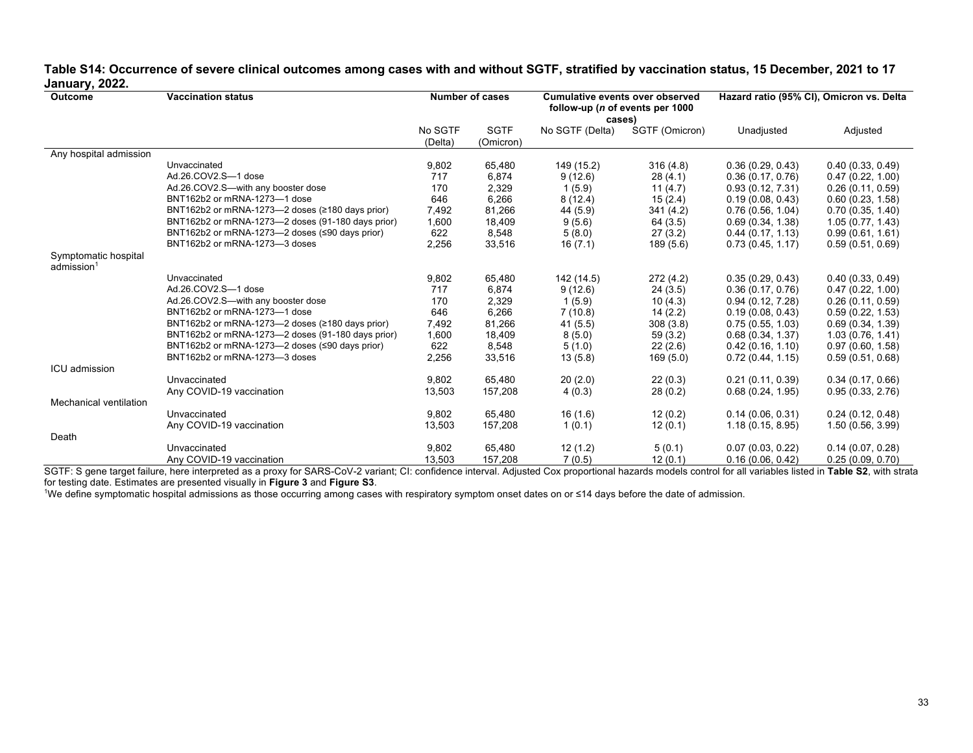## **Table S14: Occurrence of severe clinical outcomes among cases with and without SGTF, stratified by vaccination status, 15 December, 2021 to 17 January, 2022.**

| Outcome                                        | <b>Vaccination status</b>                         | <b>Number of cases</b> |                          | <b>Cumulative events over observed</b><br>follow-up (n of events per 1000<br>cases) |                | Hazard ratio (95% CI), Omicron vs. Delta |                  |
|------------------------------------------------|---------------------------------------------------|------------------------|--------------------------|-------------------------------------------------------------------------------------|----------------|------------------------------------------|------------------|
|                                                |                                                   | No SGTF<br>(Delta)     | <b>SGTF</b><br>(Omicron) | No SGTF (Delta)                                                                     | SGTF (Omicron) | Unadjusted                               | Adjusted         |
| Any hospital admission                         |                                                   |                        |                          |                                                                                     |                |                                          |                  |
|                                                | Unvaccinated                                      | 9,802                  | 65,480                   | 149 (15.2)                                                                          | 316(4.8)       | 0.36(0.29, 0.43)                         | 0.40(0.33, 0.49) |
|                                                | Ad.26.COV2.S-1 dose                               | 717                    | 6,874                    | 9(12.6)                                                                             | 28(4.1)        | 0.36(0.17, 0.76)                         | 0.47(0.22, 1.00) |
|                                                | Ad.26.COV2.S-with any booster dose                | 170                    | 2,329                    | 1(5.9)                                                                              | 11(4.7)        | 0.93(0.12, 7.31)                         | 0.26(0.11, 0.59) |
|                                                | BNT162b2 or mRNA-1273-1 dose                      | 646                    | 6,266                    | 8(12.4)                                                                             | 15(2.4)        | 0.19(0.08, 0.43)                         | 0.60(0.23, 1.58) |
|                                                | BNT162b2 or mRNA-1273-2 doses (≥180 days prior)   | 7,492                  | 81,266                   | 44 (5.9)                                                                            | 341 (4.2)      | 0.76(0.56, 1.04)                         | 0.70(0.35, 1.40) |
|                                                | BNT162b2 or mRNA-1273-2 doses (91-180 days prior) | 1,600                  | 18,409                   | 9(5.6)                                                                              | 64(3.5)        | 0.69(0.34, 1.38)                         | 1.05(0.77, 1.43) |
|                                                | BNT162b2 or mRNA-1273-2 doses (≤90 days prior)    | 622                    | 8,548                    | 5(8.0)                                                                              | 27(3.2)        | 0.44(0.17, 1.13)                         | 0.99(0.61, 1.61) |
|                                                | BNT162b2 or mRNA-1273-3 doses                     | 2,256                  | 33,516                   | 16(7.1)                                                                             | 189(5.6)       | 0.73(0.45, 1.17)                         | 0.59(0.51, 0.69) |
| Symptomatic hospital<br>admission <sup>1</sup> |                                                   |                        |                          |                                                                                     |                |                                          |                  |
|                                                | Unvaccinated                                      | 9,802                  | 65,480                   | 142 (14.5)                                                                          | 272(4.2)       | 0.35(0.29, 0.43)                         | 0.40(0.33, 0.49) |
|                                                | Ad.26.COV2.S-1 dose                               | 717                    | 6,874                    | 9(12.6)                                                                             | 24(3.5)        | 0.36(0.17, 0.76)                         | 0.47(0.22, 1.00) |
|                                                | Ad.26.COV2.S-with any booster dose                | 170                    | 2,329                    | 1(5.9)                                                                              | 10(4.3)        | 0.94(0.12, 7.28)                         | 0.26(0.11, 0.59) |
|                                                | BNT162b2 or mRNA-1273-1 dose                      | 646                    | 6,266                    | 7(10.8)                                                                             | 14(2.2)        | 0.19(0.08, 0.43)                         | 0.59(0.22, 1.53) |
|                                                | BNT162b2 or mRNA-1273-2 doses (≥180 days prior)   | 7,492                  | 81,266                   | 41(5.5)                                                                             | 308(3.8)       | 0.75(0.55, 1.03)                         | 0.69(0.34, 1.39) |
|                                                | BNT162b2 or mRNA-1273-2 doses (91-180 days prior) | 1,600                  | 18,409                   | 8(5.0)                                                                              | 59(3.2)        | 0.68(0.34, 1.37)                         | 1.03(0.76, 1.41) |
|                                                | BNT162b2 or mRNA-1273-2 doses (≤90 days prior)    | 622                    | 8,548                    | 5(1.0)                                                                              | 22(2.6)        | 0.42(0.16, 1.10)                         | 0.97(0.60, 1.58) |
|                                                | BNT162b2 or mRNA-1273-3 doses                     | 2,256                  | 33,516                   | 13(5.8)                                                                             | 169(5.0)       | 0.72(0.44, 1.15)                         | 0.59(0.51, 0.68) |
| <b>ICU</b> admission                           |                                                   |                        |                          |                                                                                     |                |                                          |                  |
|                                                | Unvaccinated                                      | 9,802                  | 65,480                   | 20(2.0)                                                                             | 22(0.3)        | 0.21(0.11, 0.39)                         | 0.34(0.17, 0.66) |
|                                                | Any COVID-19 vaccination                          | 13,503                 | 157,208                  | 4(0.3)                                                                              | 28(0.2)        | 0.68(0.24, 1.95)                         | 0.95(0.33, 2.76) |
| Mechanical ventilation                         |                                                   |                        |                          |                                                                                     |                |                                          |                  |
|                                                | Unvaccinated                                      | 9,802                  | 65,480                   | 16(1.6)                                                                             | 12(0.2)        | 0.14(0.06, 0.31)                         | 0.24(0.12, 0.48) |
|                                                | Any COVID-19 vaccination                          | 13,503                 | 157,208                  | 1(0.1)                                                                              | 12(0.1)        | 1.18(0.15, 8.95)                         | 1.50(0.56, 3.99) |
| Death                                          |                                                   |                        |                          |                                                                                     |                |                                          |                  |
|                                                | Unvaccinated                                      | 9,802                  | 65,480                   | 12(1.2)                                                                             | 5(0.1)         | 0.07(0.03, 0.22)                         | 0.14(0.07, 0.28) |
|                                                | Any COVID-19 vaccination                          | 13.503                 | 157,208                  | 7(0.5)                                                                              | 12(0.1)        | 0.16(0.06, 0.42)                         | 0.25(0.09, 0.70) |

SGTF: S gene target failure, here interpreted as a proxy for SARS-CoV-2 variant; CI: confidence interval. Adjusted Cox proportional hazards models control for all variables listed in **Table S2**, with strata for testing date. Estimates are presented visually in **Figure 3** and **Figure S3**.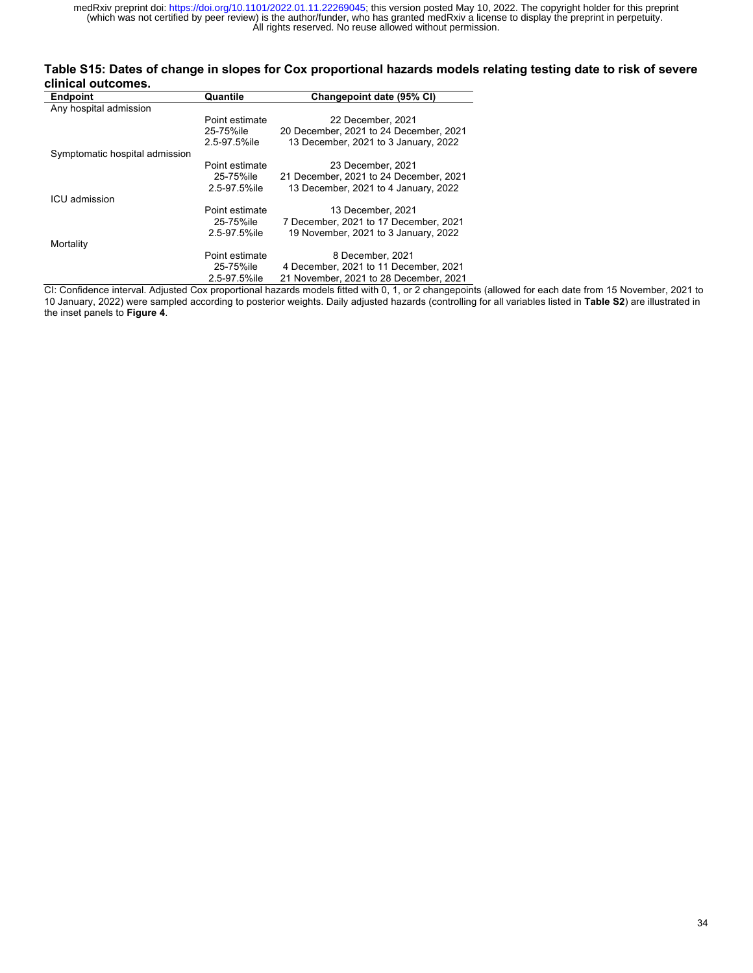### **Table S15: Dates of change in slopes for Cox proportional hazards models relating testing date to risk of severe clinical outcomes.**

| <b>Endpoint</b>                | Quantile       | Changepoint date (95% CI)              |
|--------------------------------|----------------|----------------------------------------|
| Any hospital admission         |                |                                        |
|                                | Point estimate | 22 December, 2021                      |
|                                | 25-75%ile      | 20 December, 2021 to 24 December, 2021 |
|                                | 2.5-97.5%ile   | 13 December, 2021 to 3 January, 2022   |
| Symptomatic hospital admission |                |                                        |
|                                | Point estimate | 23 December, 2021                      |
|                                | 25-75%ile      | 21 December, 2021 to 24 December, 2021 |
|                                | 2.5-97.5%ile   | 13 December, 2021 to 4 January, 2022   |
| ICU admission                  |                |                                        |
|                                | Point estimate | 13 December, 2021                      |
|                                | 25-75%ile      | 7 December, 2021 to 17 December, 2021  |
|                                | 2.5-97.5%ile   | 19 November, 2021 to 3 January, 2022   |
| Mortality                      |                |                                        |
|                                | Point estimate | 8 December, 2021                       |
|                                | 25-75%ile      | 4 December, 2021 to 11 December, 2021  |
|                                | 2.5-97.5%ile   | 21 November, 2021 to 28 December, 2021 |

CI: Confidence interval. Adjusted Cox proportional hazards models fitted with 0, 1, or 2 changepoints (allowed for each date from 15 November, 2021 to 10 January, 2022) were sampled according to posterior weights. Daily adjusted hazards (controlling for all variables listed in **Table S2**) are illustrated in the inset panels to **Figure 4**.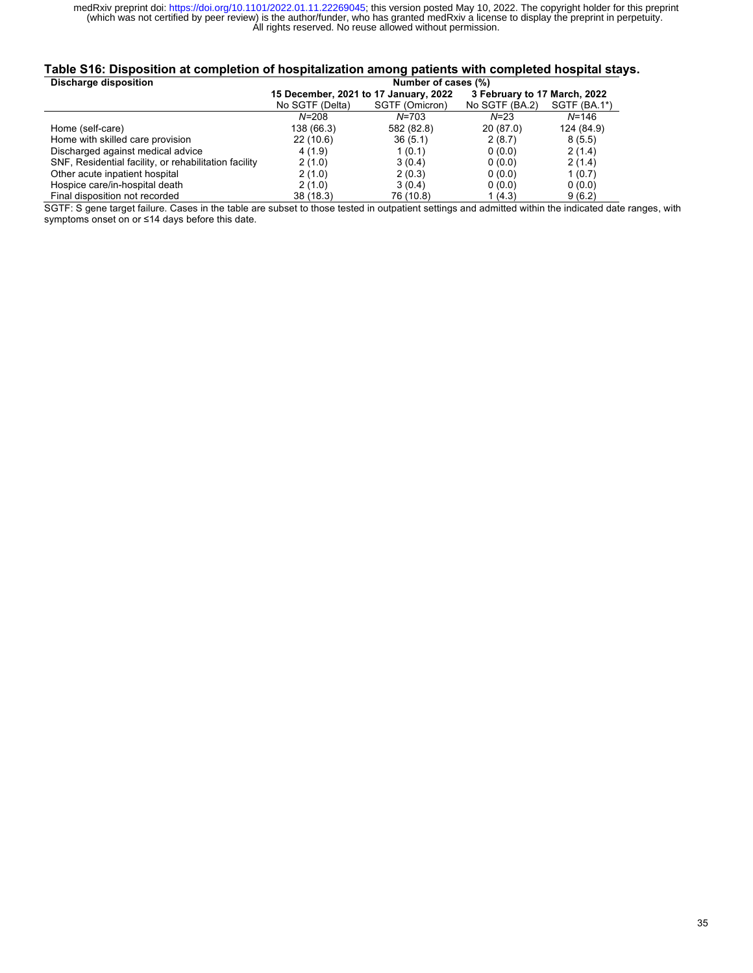## **Table S16: Disposition at completion of hospitalization among patients with completed hospital stays.**

| Discharge disposition                                 | Number of cases (%)                   |                |                              |               |  |  |
|-------------------------------------------------------|---------------------------------------|----------------|------------------------------|---------------|--|--|
|                                                       | 15 December, 2021 to 17 January, 2022 |                | 3 February to 17 March, 2022 |               |  |  |
|                                                       | No SGTF (Delta)                       | SGTF (Omicron) | No SGTF (BA.2)               | $SGTF(BA.1*)$ |  |  |
|                                                       | $N = 208$                             | N=703          | $N = 23$                     | $N = 146$     |  |  |
| Home (self-care)                                      | 138 (66.3)                            | 582 (82.8)     | 20(87.0)                     | 124 (84.9)    |  |  |
| Home with skilled care provision                      | 22(10.6)                              | 36(5.1)        | 2(8.7)                       | 8(5.5)        |  |  |
| Discharged against medical advice                     | 4 (1.9)                               | 1(0.1)         | 0(0.0)                       | 2(1.4)        |  |  |
| SNF, Residential facility, or rehabilitation facility | 2(1.0)                                | 3(0.4)         | 0(0.0)                       | 2(1.4)        |  |  |
| Other acute inpatient hospital                        | 2(1.0)                                | 2(0.3)         | 0(0.0)                       | 1(0.7)        |  |  |
| Hospice care/in-hospital death                        | 2(1.0)                                | 3(0.4)         | 0(0.0)                       | 0(0.0)        |  |  |
| Final disposition not recorded                        | 38(18.3)                              | 76 (10.8)      | 1 (4.3)                      | 9(6.2)        |  |  |

SGTF: S gene target failure. Cases in the table are subset to those tested in outpatient settings and admitted within the indicated date ranges, with symptoms onset on or ≤14 days before this date.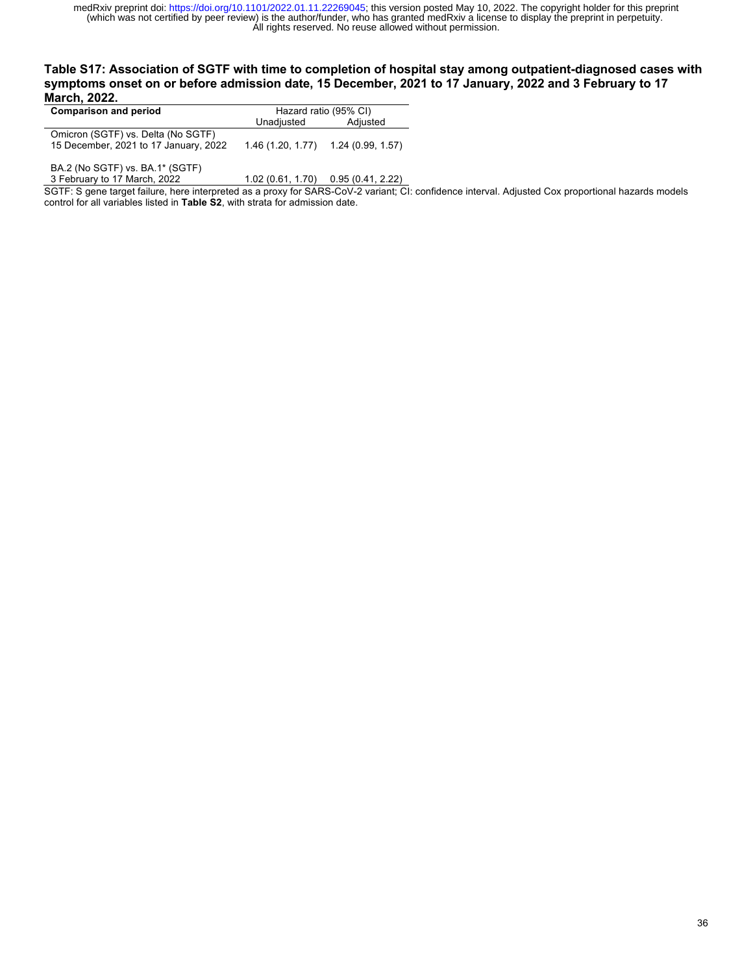### **Table S17: Association of SGTF with time to completion of hospital stay among outpatient-diagnosed cases with symptoms onset on or before admission date, 15 December, 2021 to 17 January, 2022 and 3 February to 17 March, 2022.**

| <b>Comparison and period</b>                                                | Hazard ratio (95% CI) |                   |
|-----------------------------------------------------------------------------|-----------------------|-------------------|
|                                                                             | Unadjusted            | Adjusted          |
| Omicron (SGTF) vs. Delta (No SGTF)<br>15 December, 2021 to 17 January, 2022 | 1.46 (1.20, 1.77)     | 1.24 (0.99. 1.57) |

BA.2 (No SGTF) vs. BA.1\* (SGTF)<br>3 February to 17 March, 2022

 $1.02$  (0.61, 1.70) 0.95 (0.41, 2.22)

SGTF: S gene target failure, here interpreted as a proxy for SARS-CoV-2 variant; CI: confidence interval. Adjusted Cox proportional hazards models control for all variables listed in **Table S2**, with strata for admission date.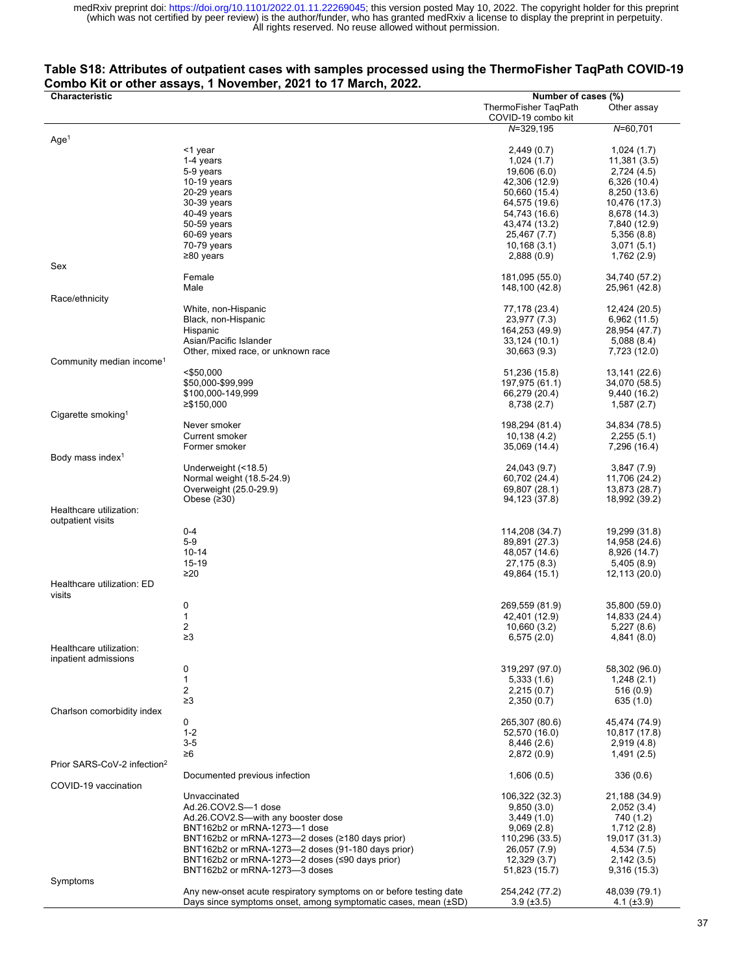## **Table S18: Attributes of outpatient cases with samples processed using the ThermoFisher TaqPath COVID-19 Combo Kit or other assays, 1 November, 2021 to 17 March, 2022.**

| Characteristic                          |                                                                    | Number of cases (%)  |                 |
|-----------------------------------------|--------------------------------------------------------------------|----------------------|-----------------|
|                                         |                                                                    | ThermoFisher TaqPath | Other assay     |
|                                         |                                                                    | COVID-19 combo kit   |                 |
|                                         |                                                                    | $N = 329, 195$       | $N = 60.701$    |
| Age <sup>1</sup>                        |                                                                    |                      |                 |
|                                         | <1 year                                                            | 2,449(0.7)           | 1,024(1.7)      |
|                                         | 1-4 years                                                          | 1,024(1.7)           | 11,381 (3.5)    |
|                                         | 5-9 years                                                          | 19,606 (6.0)         | 2,724(4.5)      |
|                                         | $10-19$ years                                                      | 42,306 (12.9)        | 6,326 (10.4)    |
|                                         | $20-29$ years                                                      | 50,660 (15.4)        | 8,250 (13.6)    |
|                                         | 30-39 years                                                        | 64,575 (19.6)        | 10,476 (17.3)   |
|                                         | 40-49 years                                                        | 54,743 (16.6)        | 8,678 (14.3)    |
|                                         | 50-59 years                                                        | 43,474 (13.2)        | 7,840 (12.9)    |
|                                         | 60-69 years                                                        | 25,467 (7.7)         | 5,356(8.8)      |
|                                         | 70-79 years                                                        | 10,168(3.1)          | 3,071(5.1)      |
|                                         | ≥80 years                                                          | 2,888(0.9)           | 1,762 (2.9)     |
| Sex                                     |                                                                    |                      |                 |
|                                         | Female                                                             | 181,095 (55.0)       | 34,740 (57.2)   |
|                                         | Male                                                               | 148,100 (42.8)       | 25,961 (42.8)   |
| Race/ethnicity                          |                                                                    |                      |                 |
|                                         | White, non-Hispanic                                                | 77,178 (23.4)        | 12,424 (20.5)   |
|                                         | Black, non-Hispanic                                                | 23,977 (7.3)         | 6,962 (11.5)    |
|                                         | Hispanic                                                           | 164,253 (49.9)       | 28,954 (47.7)   |
|                                         | Asian/Pacific Islander                                             | 33,124 (10.1)        | 5,088(8.4)      |
|                                         | Other, mixed race, or unknown race                                 | 30,663(9.3)          | 7,723 (12.0)    |
| Community median income <sup>1</sup>    |                                                                    |                      |                 |
|                                         | $<$ \$50,000                                                       | 51,236 (15.8)        | 13,141 (22.6)   |
|                                         | \$50,000-\$99,999                                                  | 197,975 (61.1)       | 34,070 (58.5)   |
|                                         | \$100,000-149,999                                                  | 66,279 (20.4)        | 9,440 (16.2)    |
|                                         | ≥\$150,000                                                         | 8,738 (2.7)          | 1,587(2.7)      |
| Cigarette smoking <sup>1</sup>          |                                                                    |                      |                 |
|                                         | Never smoker                                                       | 198,294 (81.4)       | 34,834 (78.5)   |
|                                         | Current smoker                                                     | 10,138(4.2)          | 2,255(5.1)      |
|                                         | Former smoker                                                      | 35,069 (14.4)        | 7,296 (16.4)    |
| Body mass index <sup>1</sup>            |                                                                    |                      |                 |
|                                         | Underweight (<18.5)                                                | 24,043 (9.7)         | 3,847(7.9)      |
|                                         | Normal weight (18.5-24.9)                                          | 60,702 (24.4)        | 11,706 (24.2)   |
|                                         | Overweight (25.0-29.9)                                             | 69,807 (28.1)        | 13,873 (28.7)   |
|                                         | Obese $(230)$                                                      | 94,123 (37.8)        | 18,992 (39.2)   |
| Healthcare utilization:                 |                                                                    |                      |                 |
| outpatient visits                       |                                                                    |                      |                 |
|                                         | $0 - 4$                                                            | 114,208 (34.7)       | 19,299 (31.8)   |
|                                         | $5-9$                                                              | 89,891 (27.3)        | 14,958 (24.6)   |
|                                         | $10 - 14$                                                          | 48,057 (14.6)        | 8,926 (14.7)    |
|                                         | 15-19                                                              | 27,175 (8.3)         | 5,405(8.9)      |
|                                         | $\geq 20$                                                          | 49,864 (15.1)        | 12,113 (20.0)   |
| Healthcare utilization: ED              |                                                                    |                      |                 |
| visits                                  |                                                                    |                      |                 |
|                                         | 0                                                                  | 269,559 (81.9)       | 35,800 (59.0)   |
|                                         | 1                                                                  | 42,401 (12.9)        | 14,833 (24.4)   |
|                                         | 2                                                                  | 10,660 (3.2)         | 5,227(8.6)      |
|                                         | $\geq$ 3                                                           | 6,575(2.0)           | 4,841 (8.0)     |
| Healthcare utilization:                 |                                                                    |                      |                 |
| inpatient admissions                    |                                                                    |                      |                 |
|                                         | 0                                                                  | 319,297 (97.0)       | 58,302 (96.0)   |
|                                         | $\mathbf{1}$                                                       | 5,333(1.6)           | 1,248(2.1)      |
|                                         | 2                                                                  | 2,215(0.7)           | 516(0.9)        |
|                                         | $\geq$ 3                                                           | 2,350(0.7)           | 635 (1.0)       |
| Charlson comorbidity index              |                                                                    |                      |                 |
|                                         | 0                                                                  | 265,307 (80.6)       | 45,474 (74.9)   |
|                                         | $1 - 2$                                                            | 52,570 (16.0)        | 10,817 (17.8)   |
|                                         | $3-5$                                                              | 8,446(2.6)           | 2,919(4.8)      |
|                                         | ≥6                                                                 | 2,872(0.9)           | 1,491(2.5)      |
| Prior SARS-CoV-2 infection <sup>2</sup> |                                                                    |                      |                 |
|                                         | Documented previous infection                                      | 1,606(0.5)           | 336(0.6)        |
| COVID-19 vaccination                    |                                                                    |                      |                 |
|                                         | Unvaccinated                                                       | 106,322 (32.3)       |                 |
|                                         | Ad.26.COV2.S-1 dose                                                |                      | 21,188 (34.9)   |
|                                         |                                                                    | 9,850(3.0)           | 2,052(3.4)      |
|                                         | Ad.26.COV2.S-with any booster dose                                 | 3,449(1.0)           | 740 (1.2)       |
|                                         | BNT162b2 or mRNA-1273-1 dose                                       | 9,069(2.8)           | 1,712 (2.8)     |
|                                         | BNT162b2 or mRNA-1273-2 doses (≥180 days prior)                    | 110,296 (33.5)       | 19,017 (31.3)   |
|                                         | BNT162b2 or mRNA-1273-2 doses (91-180 days prior)                  | 26,057 (7.9)         | 4,534 (7.5)     |
|                                         | BNT162b2 or mRNA-1273-2 doses (≤90 days prior)                     | 12,329(3.7)          | 2,142(3.5)      |
|                                         | BNT162b2 or mRNA-1273-3 doses                                      | 51,823 (15.7)        | 9,316(15.3)     |
| Symptoms                                |                                                                    |                      |                 |
|                                         | Any new-onset acute respiratory symptoms on or before testing date | 254,242 (77.2)       | 48,039 (79.1)   |
|                                         | Days since symptoms onset, among symptomatic cases, mean (±SD)     | $3.9 \ (\pm 3.5)$    | 4.1 $(\pm 3.9)$ |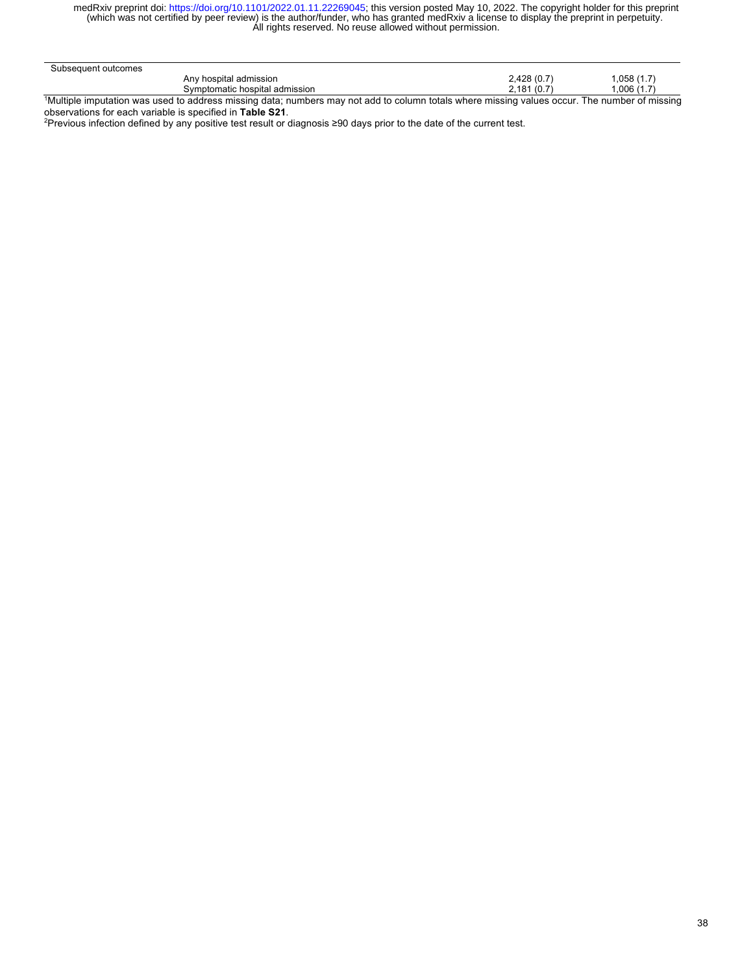| Subsequent outcomes |                                |   |             |                          |
|---------------------|--------------------------------|---|-------------|--------------------------|
|                     | Any hospital admission         |   | 2,428 (0.7) | ِّ 1.7) 058, ا           |
|                     | Symptomatic hospital admission |   | 2.181(0.7)  | .006(1.7)                |
| .                   |                                | . |             | $\overline{\phantom{a}}$ |

1 Multiple imputation was used to address missing data; numbers may not add to column totals where missing values occur. The number of missing observations for each variable is specified in **Table S21**.

2 Previous infection defined by any positive test result or diagnosis ≥90 days prior to the date of the current test.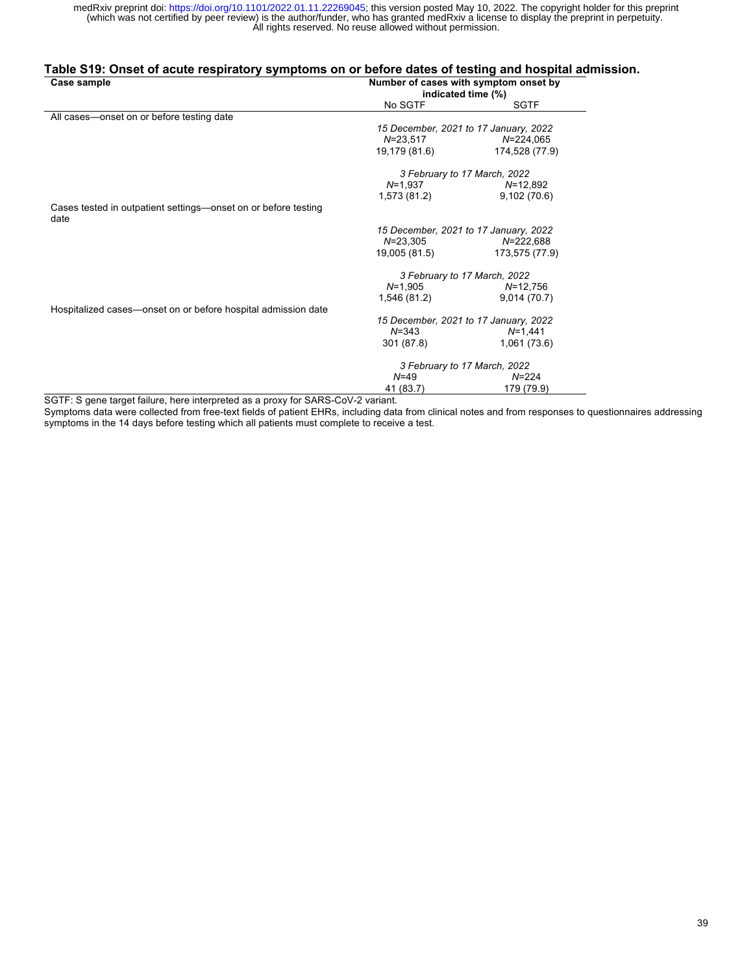### **Table S19: Onset of acute respiratory symptoms on or before dates of testing and hospital admission.**

| Case sample                                                            | Number of cases with symptom onset by<br>indicated time (%) |                                       |  |
|------------------------------------------------------------------------|-------------------------------------------------------------|---------------------------------------|--|
|                                                                        | No SGTF                                                     | <b>SGTF</b>                           |  |
| All cases—onset on or before testing date                              |                                                             |                                       |  |
|                                                                        |                                                             | 15 December, 2021 to 17 January, 2022 |  |
|                                                                        | $N = 23,517$                                                | $N = 224,065$                         |  |
|                                                                        | 19,179 (81.6)                                               | 174,528 (77.9)                        |  |
|                                                                        |                                                             | 3 February to 17 March, 2022          |  |
|                                                                        | $N = 1,937$                                                 | $N = 12.892$                          |  |
|                                                                        | 1,573 (81.2)                                                | 9,102(70.6)                           |  |
| Cases tested in outpatient settings—onset on or before testing<br>date |                                                             |                                       |  |
|                                                                        |                                                             | 15 December, 2021 to 17 January, 2022 |  |
|                                                                        | $N = 23,305$                                                | N=222,688                             |  |
|                                                                        | 19,005 (81.5)                                               | 173,575 (77.9)                        |  |
|                                                                        |                                                             | 3 February to 17 March, 2022          |  |
|                                                                        | $N=1,905$                                                   | N=12,756                              |  |
|                                                                        | 1,546 (81.2)                                                | 9,014(70.7)                           |  |
| Hospitalized cases—onset on or before hospital admission date          |                                                             |                                       |  |
|                                                                        |                                                             | 15 December, 2021 to 17 January, 2022 |  |
|                                                                        | $N = 343$                                                   | $N = 1,441$                           |  |
|                                                                        | 301 (87.8)                                                  | 1,061 (73.6)                          |  |
|                                                                        |                                                             | 3 February to 17 March, 2022          |  |
|                                                                        | $N = 49$                                                    | $N = 224$                             |  |
|                                                                        | 41 (83.7)                                                   | 179 (79.9)                            |  |

SGTF: S gene target failure, here interpreted as a proxy for SARS-CoV-2 variant.

Symptoms data were collected from free-text fields of patient EHRs, including data from clinical notes and from responses to questionnaires addressing symptoms in the 14 days before testing which all patients must complete to receive a test.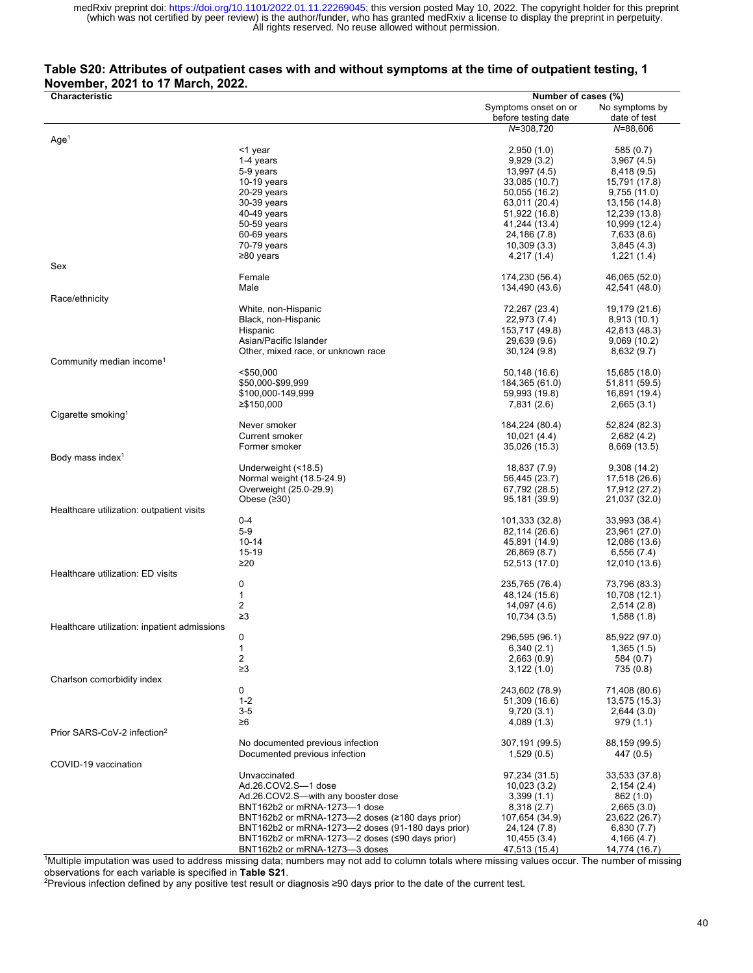### **Table S20: Attributes of outpatient cases with and without symptoms at the time of outpatient testing, 1 November, 2021 to 17 March, 2022.**

| Characteristic                               |                                                                    | Number of cases (%)  |                |
|----------------------------------------------|--------------------------------------------------------------------|----------------------|----------------|
|                                              |                                                                    |                      |                |
|                                              |                                                                    | Symptoms onset on or | No symptoms by |
|                                              |                                                                    | before testing date  | date of test   |
|                                              |                                                                    | N=308,720            | $N = 88,606$   |
| Age <sup>1</sup>                             |                                                                    |                      |                |
|                                              | <1 year                                                            | 2,950(1.0)           | 585 (0.7)      |
|                                              | 1-4 years                                                          | 9,929(3.2)           | 3,967(4.5)     |
|                                              | 5-9 years                                                          | 13,997 (4.5)         | 8,418 (9.5)    |
|                                              | $10-19$ years                                                      | 33,085 (10.7)        | 15,791 (17.8)  |
|                                              |                                                                    |                      |                |
|                                              | 20-29 years                                                        | 50,055 (16.2)        | 9,755(11.0)    |
|                                              | 30-39 years                                                        | 63,011 (20.4)        | 13,156 (14.8)  |
|                                              | 40-49 years                                                        | 51,922 (16.8)        | 12,239 (13.8)  |
|                                              | 50-59 years                                                        | 41,244 (13.4)        | 10,999 (12.4)  |
|                                              | 60-69 years                                                        | 24,186 (7.8)         | 7,633 (8.6)    |
|                                              |                                                                    |                      |                |
|                                              | 70-79 years                                                        | 10,309(3.3)          | 3,845(4.3)     |
|                                              | $≥80$ years                                                        | 4,217(1.4)           | 1,221(1.4)     |
| Sex                                          |                                                                    |                      |                |
|                                              | Female                                                             | 174,230 (56.4)       | 46,065 (52.0)  |
|                                              | Male                                                               | 134,490 (43.6)       | 42,541 (48.0)  |
|                                              |                                                                    |                      |                |
| Race/ethnicity                               |                                                                    |                      |                |
|                                              | White, non-Hispanic                                                | 72,267 (23.4)        | 19,179 (21.6)  |
|                                              | Black, non-Hispanic                                                | 22,973 (7.4)         | 8,913 (10.1)   |
|                                              | Hispanic                                                           | 153,717 (49.8)       | 42,813 (48.3)  |
|                                              | Asian/Pacific Islander                                             | 29,639 (9.6)         | 9,069(10.2)    |
|                                              | Other, mixed race, or unknown race                                 | 30,124(9.8)          | 8,632(9.7)     |
|                                              |                                                                    |                      |                |
| Community median income <sup>1</sup>         |                                                                    |                      |                |
|                                              | $<$ \$50,000                                                       | 50,148 (16.6)        | 15,685 (18.0)  |
|                                              | \$50,000-\$99,999                                                  | 184,365 (61.0)       | 51,811 (59.5)  |
|                                              | \$100,000-149,999                                                  | 59,993 (19.8)        | 16,891 (19.4)  |
|                                              | ≥\$150,000                                                         | 7,831 (2.6)          | 2,665(3.1)     |
| Cigarette smoking <sup>1</sup>               |                                                                    |                      |                |
|                                              |                                                                    |                      |                |
|                                              | Never smoker                                                       | 184,224 (80.4)       | 52,824 (82.3)  |
|                                              | Current smoker                                                     | 10,021 (4.4)         | 2,682(4.2)     |
|                                              | Former smoker                                                      | 35,026 (15.3)        | 8,669 (13.5)   |
| Body mass index <sup>1</sup>                 |                                                                    |                      |                |
|                                              | Underweight (<18.5)                                                | 18,837 (7.9)         | 9,308 (14.2)   |
|                                              |                                                                    |                      |                |
|                                              | Normal weight (18.5-24.9)                                          | 56,445 (23.7)        | 17,518 (26.6)  |
|                                              | Overweight (25.0-29.9)                                             | 67,792 (28.5)        | 17,912 (27.2)  |
|                                              | Obese $(230)$                                                      | 95,181 (39.9)        | 21,037 (32.0)  |
| Healthcare utilization: outpatient visits    |                                                                    |                      |                |
|                                              | $0 - 4$                                                            | 101,333 (32.8)       | 33,993 (38.4)  |
|                                              | $5-9$                                                              | 82,114 (26.6)        | 23,961 (27.0)  |
|                                              | $10 - 14$                                                          |                      |                |
|                                              |                                                                    | 45,891 (14.9)        | 12,086 (13.6)  |
|                                              | 15-19                                                              | 26,869 (8.7)         | 6,556 (7.4)    |
|                                              | ≥20                                                                | 52,513 (17.0)        | 12,010 (13.6)  |
| Healthcare utilization: ED visits            |                                                                    |                      |                |
|                                              | 0                                                                  | 235,765 (76.4)       | 73,796 (83.3)  |
|                                              | 1                                                                  | 48,124 (15.6)        |                |
|                                              |                                                                    |                      | 10,708 (12.1)  |
|                                              | 2                                                                  | 14,097 (4.6)         | 2,514(2.8)     |
|                                              | $\geq$ 3                                                           | 10,734 (3.5)         | 1,588(1.8)     |
| Healthcare utilization: inpatient admissions |                                                                    |                      |                |
|                                              | 0                                                                  | 296,595 (96.1)       | 85,922 (97.0)  |
|                                              | 1                                                                  | 6,340(2.1)           | 1,365(1.5)     |
|                                              |                                                                    |                      |                |
|                                              | 2                                                                  | 2,663(0.9)           | 584 (0.7)      |
|                                              | $\geq$ 3                                                           | 3,122(1.0)           | 735 (0.8)      |
| Charlson comorbidity index                   |                                                                    |                      |                |
|                                              | 0                                                                  | 243,602 (78.9)       | 71,408 (80.6)  |
|                                              | $1 - 2$                                                            | 51,309 (16.6)        | 13,575 (15.3)  |
|                                              | $3-5$                                                              | 9,720(3.1)           | 2,644(3.0)     |
|                                              |                                                                    |                      |                |
|                                              | ≥6                                                                 | 4,089(1.3)           | 979(1.1)       |
| Prior SARS-CoV-2 infection <sup>2</sup>      |                                                                    |                      |                |
|                                              | No documented previous infection                                   | 307,191 (99.5)       | 88,159 (99.5)  |
|                                              | Documented previous infection                                      | 1,529(0.5)           | 447 (0.5)      |
| COVID-19 vaccination                         |                                                                    |                      |                |
|                                              |                                                                    |                      |                |
|                                              | Unvaccinated                                                       | 97,234 (31.5)        | 33,533 (37.8)  |
|                                              | Ad.26.COV2.S-1 dose                                                | 10,023(3.2)          | 2,154(2.4)     |
|                                              | Ad.26.COV2.S-with any booster dose                                 | 3,399(1.1)           | 862 (1.0)      |
|                                              | BNT162b2 or mRNA-1273-1 dose                                       | 8,318(2.7)           | 2,665(3.0)     |
|                                              | BNT162b2 or mRNA-1273-2 doses (≥180 days prior)                    | 107,654 (34.9)       | 23,622 (26.7)  |
|                                              | BNT162b2 or mRNA-1273-2 doses (91-180 days prior)                  |                      |                |
|                                              |                                                                    | 24,124 (7.8)         | 6,830 (7.7)    |
|                                              | BNT162b2 or mRNA-1273- $\rightarrow$ doses ( $\leq$ 90 days prior) | 10,455 (3.4)         | 4,166 (4.7)    |
|                                              | BNT162b2 or mRNA-1273-3 doses                                      | 47,513 (15.4)        | 14,774 (16.7)  |

BNT162b2 or mRNA-1273—3 doses 47,513 (15.4) 14,774 (16.7)<br>Multiple imputation was used to address missing data; numbers may not add to column totals where missing values occur. The number of missing observations for each variable is specified in **Table S21**.

2 Previous infection defined by any positive test result or diagnosis ≥90 days prior to the date of the current test.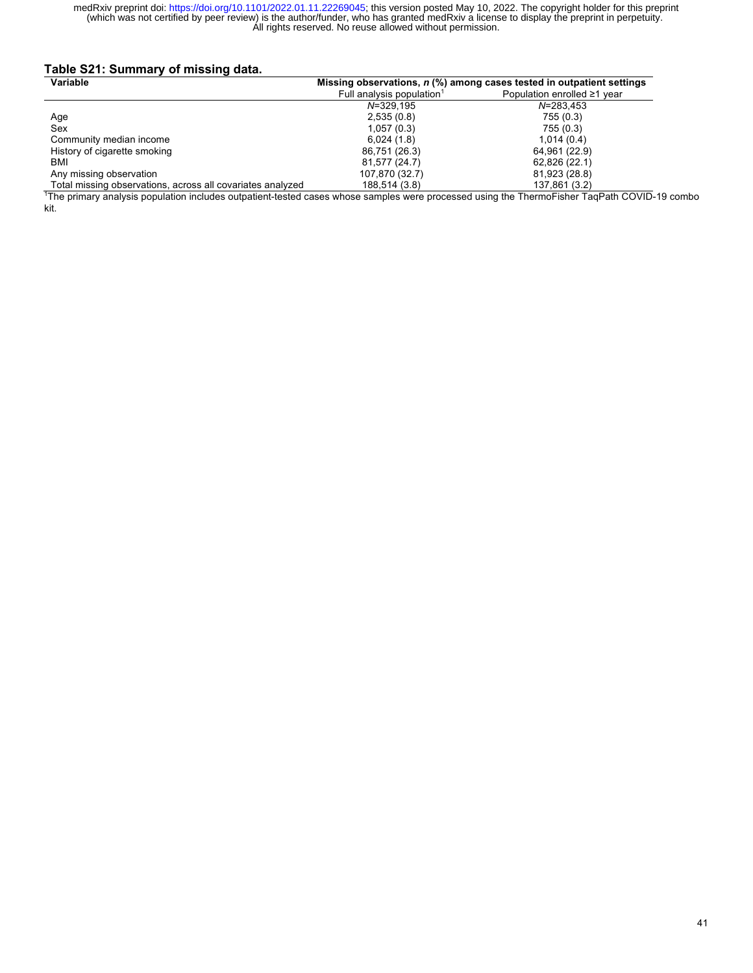## **Table S21: Summary of missing data.**

| Variable<br>Missing observations, $n$ (%) among cases tested in outpatient settings |                                       |                             |
|-------------------------------------------------------------------------------------|---------------------------------------|-----------------------------|
|                                                                                     | Full analysis population <sup>1</sup> | Population enrolled ≥1 year |
|                                                                                     | $N = 329.195$                         | $N = 283.453$               |
| Age                                                                                 | 2,535(0.8)                            | 755 (0.3)                   |
| Sex                                                                                 | 1,057(0.3)                            | 755 (0.3)                   |
| Community median income                                                             | 6,024(1.8)                            | 1.014(0.4)                  |
| History of cigarette smoking                                                        | 86,751 (26.3)                         | 64,961 (22.9)               |
| BMI                                                                                 | 81,577 (24.7)                         | 62,826 (22.1)               |
| Any missing observation                                                             | 107,870 (32.7)                        | 81,923 (28.8)               |
| Total missing observations, across all covariates analyzed                          | 188,514 (3.8)                         | 137,861 (3.2)               |

Total missing observations, across all covariates analyzed 188,514 (3.8) [189,514 (3.8) [189,514 (3.8) [189,51<br>The primary analysis population includes outpatient-tested cases whose samples were processed using the ThermoF kit.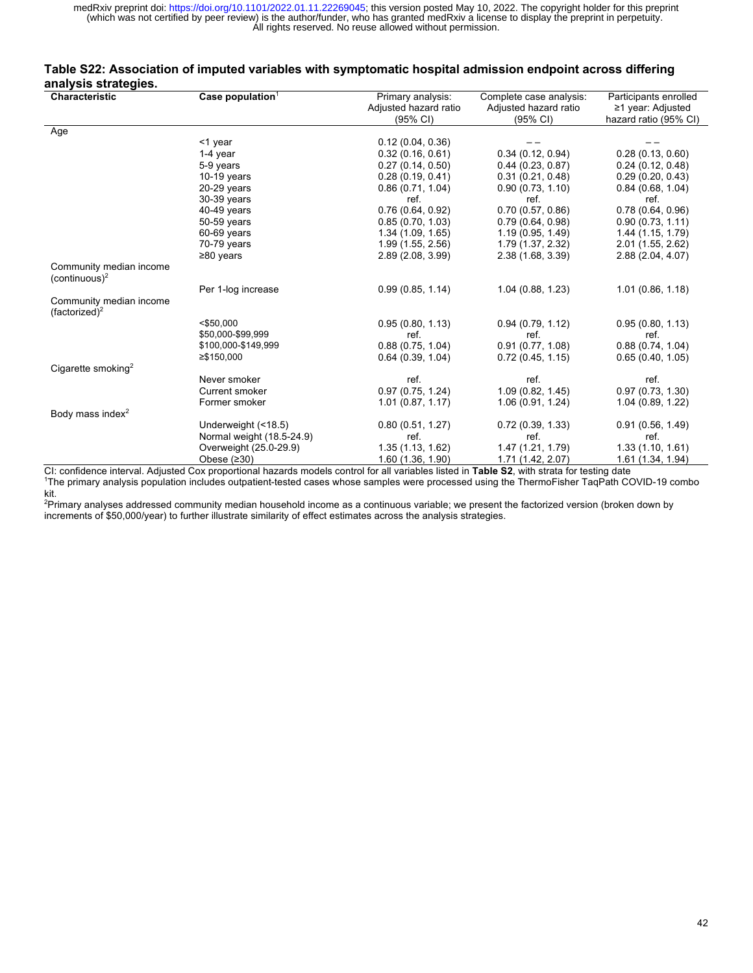### **Table S22: Association of imputed variables with symptomatic hospital admission endpoint across differing analysis strategies.**

| <b>Characteristic</b>                                | Case population $1$       | Primary analysis:     | Complete case analysis: | Participants enrolled |
|------------------------------------------------------|---------------------------|-----------------------|-------------------------|-----------------------|
|                                                      |                           | Adjusted hazard ratio | Adjusted hazard ratio   | ≥1 year: Adjusted     |
|                                                      |                           | (95% CI)              | $(95% \text{ Cl})$      | hazard ratio (95% CI) |
| Age                                                  |                           |                       |                         |                       |
|                                                      | <1 year                   | 0.12(0.04, 0.36)      |                         |                       |
|                                                      | $1-4$ year                | 0.32(0.16, 0.61)      | 0.34(0.12, 0.94)        | 0.28(0.13, 0.60)      |
|                                                      | 5-9 years                 | 0.27(0.14, 0.50)      | 0.44(0.23, 0.87)        | 0.24(0.12, 0.48)      |
|                                                      | 10-19 years               | 0.28(0.19, 0.41)      | 0.31(0.21, 0.48)        | 0.29(0.20, 0.43)      |
|                                                      | $20-29$ years             | 0.86(0.71, 1.04)      | 0.90(0.73, 1.10)        | 0.84(0.68, 1.04)      |
|                                                      | 30-39 years               | ref.                  | ref.                    | ref.                  |
|                                                      | 40-49 years               | 0.76(0.64, 0.92)      | 0.70(0.57, 0.86)        | 0.78(0.64, 0.96)      |
|                                                      | 50-59 years               | 0.85(0.70, 1.03)      | 0.79(0.64, 0.98)        | 0.90(0.73, 1.11)      |
|                                                      | 60-69 years               | 1.34(1.09, 1.65)      | 1.19(0.95, 1.49)        | 1.44 (1.15, 1.79)     |
|                                                      | 70-79 years               | 1.99 (1.55, 2.56)     | 1.79 (1.37, 2.32)       | 2.01 (1.55, 2.62)     |
|                                                      | $\geq 80$ years           | 2.89(2.08, 3.99)      | 2.38 (1.68, 3.39)       | 2.88 (2.04, 4.07)     |
| Community median income<br>$(continuous)^2$          |                           |                       |                         |                       |
|                                                      | Per 1-log increase        | 0.99(0.85, 1.14)      | 1.04(0.88, 1.23)        | 1.01(0.86, 1.18)      |
| Community median income<br>(factorized) <sup>2</sup> |                           |                       |                         |                       |
|                                                      | $<$ \$50,000              | 0.95(0.80, 1.13)      | 0.94(0.79, 1.12)        | 0.95(0.80, 1.13)      |
|                                                      | \$50,000-\$99,999         | ref.                  | ref.                    | ref.                  |
|                                                      | \$100,000-\$149,999       | 0.88(0.75, 1.04)      | 0.91(0.77, 1.08)        | 0.88(0.74, 1.04)      |
|                                                      | ≥\$150,000                | 0.64(0.39, 1.04)      | 0.72(0.45, 1.15)        | 0.65(0.40, 1.05)      |
| Cigarette smoking <sup>2</sup>                       |                           |                       |                         |                       |
|                                                      | Never smoker              | ref.                  | ref.                    | ref.                  |
|                                                      | Current smoker            | 0.97(0.75, 1.24)      | 1.09(0.82, 1.45)        | 0.97(0.73, 1.30)      |
|                                                      | Former smoker             | 1.01(0.87, 1.17)      | 1.06(0.91, 1.24)        | 1.04 (0.89, 1.22)     |
| Body mass index <sup>2</sup>                         |                           |                       |                         |                       |
|                                                      | Underweight (<18.5)       | 0.80(0.51, 1.27)      | 0.72(0.39, 1.33)        | 0.91(0.56, 1.49)      |
|                                                      | Normal weight (18.5-24.9) | ref.                  | ref.                    | ref.                  |
|                                                      | Overweight (25.0-29.9)    | 1.35 (1.13, 1.62)     | 1.47 (1.21, 1.79)       | 1.33(1.10, 1.61)      |
|                                                      | Obese $(230)$             | 1.60 (1.36, 1.90)     | 1.71 (1.42, 2.07)       | 1.61 (1.34, 1.94)     |

CI: confidence interval. Adjusted Cox proportional hazards models control for all variables listed in **Table S2**, with strata for testing date 1 The primary analysis population includes outpatient-tested cases whose samples were processed using the ThermoFisher TaqPath COVID-19 combo

kit. 2 Primary analyses addressed community median household income as a continuous variable; we present the factorized version (broken down by increments of \$50,000/year) to further illustrate similarity of effect estimates across the analysis strategies.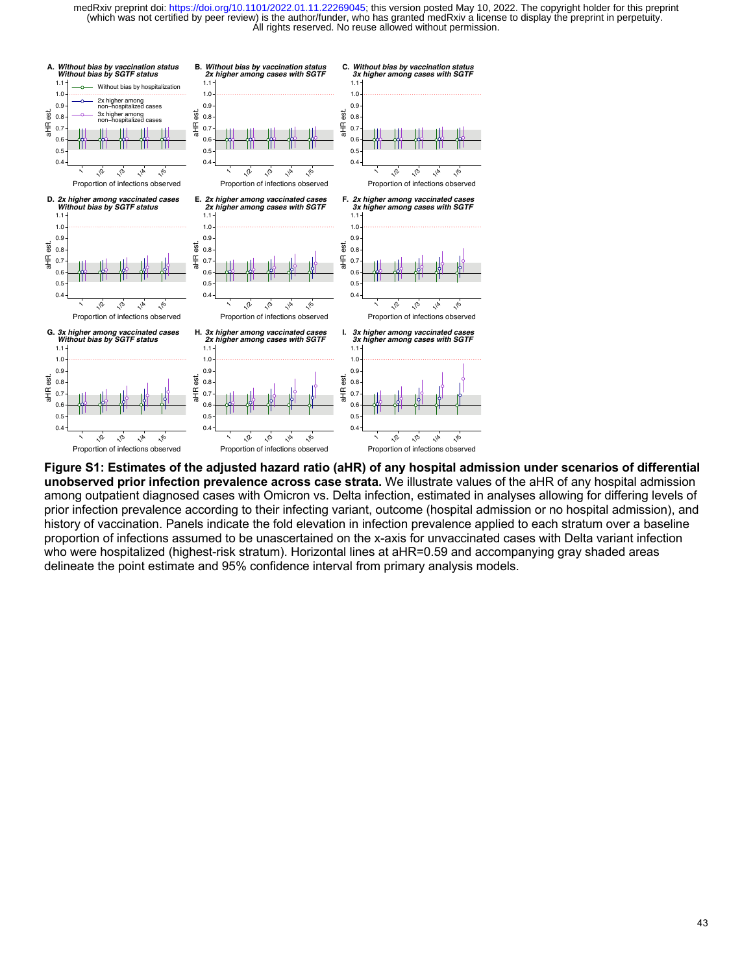

**Figure S1: Estimates of the adjusted hazard ratio (aHR) of any hospital admission under scenarios of differential unobserved prior infection prevalence across case strata.** We illustrate values of the aHR of any hospital admission among outpatient diagnosed cases with Omicron vs. Delta infection, estimated in analyses allowing for differing levels of prior infection prevalence according to their infecting variant, outcome (hospital admission or no hospital admission), and history of vaccination. Panels indicate the fold elevation in infection prevalence applied to each stratum over a baseline proportion of infections assumed to be unascertained on the x-axis for unvaccinated cases with Delta variant infection who were hospitalized (highest-risk stratum). Horizontal lines at aHR=0.59 and accompanying gray shaded areas delineate the point estimate and 95% confidence interval from primary analysis models.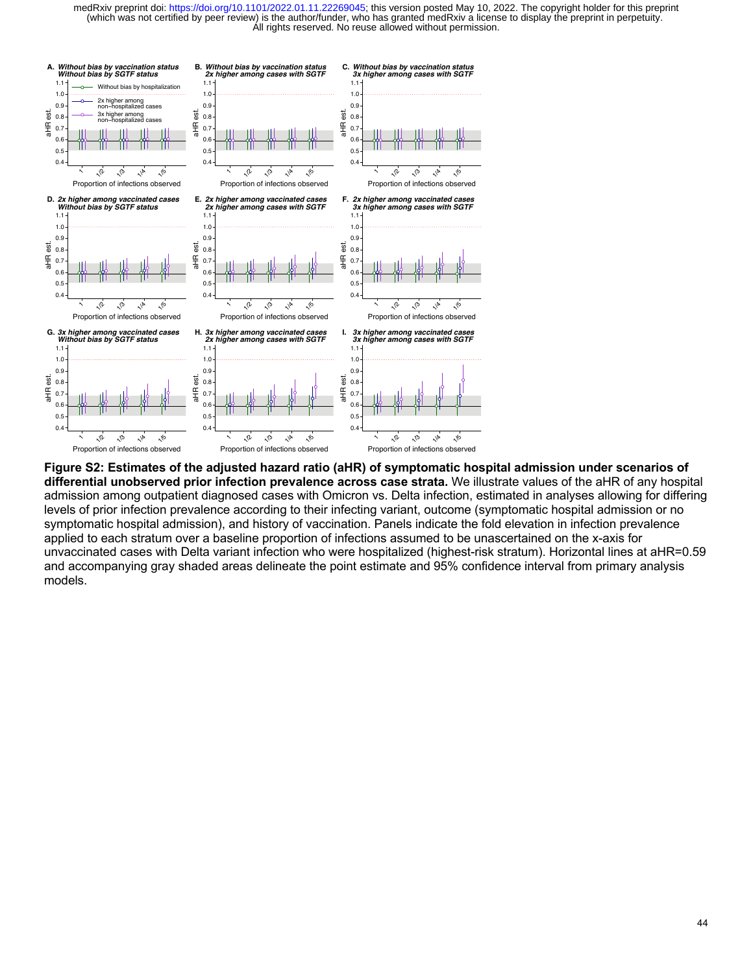

**Figure S2: Estimates of the adjusted hazard ratio (aHR) of symptomatic hospital admission under scenarios of differential unobserved prior infection prevalence across case strata.** We illustrate values of the aHR of any hospital admission among outpatient diagnosed cases with Omicron vs. Delta infection, estimated in analyses allowing for differing levels of prior infection prevalence according to their infecting variant, outcome (symptomatic hospital admission or no symptomatic hospital admission), and history of vaccination. Panels indicate the fold elevation in infection prevalence applied to each stratum over a baseline proportion of infections assumed to be unascertained on the x-axis for unvaccinated cases with Delta variant infection who were hospitalized (highest-risk stratum). Horizontal lines at aHR=0.59 and accompanying gray shaded areas delineate the point estimate and 95% confidence interval from primary analysis models.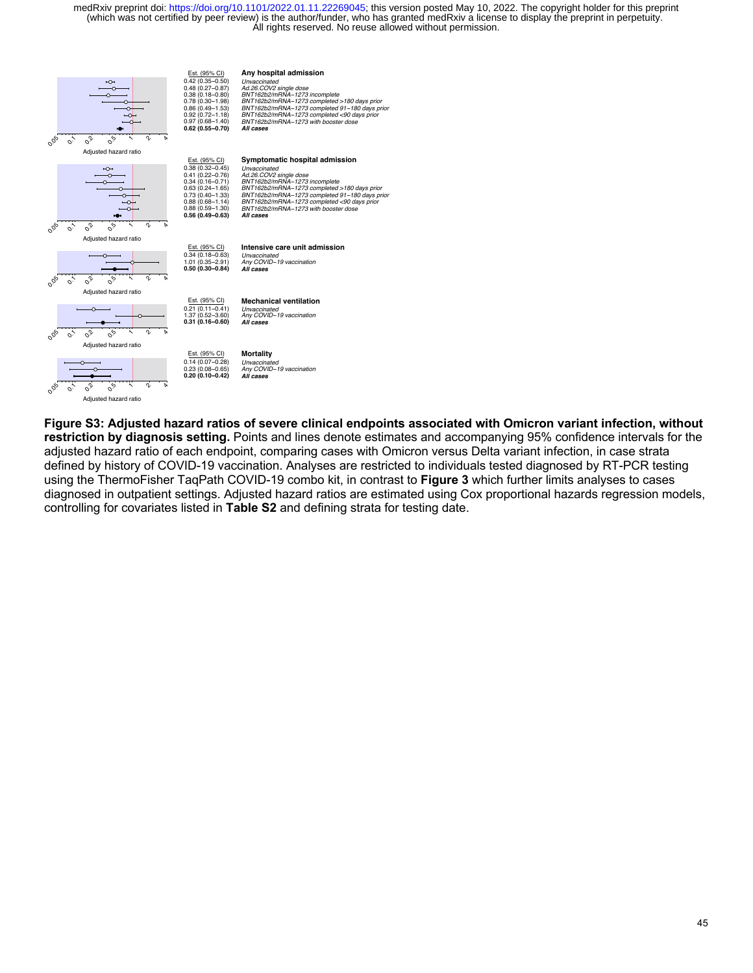

**Figure S3: Adjusted hazard ratios of severe clinical endpoints associated with Omicron variant infection, without restriction by diagnosis setting.** Points and lines denote estimates and accompanying 95% confidence intervals for the adjusted hazard ratio of each endpoint, comparing cases with Omicron versus Delta variant infection, in case strata defined by history of COVID-19 vaccination. Analyses are restricted to individuals tested diagnosed by RT-PCR testing using the ThermoFisher TaqPath COVID-19 combo kit, in contrast to **Figure 3** which further limits analyses to cases diagnosed in outpatient settings. Adjusted hazard ratios are estimated using Cox proportional hazards regression models, controlling for covariates listed in **Table S2** and defining strata for testing date.